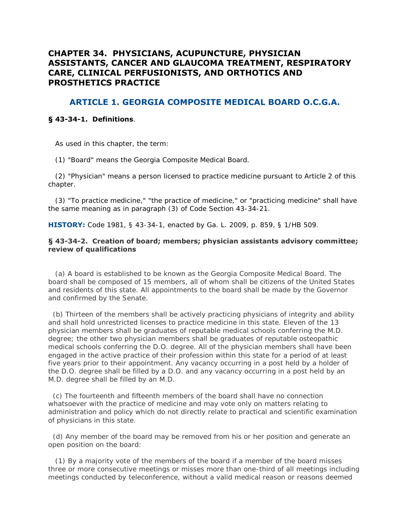# **CHAPTER 34. PHYSICIANS, ACUPUNCTURE, PHYSICIAN ASSISTANTS, CANCER AND GLAUCOMA TREATMENT, RESPIRATORY CARE, CLINICAL PERFUSIONISTS, AND ORTHOTICS AND PROSTHETICS PRACTICE**

# **ARTICLE 1. GEORGIA COMPOSITE MEDICAL BOARD O.C.G.A.**

# **§ 43-34-1. Definitions**.

As used in this chapter, the term:

(1) "Board" means the Georgia Composite Medical Board.

 (2) "Physician" means a person licensed to practice medicine pursuant to Article 2 of this chapter.

 (3) "To practice medicine," "the practice of medicine," or "practicing medicine" shall have the same meaning as in paragraph (3) of Code Section 43-34-21.

**HISTORY:** Code 1981, § 43-34-1, enacted by Ga. L. 2009, p. 859, § 1/HB 509.

# **§ 43-34-2. Creation of board; members; physician assistants advisory committee; review of qualifications**

 (a) A board is established to be known as the Georgia Composite Medical Board. The board shall be composed of 15 members, all of whom shall be citizens of the United States and residents of this state. All appointments to the board shall be made by the Governor and confirmed by the Senate.

 (b) Thirteen of the members shall be actively practicing physicians of integrity and ability and shall hold unrestricted licenses to practice medicine in this state. Eleven of the 13 physician members shall be graduates of reputable medical schools conferring the M.D. degree; the other two physician members shall be graduates of reputable osteopathic medical schools conferring the D.O. degree. All of the physician members shall have been engaged in the active practice of their profession within this state for a period of at least five years prior to their appointment. Any vacancy occurring in a post held by a holder of the D.O. degree shall be filled by a D.O. and any vacancy occurring in a post held by an M.D. degree shall be filled by an M.D.

 (c) The fourteenth and fifteenth members of the board shall have no connection whatsoever with the practice of medicine and may vote only on matters relating to administration and policy which do not directly relate to practical and scientific examination of physicians in this state.

 (d) Any member of the board may be removed from his or her position and generate an open position on the board:

 (1) By a majority vote of the members of the board if a member of the board misses three or more consecutive meetings or misses more than one-third of all meetings including meetings conducted by teleconference, without a valid medical reason or reasons deemed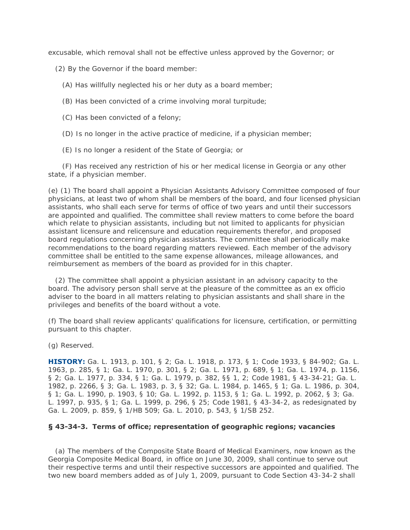excusable, which removal shall not be effective unless approved by the Governor; or

- (2) By the Governor if the board member:
	- (A) Has willfully neglected his or her duty as a board member;
	- (B) Has been convicted of a crime involving moral turpitude;
	- (C) Has been convicted of a felony;
	- (D) Is no longer in the active practice of medicine, if a physician member;
	- (E) Is no longer a resident of the State of Georgia; or

 (F) Has received any restriction of his or her medical license in Georgia or any other state, if a physician member.

(e) (1) The board shall appoint a Physician Assistants Advisory Committee composed of four physicians, at least two of whom shall be members of the board, and four licensed physician assistants, who shall each serve for terms of office of two years and until their successors are appointed and qualified. The committee shall review matters to come before the board which relate to physician assistants, including but not limited to applicants for physician assistant licensure and relicensure and education requirements therefor, and proposed board regulations concerning physician assistants. The committee shall periodically make recommendations to the board regarding matters reviewed. Each member of the advisory committee shall be entitled to the same expense allowances, mileage allowances, and reimbursement as members of the board as provided for in this chapter.

 (2) The committee shall appoint a physician assistant in an advisory capacity to the board. The advisory person shall serve at the pleasure of the committee as an ex officio adviser to the board in all matters relating to physician assistants and shall share in the privileges and benefits of the board without a vote.

(f) The board shall review applicants' qualifications for licensure, certification, or permitting pursuant to this chapter.

(g) Reserved.

**HISTORY:** Ga. L. 1913, p. 101, § 2; Ga. L. 1918, p. 173, § 1; Code 1933, § 84-902; Ga. L. 1963, p. 285, § 1; Ga. L. 1970, p. 301, § 2; Ga. L. 1971, p. 689, § 1; Ga. L. 1974, p. 1156, § 2; Ga. L. 1977, p. 334, § 1; Ga. L. 1979, p. 382, §§ 1, 2; Code 1981, § 43-34-21; Ga. L. 1982, p. 2266, § 3; Ga. L. 1983, p. 3, § 32; Ga. L. 1984, p. 1465, § 1; Ga. L. 1986, p. 304, § 1; Ga. L. 1990, p. 1903, § 10; Ga. L. 1992, p. 1153, § 1; Ga. L. 1992, p. 2062, § 3; Ga. L. 1997, p. 935, § 1; Ga. L. 1999, p. 296, § 25; Code 1981, § 43-34-2, as redesignated by Ga. L. 2009, p. 859, § 1/HB 509; Ga. L. 2010, p. 543, § 1/SB 252.

# **§ 43-34-3. Terms of office; representation of geographic regions; vacancies**

 (a) The members of the Composite State Board of Medical Examiners, now known as the Georgia Composite Medical Board, in office on June 30, 2009, shall continue to serve out their respective terms and until their respective successors are appointed and qualified. The two new board members added as of July 1, 2009, pursuant to Code Section 43-34-2 shall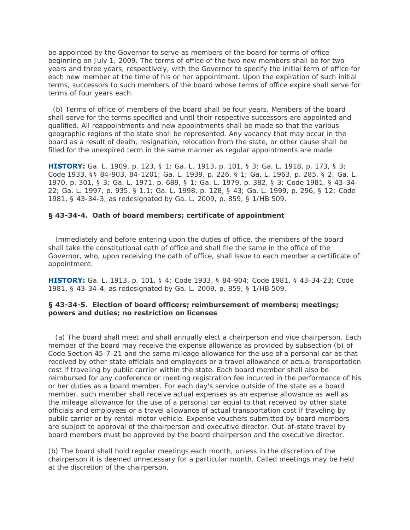be appointed by the Governor to serve as members of the board for terms of office beginning on July 1, 2009. The terms of office of the two new members shall be for two years and three years, respectively, with the Governor to specify the initial term of office for each new member at the time of his or her appointment. Upon the expiration of such initial terms, successors to such members of the board whose terms of office expire shall serve for terms of four years each.

 (b) Terms of office of members of the board shall be four years. Members of the board shall serve for the terms specified and until their respective successors are appointed and qualified. All reappointments and new appointments shall be made so that the various geographic regions of the state shall be represented. Any vacancy that may occur in the board as a result of death, resignation, relocation from the state, or other cause shall be filled for the unexpired term in the same manner as regular appointments are made.

**HISTORY:** Ga. L. 1909, p. 123, § 1; Ga. L. 1913, p. 101, § 3; Ga. L. 1918, p. 173, § 3; Code 1933, §§ 84-903, 84-1201; Ga. L. 1939, p. 226, § 1; Ga. L. 1963, p. 285, § 2; Ga. L. 1970, p. 301, § 3; Ga. L. 1971, p. 689, § 1; Ga. L. 1979, p. 382, § 3; Code 1981, § 43-34- 22; Ga. L. 1997, p. 935, § 1.1; Ga. L. 1998, p. 128, § 43; Ga. L. 1999, p. 296, § 12; Code 1981, § 43-34-3, as redesignated by Ga. L. 2009, p. 859, § 1/HB 509.

# **§ 43-34-4. Oath of board members; certificate of appointment**

 Immediately and before entering upon the duties of office, the members of the board shall take the constitutional oath of office and shall file the same in the office of the Governor, who, upon receiving the oath of office, shall issue to each member a certificate of appointment.

**HISTORY:** Ga. L. 1913, p. 101, § 4; Code 1933, § 84-904; Code 1981, § 43-34-23; Code 1981, § 43-34-4, as redesignated by Ga. L. 2009, p. 859, § 1/HB 509.

#### **§ 43-34-5. Election of board officers; reimbursement of members; meetings; powers and duties; no restriction on licenses**

 (a) The board shall meet and shall annually elect a chairperson and vice chairperson. Each member of the board may receive the expense allowance as provided by subsection (b) of Code Section 45-7-21 and the same mileage allowance for the use of a personal car as that received by other state officials and employees or a travel allowance of actual transportation cost if traveling by public carrier within the state. Each board member shall also be reimbursed for any conference or meeting registration fee incurred in the performance of his or her duties as a board member. For each day's service outside of the state as a board member, such member shall receive actual expenses as an expense allowance as well as the mileage allowance for the use of a personal car equal to that received by other state officials and employees or a travel allowance of actual transportation cost if traveling by public carrier or by rental motor vehicle. Expense vouchers submitted by board members are subject to approval of the chairperson and executive director. Out-of-state travel by board members must be approved by the board chairperson and the executive director.

(b) The board shall hold regular meetings each month, unless in the discretion of the chairperson it is deemed unnecessary for a particular month. Called meetings may be held at the discretion of the chairperson.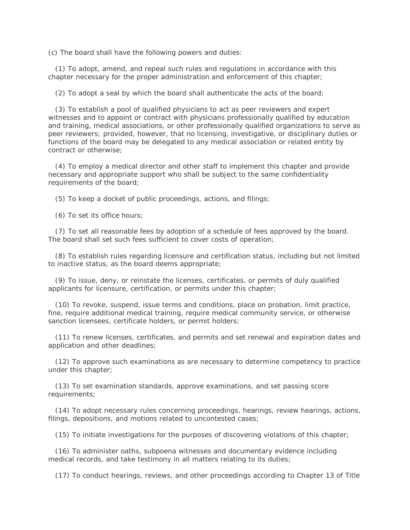(c) The board shall have the following powers and duties:

 (1) To adopt, amend, and repeal such rules and regulations in accordance with this chapter necessary for the proper administration and enforcement of this chapter;

(2) To adopt a seal by which the board shall authenticate the acts of the board;

 (3) To establish a pool of qualified physicians to act as peer reviewers and expert witnesses and to appoint or contract with physicians professionally qualified by education and training, medical associations, or other professionally qualified organizations to serve as peer reviewers; provided, however, that no licensing, investigative, or disciplinary duties or functions of the board may be delegated to any medical association or related entity by contract or otherwise;

 (4) To employ a medical director and other staff to implement this chapter and provide necessary and appropriate support who shall be subject to the same confidentiality requirements of the board;

(5) To keep a docket of public proceedings, actions, and filings;

(6) To set its office hours;

 (7) To set all reasonable fees by adoption of a schedule of fees approved by the board. The board shall set such fees sufficient to cover costs of operation;

 (8) To establish rules regarding licensure and certification status, including but not limited to inactive status, as the board deems appropriate;

 (9) To issue, deny, or reinstate the licenses, certificates, or permits of duly qualified applicants for licensure, certification, or permits under this chapter;

 (10) To revoke, suspend, issue terms and conditions, place on probation, limit practice, fine, require additional medical training, require medical community service, or otherwise sanction licensees, certificate holders, or permit holders;

 (11) To renew licenses, certificates, and permits and set renewal and expiration dates and application and other deadlines;

 (12) To approve such examinations as are necessary to determine competency to practice under this chapter;

 (13) To set examination standards, approve examinations, and set passing score requirements;

 (14) To adopt necessary rules concerning proceedings, hearings, review hearings, actions, filings, depositions, and motions related to uncontested cases;

(15) To initiate investigations for the purposes of discovering violations of this chapter;

 (16) To administer oaths, subpoena witnesses and documentary evidence including medical records, and take testimony in all matters relating to its duties;

(17) To conduct hearings, reviews, and other proceedings according to Chapter 13 of Title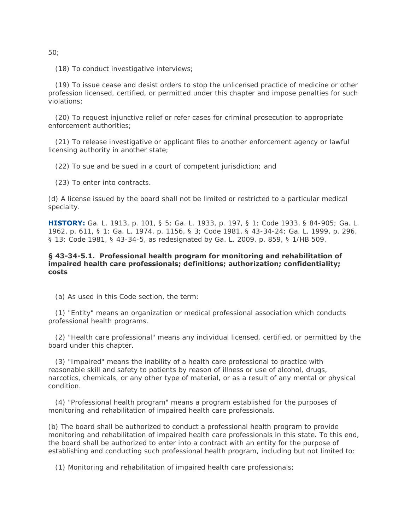50;

(18) To conduct investigative interviews;

 (19) To issue cease and desist orders to stop the unlicensed practice of medicine or other profession licensed, certified, or permitted under this chapter and impose penalties for such violations;

 (20) To request injunctive relief or refer cases for criminal prosecution to appropriate enforcement authorities;

 (21) To release investigative or applicant files to another enforcement agency or lawful licensing authority in another state;

(22) To sue and be sued in a court of competent jurisdiction; and

(23) To enter into contracts.

(d) A license issued by the board shall not be limited or restricted to a particular medical specialty.

**HISTORY:** Ga. L. 1913, p. 101, § 5; Ga. L. 1933, p. 197, § 1; Code 1933, § 84-905; Ga. L. 1962, p. 611, § 1; Ga. L. 1974, p. 1156, § 3; Code 1981, § 43-34-24; Ga. L. 1999, p. 296, § 13; Code 1981, § 43-34-5, as redesignated by Ga. L. 2009, p. 859, § 1/HB 509.

#### **§ 43-34-5.1. Professional health program for monitoring and rehabilitation of impaired health care professionals; definitions; authorization; confidentiality; costs**

(a) As used in this Code section, the term:

 (1) "Entity" means an organization or medical professional association which conducts professional health programs.

 (2) "Health care professional" means any individual licensed, certified, or permitted by the board under this chapter.

 (3) "Impaired" means the inability of a health care professional to practice with reasonable skill and safety to patients by reason of illness or use of alcohol, drugs, narcotics, chemicals, or any other type of material, or as a result of any mental or physical condition.

 (4) "Professional health program" means a program established for the purposes of monitoring and rehabilitation of impaired health care professionals.

(b) The board shall be authorized to conduct a professional health program to provide monitoring and rehabilitation of impaired health care professionals in this state. To this end, the board shall be authorized to enter into a contract with an entity for the purpose of establishing and conducting such professional health program, including but not limited to:

(1) Monitoring and rehabilitation of impaired health care professionals;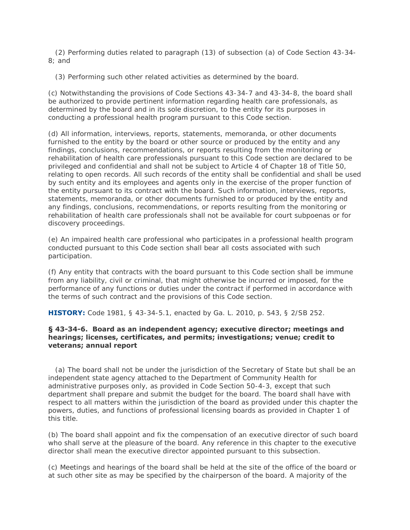(2) Performing duties related to paragraph (13) of subsection (a) of Code Section 43-34- 8; and

(3) Performing such other related activities as determined by the board.

(c) Notwithstanding the provisions of Code Sections 43-34-7 and 43-34-8, the board shall be authorized to provide pertinent information regarding health care professionals, as determined by the board and in its sole discretion, to the entity for its purposes in conducting a professional health program pursuant to this Code section.

(d) All information, interviews, reports, statements, memoranda, or other documents furnished to the entity by the board or other source or produced by the entity and any findings, conclusions, recommendations, or reports resulting from the monitoring or rehabilitation of health care professionals pursuant to this Code section are declared to be privileged and confidential and shall not be subject to Article 4 of Chapter 18 of Title 50, relating to open records. All such records of the entity shall be confidential and shall be used by such entity and its employees and agents only in the exercise of the proper function of the entity pursuant to its contract with the board. Such information, interviews, reports, statements, memoranda, or other documents furnished to or produced by the entity and any findings, conclusions, recommendations, or reports resulting from the monitoring or rehabilitation of health care professionals shall not be available for court subpoenas or for discovery proceedings.

(e) An impaired health care professional who participates in a professional health program conducted pursuant to this Code section shall bear all costs associated with such participation.

(f) Any entity that contracts with the board pursuant to this Code section shall be immune from any liability, civil or criminal, that might otherwise be incurred or imposed, for the performance of any functions or duties under the contract if performed in accordance with the terms of such contract and the provisions of this Code section.

**HISTORY:** Code 1981, § 43-34-5.1, enacted by Ga. L. 2010, p. 543, § 2/SB 252.

# **§ 43-34-6. Board as an independent agency; executive director; meetings and hearings; licenses, certificates, and permits; investigations; venue; credit to veterans; annual report**

 (a) The board shall not be under the jurisdiction of the Secretary of State but shall be an independent state agency attached to the Department of Community Health for administrative purposes only, as provided in Code Section 50-4-3, except that such department shall prepare and submit the budget for the board. The board shall have with respect to all matters within the jurisdiction of the board as provided under this chapter the powers, duties, and functions of professional licensing boards as provided in Chapter 1 of this title.

(b) The board shall appoint and fix the compensation of an executive director of such board who shall serve at the pleasure of the board. Any reference in this chapter to the executive director shall mean the executive director appointed pursuant to this subsection.

(c) Meetings and hearings of the board shall be held at the site of the office of the board or at such other site as may be specified by the chairperson of the board. A majority of the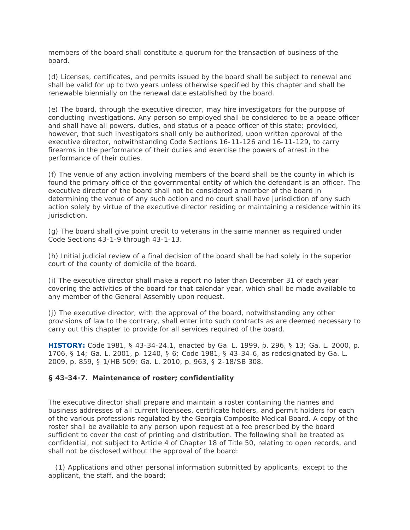members of the board shall constitute a quorum for the transaction of business of the board.

(d) Licenses, certificates, and permits issued by the board shall be subject to renewal and shall be valid for up to two years unless otherwise specified by this chapter and shall be renewable biennially on the renewal date established by the board.

(e) The board, through the executive director, may hire investigators for the purpose of conducting investigations. Any person so employed shall be considered to be a peace officer and shall have all powers, duties, and status of a peace officer of this state; provided, however, that such investigators shall only be authorized, upon written approval of the executive director, notwithstanding Code Sections 16-11-126 and 16-11-129, to carry firearms in the performance of their duties and exercise the powers of arrest in the performance of their duties.

(f) The venue of any action involving members of the board shall be the county in which is found the primary office of the governmental entity of which the defendant is an officer. The executive director of the board shall not be considered a member of the board in determining the venue of any such action and no court shall have jurisdiction of any such action solely by virtue of the executive director residing or maintaining a residence within its jurisdiction.

(g) The board shall give point credit to veterans in the same manner as required under Code Sections 43-1-9 through 43-1-13.

(h) Initial judicial review of a final decision of the board shall be had solely in the superior court of the county of domicile of the board.

(i) The executive director shall make a report no later than December 31 of each year covering the activities of the board for that calendar year, which shall be made available to any member of the General Assembly upon request.

(j) The executive director, with the approval of the board, notwithstanding any other provisions of law to the contrary, shall enter into such contracts as are deemed necessary to carry out this chapter to provide for all services required of the board.

**HISTORY:** Code 1981, § 43-34-24.1, enacted by Ga. L. 1999, p. 296, § 13; Ga. L. 2000, p. 1706, § 14; Ga. L. 2001, p. 1240, § 6; Code 1981, § 43-34-6, as redesignated by Ga. L. 2009, p. 859, § 1/HB 509; Ga. L. 2010, p. 963, § 2-18/SB 308.

# **§ 43-34-7. Maintenance of roster; confidentiality**

The executive director shall prepare and maintain a roster containing the names and business addresses of all current licensees, certificate holders, and permit holders for each of the various professions regulated by the Georgia Composite Medical Board. A copy of the roster shall be available to any person upon request at a fee prescribed by the board sufficient to cover the cost of printing and distribution. The following shall be treated as confidential, not subject to Article 4 of Chapter 18 of Title 50, relating to open records, and shall not be disclosed without the approval of the board:

 (1) Applications and other personal information submitted by applicants, except to the applicant, the staff, and the board;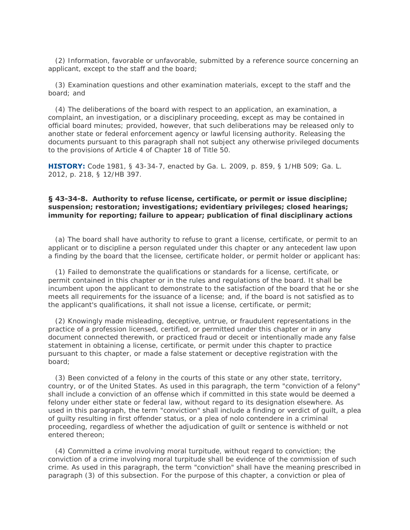(2) Information, favorable or unfavorable, submitted by a reference source concerning an applicant, except to the staff and the board;

 (3) Examination questions and other examination materials, except to the staff and the board; and

 (4) The deliberations of the board with respect to an application, an examination, a complaint, an investigation, or a disciplinary proceeding, except as may be contained in official board minutes; provided, however, that such deliberations may be released only to another state or federal enforcement agency or lawful licensing authority. Releasing the documents pursuant to this paragraph shall not subject any otherwise privileged documents to the provisions of Article 4 of Chapter 18 of Title 50.

**HISTORY:** Code 1981, § 43-34-7, enacted by Ga. L. 2009, p. 859, § 1/HB 509; Ga. L. 2012, p. 218, § 12/HB 397.

# **§ 43-34-8. Authority to refuse license, certificate, or permit or issue discipline; suspension; restoration; investigations; evidentiary privileges; closed hearings; immunity for reporting; failure to appear; publication of final disciplinary actions**

 (a) The board shall have authority to refuse to grant a license, certificate, or permit to an applicant or to discipline a person regulated under this chapter or any antecedent law upon a finding by the board that the licensee, certificate holder, or permit holder or applicant has:

 (1) Failed to demonstrate the qualifications or standards for a license, certificate, or permit contained in this chapter or in the rules and regulations of the board. It shall be incumbent upon the applicant to demonstrate to the satisfaction of the board that he or she meets all requirements for the issuance of a license; and, if the board is not satisfied as to the applicant's qualifications, it shall not issue a license, certificate, or permit;

 (2) Knowingly made misleading, deceptive, untrue, or fraudulent representations in the practice of a profession licensed, certified, or permitted under this chapter or in any document connected therewith, or practiced fraud or deceit or intentionally made any false statement in obtaining a license, certificate, or permit under this chapter to practice pursuant to this chapter, or made a false statement or deceptive registration with the board;

 (3) Been convicted of a felony in the courts of this state or any other state, territory, country, or of the United States. As used in this paragraph, the term "conviction of a felony" shall include a conviction of an offense which if committed in this state would be deemed a felony under either state or federal law, without regard to its designation elsewhere. As used in this paragraph, the term "conviction" shall include a finding or verdict of guilt, a plea of guilty resulting in first offender status, or a plea of nolo contendere in a criminal proceeding, regardless of whether the adjudication of guilt or sentence is withheld or not entered thereon;

 (4) Committed a crime involving moral turpitude, without regard to conviction; the conviction of a crime involving moral turpitude shall be evidence of the commission of such crime. As used in this paragraph, the term "conviction" shall have the meaning prescribed in paragraph (3) of this subsection. For the purpose of this chapter, a conviction or plea of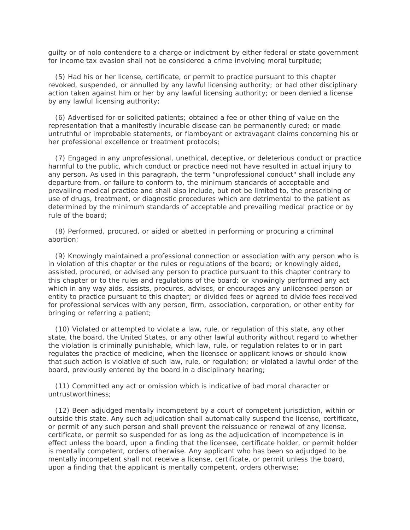guilty or of nolo contendere to a charge or indictment by either federal or state government for income tax evasion shall not be considered a crime involving moral turpitude;

 (5) Had his or her license, certificate, or permit to practice pursuant to this chapter revoked, suspended, or annulled by any lawful licensing authority; or had other disciplinary action taken against him or her by any lawful licensing authority; or been denied a license by any lawful licensing authority;

 (6) Advertised for or solicited patients; obtained a fee or other thing of value on the representation that a manifestly incurable disease can be permanently cured; or made untruthful or improbable statements, or flamboyant or extravagant claims concerning his or her professional excellence or treatment protocols;

 (7) Engaged in any unprofessional, unethical, deceptive, or deleterious conduct or practice harmful to the public, which conduct or practice need not have resulted in actual injury to any person. As used in this paragraph, the term "unprofessional conduct" shall include any departure from, or failure to conform to, the minimum standards of acceptable and prevailing medical practice and shall also include, but not be limited to, the prescribing or use of drugs, treatment, or diagnostic procedures which are detrimental to the patient as determined by the minimum standards of acceptable and prevailing medical practice or by rule of the board;

 (8) Performed, procured, or aided or abetted in performing or procuring a criminal abortion;

 (9) Knowingly maintained a professional connection or association with any person who is in violation of this chapter or the rules or regulations of the board; or knowingly aided, assisted, procured, or advised any person to practice pursuant to this chapter contrary to this chapter or to the rules and regulations of the board; or knowingly performed any act which in any way aids, assists, procures, advises, or encourages any unlicensed person or entity to practice pursuant to this chapter; or divided fees or agreed to divide fees received for professional services with any person, firm, association, corporation, or other entity for bringing or referring a patient;

 (10) Violated or attempted to violate a law, rule, or regulation of this state, any other state, the board, the United States, or any other lawful authority without regard to whether the violation is criminally punishable, which law, rule, or regulation relates to or in part regulates the practice of medicine, when the licensee or applicant knows or should know that such action is violative of such law, rule, or regulation; or violated a lawful order of the board, previously entered by the board in a disciplinary hearing;

 (11) Committed any act or omission which is indicative of bad moral character or untrustworthiness;

 (12) Been adjudged mentally incompetent by a court of competent jurisdiction, within or outside this state. Any such adjudication shall automatically suspend the license, certificate, or permit of any such person and shall prevent the reissuance or renewal of any license, certificate, or permit so suspended for as long as the adjudication of incompetence is in effect unless the board, upon a finding that the licensee, certificate holder, or permit holder is mentally competent, orders otherwise. Any applicant who has been so adjudged to be mentally incompetent shall not receive a license, certificate, or permit unless the board, upon a finding that the applicant is mentally competent, orders otherwise;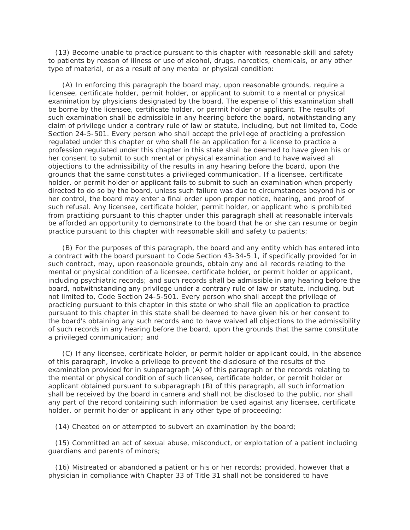(13) Become unable to practice pursuant to this chapter with reasonable skill and safety to patients by reason of illness or use of alcohol, drugs, narcotics, chemicals, or any other type of material, or as a result of any mental or physical condition:

 (A) In enforcing this paragraph the board may, upon reasonable grounds, require a licensee, certificate holder, permit holder, or applicant to submit to a mental or physical examination by physicians designated by the board. The expense of this examination shall be borne by the licensee, certificate holder, or permit holder or applicant. The results of such examination shall be admissible in any hearing before the board, notwithstanding any claim of privilege under a contrary rule of law or statute, including, but not limited to, Code Section 24-5-501. Every person who shall accept the privilege of practicing a profession regulated under this chapter or who shall file an application for a license to practice a profession regulated under this chapter in this state shall be deemed to have given his or her consent to submit to such mental or physical examination and to have waived all objections to the admissibility of the results in any hearing before the board, upon the grounds that the same constitutes a privileged communication. If a licensee, certificate holder, or permit holder or applicant fails to submit to such an examination when properly directed to do so by the board, unless such failure was due to circumstances beyond his or her control, the board may enter a final order upon proper notice, hearing, and proof of such refusal. Any licensee, certificate holder, permit holder, or applicant who is prohibited from practicing pursuant to this chapter under this paragraph shall at reasonable intervals be afforded an opportunity to demonstrate to the board that he or she can resume or begin practice pursuant to this chapter with reasonable skill and safety to patients;

 (B) For the purposes of this paragraph, the board and any entity which has entered into a contract with the board pursuant to Code Section 43-34-5.1, if specifically provided for in such contract, may, upon reasonable grounds, obtain any and all records relating to the mental or physical condition of a licensee, certificate holder, or permit holder or applicant, including psychiatric records; and such records shall be admissible in any hearing before the board, notwithstanding any privilege under a contrary rule of law or statute, including, but not limited to, Code Section 24-5-501. Every person who shall accept the privilege of practicing pursuant to this chapter in this state or who shall file an application to practice pursuant to this chapter in this state shall be deemed to have given his or her consent to the board's obtaining any such records and to have waived all objections to the admissibility of such records in any hearing before the board, upon the grounds that the same constitute a privileged communication; and

 (C) If any licensee, certificate holder, or permit holder or applicant could, in the absence of this paragraph, invoke a privilege to prevent the disclosure of the results of the examination provided for in subparagraph (A) of this paragraph or the records relating to the mental or physical condition of such licensee, certificate holder, or permit holder or applicant obtained pursuant to subparagraph (B) of this paragraph, all such information shall be received by the board in camera and shall not be disclosed to the public, nor shall any part of the record containing such information be used against any licensee, certificate holder, or permit holder or applicant in any other type of proceeding;

(14) Cheated on or attempted to subvert an examination by the board;

 (15) Committed an act of sexual abuse, misconduct, or exploitation of a patient including guardians and parents of minors;

 (16) Mistreated or abandoned a patient or his or her records; provided, however that a physician in compliance with Chapter 33 of Title 31 shall not be considered to have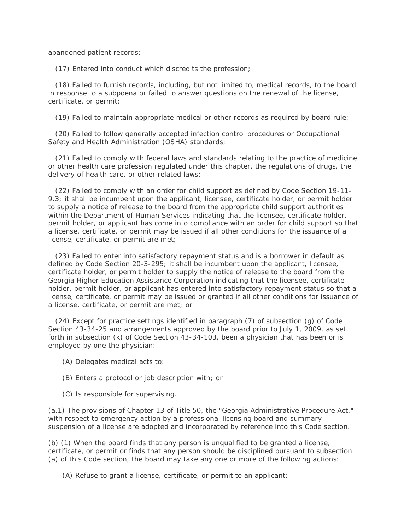abandoned patient records;

(17) Entered into conduct which discredits the profession;

 (18) Failed to furnish records, including, but not limited to, medical records, to the board in response to a subpoena or failed to answer questions on the renewal of the license, certificate, or permit;

(19) Failed to maintain appropriate medical or other records as required by board rule;

 (20) Failed to follow generally accepted infection control procedures or Occupational Safety and Health Administration (OSHA) standards;

 (21) Failed to comply with federal laws and standards relating to the practice of medicine or other health care profession regulated under this chapter, the regulations of drugs, the delivery of health care, or other related laws;

 (22) Failed to comply with an order for child support as defined by Code Section 19-11- 9.3; it shall be incumbent upon the applicant, licensee, certificate holder, or permit holder to supply a notice of release to the board from the appropriate child support authorities within the Department of Human Services indicating that the licensee, certificate holder, permit holder, or applicant has come into compliance with an order for child support so that a license, certificate, or permit may be issued if all other conditions for the issuance of a license, certificate, or permit are met;

 (23) Failed to enter into satisfactory repayment status and is a borrower in default as defined by Code Section 20-3-295; it shall be incumbent upon the applicant, licensee, certificate holder, or permit holder to supply the notice of release to the board from the Georgia Higher Education Assistance Corporation indicating that the licensee, certificate holder, permit holder, or applicant has entered into satisfactory repayment status so that a license, certificate, or permit may be issued or granted if all other conditions for issuance of a license, certificate, or permit are met; or

 (24) Except for practice settings identified in paragraph (7) of subsection (g) of Code Section 43-34-25 and arrangements approved by the board prior to July 1, 2009, as set forth in subsection (k) of Code Section 43-34-103, been a physician that has been or is employed by one the physician:

- (A) Delegates medical acts to:
- (B) Enters a protocol or job description with; or
- (C) Is responsible for supervising.

(a.1) The provisions of Chapter 13 of Title 50, the "Georgia Administrative Procedure Act," with respect to emergency action by a professional licensing board and summary suspension of a license are adopted and incorporated by reference into this Code section.

(b) (1) When the board finds that any person is unqualified to be granted a license, certificate, or permit or finds that any person should be disciplined pursuant to subsection (a) of this Code section, the board may take any one or more of the following actions:

(A) Refuse to grant a license, certificate, or permit to an applicant;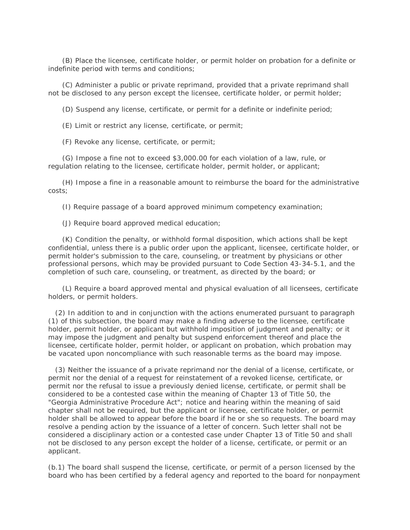(B) Place the licensee, certificate holder, or permit holder on probation for a definite or indefinite period with terms and conditions;

 (C) Administer a public or private reprimand, provided that a private reprimand shall not be disclosed to any person except the licensee, certificate holder, or permit holder;

(D) Suspend any license, certificate, or permit for a definite or indefinite period;

(E) Limit or restrict any license, certificate, or permit;

(F) Revoke any license, certificate, or permit;

 (G) Impose a fine not to exceed \$3,000.00 for each violation of a law, rule, or regulation relating to the licensee, certificate holder, permit holder, or applicant;

 (H) Impose a fine in a reasonable amount to reimburse the board for the administrative costs;

(I) Require passage of a board approved minimum competency examination;

(J) Require board approved medical education;

 (K) Condition the penalty, or withhold formal disposition, which actions shall be kept confidential, unless there is a public order upon the applicant, licensee, certificate holder, or permit holder's submission to the care, counseling, or treatment by physicians or other professional persons, which may be provided pursuant to Code Section 43-34-5.1, and the completion of such care, counseling, or treatment, as directed by the board; or

 (L) Require a board approved mental and physical evaluation of all licensees, certificate holders, or permit holders.

 (2) In addition to and in conjunction with the actions enumerated pursuant to paragraph (1) of this subsection, the board may make a finding adverse to the licensee, certificate holder, permit holder, or applicant but withhold imposition of judgment and penalty; or it may impose the judgment and penalty but suspend enforcement thereof and place the licensee, certificate holder, permit holder, or applicant on probation, which probation may be vacated upon noncompliance with such reasonable terms as the board may impose.

 (3) Neither the issuance of a private reprimand nor the denial of a license, certificate, or permit nor the denial of a request for reinstatement of a revoked license, certificate, or permit nor the refusal to issue a previously denied license, certificate, or permit shall be considered to be a contested case within the meaning of Chapter 13 of Title 50, the "Georgia Administrative Procedure Act"; notice and hearing within the meaning of said chapter shall not be required, but the applicant or licensee, certificate holder, or permit holder shall be allowed to appear before the board if he or she so requests. The board may resolve a pending action by the issuance of a letter of concern. Such letter shall not be considered a disciplinary action or a contested case under Chapter 13 of Title 50 and shall not be disclosed to any person except the holder of a license, certificate, or permit or an applicant.

(b.1) The board shall suspend the license, certificate, or permit of a person licensed by the board who has been certified by a federal agency and reported to the board for nonpayment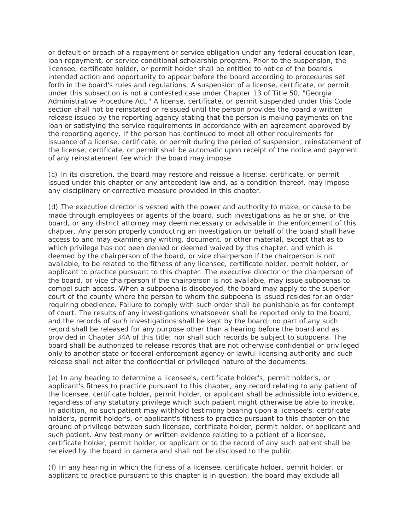or default or breach of a repayment or service obligation under any federal education loan, loan repayment, or service conditional scholarship program. Prior to the suspension, the licensee, certificate holder, or permit holder shall be entitled to notice of the board's intended action and opportunity to appear before the board according to procedures set forth in the board's rules and regulations. A suspension of a license, certificate, or permit under this subsection is not a contested case under Chapter 13 of Title 50, "Georgia Administrative Procedure Act." A license, certificate, or permit suspended under this Code section shall not be reinstated or reissued until the person provides the board a written release issued by the reporting agency stating that the person is making payments on the loan or satisfying the service requirements in accordance with an agreement approved by the reporting agency. If the person has continued to meet all other requirements for issuance of a license, certificate, or permit during the period of suspension, reinstatement of the license, certificate, or permit shall be automatic upon receipt of the notice and payment of any reinstatement fee which the board may impose.

(c) In its discretion, the board may restore and reissue a license, certificate, or permit issued under this chapter or any antecedent law and, as a condition thereof, may impose any disciplinary or corrective measure provided in this chapter.

(d) The executive director is vested with the power and authority to make, or cause to be made through employees or agents of the board, such investigations as he or she, or the board, or any district attorney may deem necessary or advisable in the enforcement of this chapter. Any person properly conducting an investigation on behalf of the board shall have access to and may examine any writing, document, or other material, except that as to which privilege has not been denied or deemed waived by this chapter, and which is deemed by the chairperson of the board, or vice chairperson if the chairperson is not available, to be related to the fitness of any licensee, certificate holder, permit holder, or applicant to practice pursuant to this chapter. The executive director or the chairperson of the board, or vice chairperson if the chairperson is not available, may issue subpoenas to compel such access. When a subpoena is disobeyed, the board may apply to the superior court of the county where the person to whom the subpoena is issued resides for an order requiring obedience. Failure to comply with such order shall be punishable as for contempt of court. The results of any investigations whatsoever shall be reported only to the board, and the records of such investigations shall be kept by the board; no part of any such record shall be released for any purpose other than a hearing before the board and as provided in Chapter 34A of this title; nor shall such records be subject to subpoena. The board shall be authorized to release records that are not otherwise confidential or privileged only to another state or federal enforcement agency or lawful licensing authority and such release shall not alter the confidential or privileged nature of the documents.

(e) In any hearing to determine a licensee's, certificate holder's, permit holder's, or applicant's fitness to practice pursuant to this chapter, any record relating to any patient of the licensee, certificate holder, permit holder, or applicant shall be admissible into evidence, regardless of any statutory privilege which such patient might otherwise be able to invoke. In addition, no such patient may withhold testimony bearing upon a licensee's, certificate holder's, permit holder's, or applicant's fitness to practice pursuant to this chapter on the ground of privilege between such licensee, certificate holder, permit holder, or applicant and such patient. Any testimony or written evidence relating to a patient of a licensee, certificate holder, permit holder, or applicant or to the record of any such patient shall be received by the board in camera and shall not be disclosed to the public.

(f) In any hearing in which the fitness of a licensee, certificate holder, permit holder, or applicant to practice pursuant to this chapter is in question, the board may exclude all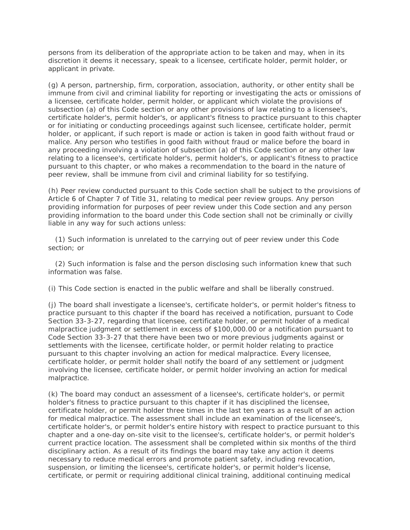persons from its deliberation of the appropriate action to be taken and may, when in its discretion it deems it necessary, speak to a licensee, certificate holder, permit holder, or applicant in private.

(g) A person, partnership, firm, corporation, association, authority, or other entity shall be immune from civil and criminal liability for reporting or investigating the acts or omissions of a licensee, certificate holder, permit holder, or applicant which violate the provisions of subsection (a) of this Code section or any other provisions of law relating to a licensee's, certificate holder's, permit holder's, or applicant's fitness to practice pursuant to this chapter or for initiating or conducting proceedings against such licensee, certificate holder, permit holder, or applicant, if such report is made or action is taken in good faith without fraud or malice. Any person who testifies in good faith without fraud or malice before the board in any proceeding involving a violation of subsection (a) of this Code section or any other law relating to a licensee's, certificate holder's, permit holder's, or applicant's fitness to practice pursuant to this chapter, or who makes a recommendation to the board in the nature of peer review, shall be immune from civil and criminal liability for so testifying.

(h) Peer review conducted pursuant to this Code section shall be subject to the provisions of Article 6 of Chapter 7 of Title 31, relating to medical peer review groups. Any person providing information for purposes of peer review under this Code section and any person providing information to the board under this Code section shall not be criminally or civilly liable in any way for such actions unless:

 (1) Such information is unrelated to the carrying out of peer review under this Code section; or

 (2) Such information is false and the person disclosing such information knew that such information was false.

(i) This Code section is enacted in the public welfare and shall be liberally construed.

(j) The board shall investigate a licensee's, certificate holder's, or permit holder's fitness to practice pursuant to this chapter if the board has received a notification, pursuant to Code Section 33-3-27, regarding that licensee, certificate holder, or permit holder of a medical malpractice judgment or settlement in excess of \$100,000.00 or a notification pursuant to Code Section 33-3-27 that there have been two or more previous judgments against or settlements with the licensee, certificate holder, or permit holder relating to practice pursuant to this chapter involving an action for medical malpractice. Every licensee, certificate holder, or permit holder shall notify the board of any settlement or judgment involving the licensee, certificate holder, or permit holder involving an action for medical malpractice.

(k) The board may conduct an assessment of a licensee's, certificate holder's, or permit holder's fitness to practice pursuant to this chapter if it has disciplined the licensee, certificate holder, or permit holder three times in the last ten years as a result of an action for medical malpractice. The assessment shall include an examination of the licensee's, certificate holder's, or permit holder's entire history with respect to practice pursuant to this chapter and a one-day on-site visit to the licensee's, certificate holder's, or permit holder's current practice location. The assessment shall be completed within six months of the third disciplinary action. As a result of its findings the board may take any action it deems necessary to reduce medical errors and promote patient safety, including revocation, suspension, or limiting the licensee's, certificate holder's, or permit holder's license, certificate, or permit or requiring additional clinical training, additional continuing medical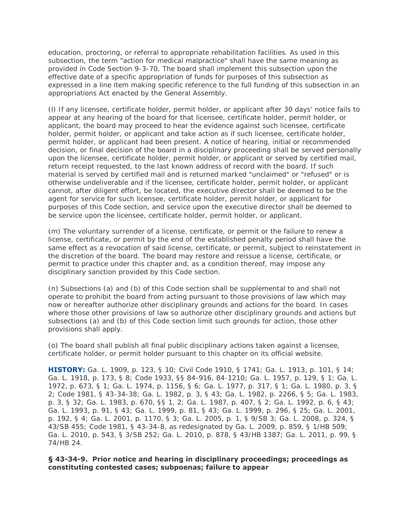education, proctoring, or referral to appropriate rehabilitation facilities. As used in this subsection, the term "action for medical malpractice" shall have the same meaning as provided in Code Section 9-3-70. The board shall implement this subsection upon the effective date of a specific appropriation of funds for purposes of this subsection as expressed in a line item making specific reference to the full funding of this subsection in an appropriations Act enacted by the General Assembly.

(l) If any licensee, certificate holder, permit holder, or applicant after 30 days' notice fails to appear at any hearing of the board for that licensee, certificate holder, permit holder, or applicant, the board may proceed to hear the evidence against such licensee, certificate holder, permit holder, or applicant and take action as if such licensee, certificate holder, permit holder, or applicant had been present. A notice of hearing, initial or recommended decision, or final decision of the board in a disciplinary proceeding shall be served personally upon the licensee, certificate holder, permit holder, or applicant or served by certified mail, return receipt requested, to the last known address of record with the board. If such material is served by certified mail and is returned marked "unclaimed" or "refused" or is otherwise undeliverable and if the licensee, certificate holder, permit holder, or applicant cannot, after diligent effort, be located, the executive director shall be deemed to be the agent for service for such licensee, certificate holder, permit holder, or applicant for purposes of this Code section, and service upon the executive director shall be deemed to be service upon the licensee, certificate holder, permit holder, or applicant.

(m) The voluntary surrender of a license, certificate, or permit or the failure to renew a license, certificate, or permit by the end of the established penalty period shall have the same effect as a revocation of said license, certificate, or permit, subject to reinstatement in the discretion of the board. The board may restore and reissue a license, certificate, or permit to practice under this chapter and, as a condition thereof, may impose any disciplinary sanction provided by this Code section.

(n) Subsections (a) and (b) of this Code section shall be supplemental to and shall not operate to prohibit the board from acting pursuant to those provisions of law which may now or hereafter authorize other disciplinary grounds and actions for the board. In cases where those other provisions of law so authorize other disciplinary grounds and actions but subsections (a) and (b) of this Code section limit such grounds for action, those other provisions shall apply.

(o) The board shall publish all final public disciplinary actions taken against a licensee, certificate holder, or permit holder pursuant to this chapter on its official website.

**HISTORY:** Ga. L. 1909, p. 123, § 10; Civil Code 1910, § 1741; Ga. L. 1913, p. 101, § 14; Ga. L. 1918, p. 173, § 8; Code 1933, §§ 84-916, 84-1210; Ga. L. 1957, p. 129, § 1; Ga. L. 1972, p. 673, § 1; Ga. L. 1974, p. 1156, § 6; Ga. L. 1977, p. 317, § 1; Ga. L. 1980, p. 3, § 2; Code 1981, § 43-34-38; Ga. L. 1982, p. 3, § 43; Ga. L. 1982, p. 2266, § 5; Ga. L. 1983, p. 3, § 32; Ga. L. 1983, p. 670, §§ 1, 2; Ga. L. 1987, p. 407, § 2; Ga. L. 1992, p. 6, § 43; Ga. L. 1993, p. 91, § 43; Ga. L. 1999, p. 81, § 43; Ga. L. 1999, p. 296, § 25; Ga. L. 2001, p. 192, § 4; Ga. L. 2001, p. 1170, § 3; Ga. L. 2005, p. 1, § 9/SB 3; Ga. L. 2008, p. 324, § 43/SB 455; Code 1981, § 43-34-8, as redesignated by Ga. L. 2009, p. 859, § 1/HB 509; Ga. L. 2010, p. 543, § 3/SB 252; Ga. L. 2010, p. 878, § 43/HB 1387; Ga. L. 2011, p. 99, § 74/HB 24.

**§ 43-34-9. Prior notice and hearing in disciplinary proceedings; proceedings as constituting contested cases; subpoenas; failure to appear**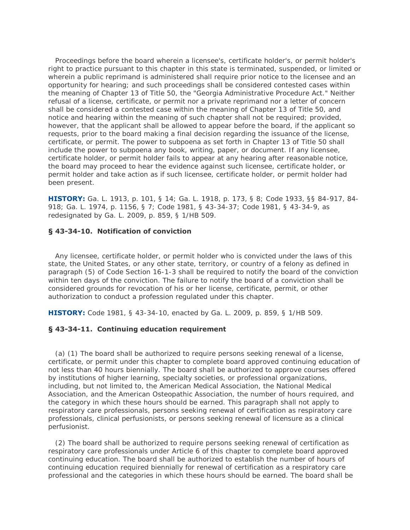Proceedings before the board wherein a licensee's, certificate holder's, or permit holder's right to practice pursuant to this chapter in this state is terminated, suspended, or limited or wherein a public reprimand is administered shall require prior notice to the licensee and an opportunity for hearing; and such proceedings shall be considered contested cases within the meaning of Chapter 13 of Title 50, the "Georgia Administrative Procedure Act." Neither refusal of a license, certificate, or permit nor a private reprimand nor a letter of concern shall be considered a contested case within the meaning of Chapter 13 of Title 50, and notice and hearing within the meaning of such chapter shall not be required; provided, however, that the applicant shall be allowed to appear before the board, if the applicant so requests, prior to the board making a final decision regarding the issuance of the license, certificate, or permit. The power to subpoena as set forth in Chapter 13 of Title 50 shall include the power to subpoena any book, writing, paper, or document. If any licensee, certificate holder, or permit holder fails to appear at any hearing after reasonable notice, the board may proceed to hear the evidence against such licensee, certificate holder, or permit holder and take action as if such licensee, certificate holder, or permit holder had been present.

**HISTORY:** Ga. L. 1913, p. 101, § 14; Ga. L. 1918, p. 173, § 8; Code 1933, §§ 84-917, 84- 918; Ga. L. 1974, p. 1156, § 7; Code 1981, § 43-34-37; Code 1981, § 43-34-9, as redesignated by Ga. L. 2009, p. 859, § 1/HB 509.

# **§ 43-34-10. Notification of conviction**

 Any licensee, certificate holder, or permit holder who is convicted under the laws of this state, the United States, or any other state, territory, or country of a felony as defined in paragraph (5) of Code Section 16-1-3 shall be required to notify the board of the conviction within ten days of the conviction. The failure to notify the board of a conviction shall be considered grounds for revocation of his or her license, certificate, permit, or other authorization to conduct a profession regulated under this chapter.

**HISTORY:** Code 1981, § 43-34-10, enacted by Ga. L. 2009, p. 859, § 1/HB 509.

#### **§ 43-34-11. Continuing education requirement**

 (a) (1) The board shall be authorized to require persons seeking renewal of a license, certificate, or permit under this chapter to complete board approved continuing education of not less than 40 hours biennially. The board shall be authorized to approve courses offered by institutions of higher learning, specialty societies, or professional organizations, including, but not limited to, the American Medical Association, the National Medical Association, and the American Osteopathic Association, the number of hours required, and the category in which these hours should be earned. This paragraph shall not apply to respiratory care professionals, persons seeking renewal of certification as respiratory care professionals, clinical perfusionists, or persons seeking renewal of licensure as a clinical perfusionist.

 (2) The board shall be authorized to require persons seeking renewal of certification as respiratory care professionals under Article 6 of this chapter to complete board approved continuing education. The board shall be authorized to establish the number of hours of continuing education required biennially for renewal of certification as a respiratory care professional and the categories in which these hours should be earned. The board shall be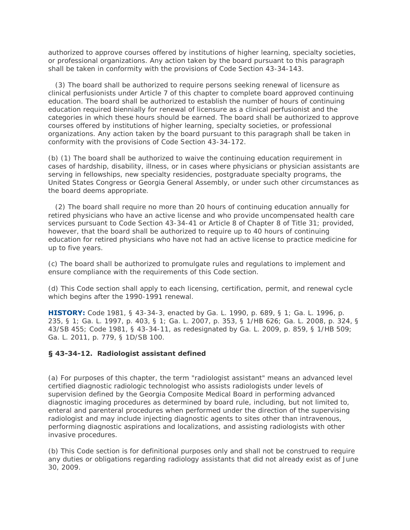authorized to approve courses offered by institutions of higher learning, specialty societies, or professional organizations. Any action taken by the board pursuant to this paragraph shall be taken in conformity with the provisions of Code Section 43-34-143.

 (3) The board shall be authorized to require persons seeking renewal of licensure as clinical perfusionists under Article 7 of this chapter to complete board approved continuing education. The board shall be authorized to establish the number of hours of continuing education required biennially for renewal of licensure as a clinical perfusionist and the categories in which these hours should be earned. The board shall be authorized to approve courses offered by institutions of higher learning, specialty societies, or professional organizations. Any action taken by the board pursuant to this paragraph shall be taken in conformity with the provisions of Code Section 43-34-172.

(b) (1) The board shall be authorized to waive the continuing education requirement in cases of hardship, disability, illness, or in cases where physicians or physician assistants are serving in fellowships, new specialty residencies, postgraduate specialty programs, the United States Congress or Georgia General Assembly, or under such other circumstances as the board deems appropriate.

 (2) The board shall require no more than 20 hours of continuing education annually for retired physicians who have an active license and who provide uncompensated health care services pursuant to Code Section 43-34-41 or Article 8 of Chapter 8 of Title 31; provided, however, that the board shall be authorized to require up to 40 hours of continuing education for retired physicians who have not had an active license to practice medicine for up to five years.

(c) The board shall be authorized to promulgate rules and regulations to implement and ensure compliance with the requirements of this Code section.

(d) This Code section shall apply to each licensing, certification, permit, and renewal cycle which begins after the 1990-1991 renewal.

**HISTORY:** Code 1981, § 43-34-3, enacted by Ga. L. 1990, p. 689, § 1; Ga. L. 1996, p. 235, § 1; Ga. L. 1997, p. 403, § 1; Ga. L. 2007, p. 353, § 1/HB 626; Ga. L. 2008, p. 324, § 43/SB 455; Code 1981, § 43-34-11, as redesignated by Ga. L. 2009, p. 859, § 1/HB 509; Ga. L. 2011, p. 779, § 1D/SB 100.

# **§ 43-34-12. Radiologist assistant defined**

(a) For purposes of this chapter, the term "radiologist assistant" means an advanced level certified diagnostic radiologic technologist who assists radiologists under levels of supervision defined by the Georgia Composite Medical Board in performing advanced diagnostic imaging procedures as determined by board rule, including, but not limited to, enteral and parenteral procedures when performed under the direction of the supervising radiologist and may include injecting diagnostic agents to sites other than intravenous, performing diagnostic aspirations and localizations, and assisting radiologists with other invasive procedures.

(b) This Code section is for definitional purposes only and shall not be construed to require any duties or obligations regarding radiology assistants that did not already exist as of June 30, 2009.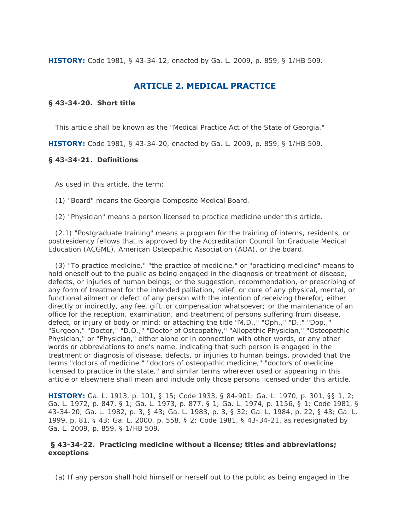**HISTORY:** Code 1981, § 43-34-12, enacted by Ga. L. 2009, p. 859, § 1/HB 509.

# **ARTICLE 2. MEDICAL PRACTICE**

#### **§ 43-34-20. Short title**

This article shall be known as the "Medical Practice Act of the State of Georgia."

**HISTORY:** Code 1981, § 43-34-20, enacted by Ga. L. 2009, p. 859, § 1/HB 509.

#### **§ 43-34-21. Definitions**

As used in this article, the term:

- (1) "Board" means the Georgia Composite Medical Board.
- (2) "Physician" means a person licensed to practice medicine under this article.

 (2.1) "Postgraduate training" means a program for the training of interns, residents, or postresidency fellows that is approved by the Accreditation Council for Graduate Medical Education (ACGME), American Osteopathic Association (AOA), or the board.

 (3) "To practice medicine," "the practice of medicine," or "practicing medicine" means to hold oneself out to the public as being engaged in the diagnosis or treatment of disease, defects, or injuries of human beings; or the suggestion, recommendation, or prescribing of any form of treatment for the intended palliation, relief, or cure of any physical, mental, or functional ailment or defect of any person with the intention of receiving therefor, either directly or indirectly, any fee, gift, or compensation whatsoever; or the maintenance of an office for the reception, examination, and treatment of persons suffering from disease, defect, or injury of body or mind; or attaching the title "M.D.," "Oph.," "D.," "Dop.," "Surgeon," "Doctor," "D.O.," "Doctor of Osteopathy," "Allopathic Physician," "Osteopathic Physician," or "Physician," either alone or in connection with other words, or any other words or abbreviations to one's name, indicating that such person is engaged in the treatment or diagnosis of disease, defects, or injuries to human beings, provided that the terms "doctors of medicine," "doctors of osteopathic medicine," "doctors of medicine licensed to practice in the state," and similar terms wherever used or appearing in this article or elsewhere shall mean and include only those persons licensed under this article.

**HISTORY:** Ga. L. 1913, p. 101, § 15; Code 1933, § 84-901; Ga. L. 1970, p. 301, §§ 1, 2; Ga. L. 1972, p. 847, § 1; Ga. L. 1973, p. 877, § 1; Ga. L. 1974, p. 1156, § 1; Code 1981, § 43-34-20; Ga. L. 1982, p. 3, § 43; Ga. L. 1983, p. 3, § 32; Ga. L. 1984, p. 22, § 43; Ga. L. 1999, p. 81, § 43; Ga. L. 2000, p. 558, § 2; Code 1981, § 43-34-21, as redesignated by Ga. L. 2009, p. 859, § 1/HB 509.

#### **§ 43-34-22. Practicing medicine without a license; titles and abbreviations; exceptions**

(a) If any person shall hold himself or herself out to the public as being engaged in the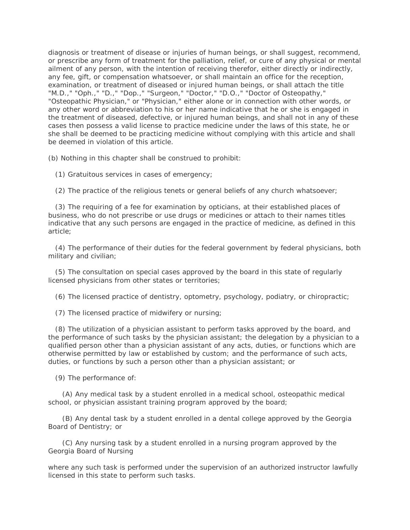diagnosis or treatment of disease or injuries of human beings, or shall suggest, recommend, or prescribe any form of treatment for the palliation, relief, or cure of any physical or mental ailment of any person, with the intention of receiving therefor, either directly or indirectly, any fee, gift, or compensation whatsoever, or shall maintain an office for the reception, examination, or treatment of diseased or injured human beings, or shall attach the title "M.D.," "Oph.," "D.," "Dop.," "Surgeon," "Doctor," "D.O.," "Doctor of Osteopathy," "Osteopathic Physician," or "Physician," either alone or in connection with other words, or any other word or abbreviation to his or her name indicative that he or she is engaged in the treatment of diseased, defective, or injured human beings, and shall not in any of these cases then possess a valid license to practice medicine under the laws of this state, he or she shall be deemed to be practicing medicine without complying with this article and shall be deemed in violation of this article.

(b) Nothing in this chapter shall be construed to prohibit:

(1) Gratuitous services in cases of emergency;

(2) The practice of the religious tenets or general beliefs of any church whatsoever;

 (3) The requiring of a fee for examination by opticians, at their established places of business, who do not prescribe or use drugs or medicines or attach to their names titles indicative that any such persons are engaged in the practice of medicine, as defined in this article;

 (4) The performance of their duties for the federal government by federal physicians, both military and civilian;

 (5) The consultation on special cases approved by the board in this state of regularly licensed physicians from other states or territories;

(6) The licensed practice of dentistry, optometry, psychology, podiatry, or chiropractic;

(7) The licensed practice of midwifery or nursing;

 (8) The utilization of a physician assistant to perform tasks approved by the board, and the performance of such tasks by the physician assistant; the delegation by a physician to a qualified person other than a physician assistant of any acts, duties, or functions which are otherwise permitted by law or established by custom; and the performance of such acts, duties, or functions by such a person other than a physician assistant; or

(9) The performance of:

 (A) Any medical task by a student enrolled in a medical school, osteopathic medical school, or physician assistant training program approved by the board;

 (B) Any dental task by a student enrolled in a dental college approved by the Georgia Board of Dentistry; or

 (C) Any nursing task by a student enrolled in a nursing program approved by the Georgia Board of Nursing

where any such task is performed under the supervision of an authorized instructor lawfully licensed in this state to perform such tasks.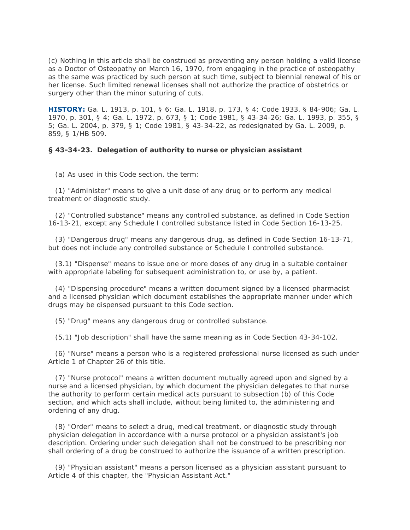(c) Nothing in this article shall be construed as preventing any person holding a valid license as a Doctor of Osteopathy on March 16, 1970, from engaging in the practice of osteopathy as the same was practiced by such person at such time, subject to biennial renewal of his or her license. Such limited renewal licenses shall not authorize the practice of obstetrics or surgery other than the minor suturing of cuts.

**HISTORY:** Ga. L. 1913, p. 101, § 6; Ga. L. 1918, p. 173, § 4; Code 1933, § 84-906; Ga. L. 1970, p. 301, § 4; Ga. L. 1972, p. 673, § 1; Code 1981, § 43-34-26; Ga. L. 1993, p. 355, § 5; Ga. L. 2004, p. 379, § 1; Code 1981, § 43-34-22, as redesignated by Ga. L. 2009, p. 859, § 1/HB 509.

#### **§ 43-34-23. Delegation of authority to nurse or physician assistant**

(a) As used in this Code section, the term:

 (1) "Administer" means to give a unit dose of any drug or to perform any medical treatment or diagnostic study.

 (2) "Controlled substance" means any controlled substance, as defined in Code Section 16-13-21, except any Schedule I controlled substance listed in Code Section 16-13-25.

 (3) "Dangerous drug" means any dangerous drug, as defined in Code Section 16-13-71, but does not include any controlled substance or Schedule I controlled substance.

 (3.1) "Dispense" means to issue one or more doses of any drug in a suitable container with appropriate labeling for subsequent administration to, or use by, a patient.

 (4) "Dispensing procedure" means a written document signed by a licensed pharmacist and a licensed physician which document establishes the appropriate manner under which drugs may be dispensed pursuant to this Code section.

(5) "Drug" means any dangerous drug or controlled substance.

(5.1) "Job description" shall have the same meaning as in Code Section 43-34-102.

 (6) "Nurse" means a person who is a registered professional nurse licensed as such under Article 1 of Chapter 26 of this title.

 (7) "Nurse protocol" means a written document mutually agreed upon and signed by a nurse and a licensed physician, by which document the physician delegates to that nurse the authority to perform certain medical acts pursuant to subsection (b) of this Code section, and which acts shall include, without being limited to, the administering and ordering of any drug.

 (8) "Order" means to select a drug, medical treatment, or diagnostic study through physician delegation in accordance with a nurse protocol or a physician assistant's job description. Ordering under such delegation shall not be construed to be prescribing nor shall ordering of a drug be construed to authorize the issuance of a written prescription.

 (9) "Physician assistant" means a person licensed as a physician assistant pursuant to Article 4 of this chapter, the "Physician Assistant Act."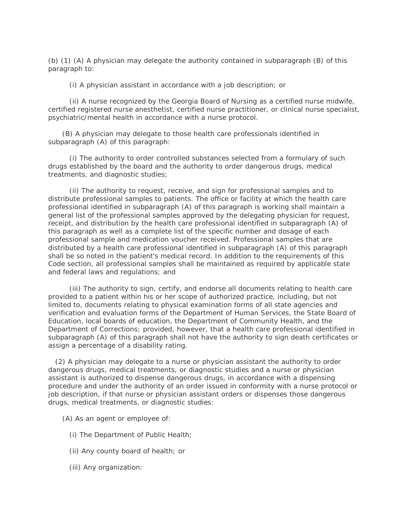(b) (1) (A) A physician may delegate the authority contained in subparagraph (B) of this paragraph to:

(i) A physician assistant in accordance with a job description; or

 (ii) A nurse recognized by the Georgia Board of Nursing as a certified nurse midwife, certified registered nurse anesthetist, certified nurse practitioner, or clinical nurse specialist, psychiatric/mental health in accordance with a nurse protocol.

 (B) A physician may delegate to those health care professionals identified in subparagraph (A) of this paragraph:

 (i) The authority to order controlled substances selected from a formulary of such drugs established by the board and the authority to order dangerous drugs, medical treatments, and diagnostic studies;

 (ii) The authority to request, receive, and sign for professional samples and to distribute professional samples to patients. The office or facility at which the health care professional identified in subparagraph (A) of this paragraph is working shall maintain a general list of the professional samples approved by the delegating physician for request, receipt, and distribution by the health care professional identified in subparagraph (A) of this paragraph as well as a complete list of the specific number and dosage of each professional sample and medication voucher received. Professional samples that are distributed by a health care professional identified in subparagraph (A) of this paragraph shall be so noted in the patient's medical record. In addition to the requirements of this Code section, all professional samples shall be maintained as required by applicable state and federal laws and regulations; and

 (iii) The authority to sign, certify, and endorse all documents relating to health care provided to a patient within his or her scope of authorized practice, including, but not limited to, documents relating to physical examination forms of all state agencies and verification and evaluation forms of the Department of Human Services, the State Board of Education, local boards of education, the Department of Community Health, and the Department of Corrections; provided, however, that a health care professional identified in subparagraph (A) of this paragraph shall not have the authority to sign death certificates or assign a percentage of a disability rating.

 (2) A physician may delegate to a nurse or physician assistant the authority to order dangerous drugs, medical treatments, or diagnostic studies and a nurse or physician assistant is authorized to dispense dangerous drugs, in accordance with a dispensing procedure and under the authority of an order issued in conformity with a nurse protocol or job description, if that nurse or physician assistant orders or dispenses those dangerous drugs, medical treatments, or diagnostic studies:

(A) As an agent or employee of:

- (i) The Department of Public Health;
- (ii) Any county board of health; or
- (iii) Any organization: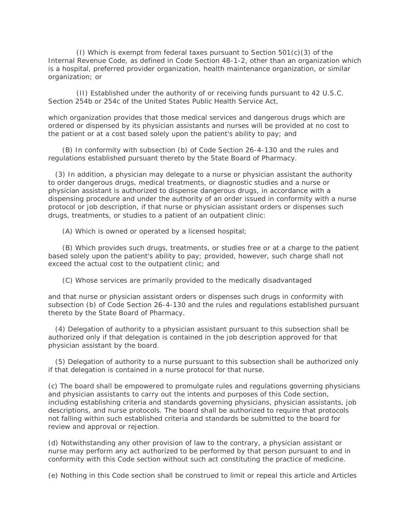(I) Which is exempt from federal taxes pursuant to Section 501(c)(3) of the Internal Revenue Code, as defined in Code Section 48-1-2, other than an organization which is a hospital, preferred provider organization, health maintenance organization, or similar organization; or

 (II) Established under the authority of or receiving funds pursuant to 42 U.S.C. Section 254b or 254c of the United States Public Health Service Act,

which organization provides that those medical services and dangerous drugs which are ordered or dispensed by its physician assistants and nurses will be provided at no cost to the patient or at a cost based solely upon the patient's ability to pay; and

 (B) In conformity with subsection (b) of Code Section 26-4-130 and the rules and regulations established pursuant thereto by the State Board of Pharmacy.

 (3) In addition, a physician may delegate to a nurse or physician assistant the authority to order dangerous drugs, medical treatments, or diagnostic studies and a nurse or physician assistant is authorized to dispense dangerous drugs, in accordance with a dispensing procedure and under the authority of an order issued in conformity with a nurse protocol or job description, if that nurse or physician assistant orders or dispenses such drugs, treatments, or studies to a patient of an outpatient clinic:

(A) Which is owned or operated by a licensed hospital;

 (B) Which provides such drugs, treatments, or studies free or at a charge to the patient based solely upon the patient's ability to pay; provided, however, such charge shall not exceed the actual cost to the outpatient clinic; and

(C) Whose services are primarily provided to the medically disadvantaged

and that nurse or physician assistant orders or dispenses such drugs in conformity with subsection (b) of Code Section 26-4-130 and the rules and regulations established pursuant thereto by the State Board of Pharmacy.

 (4) Delegation of authority to a physician assistant pursuant to this subsection shall be authorized only if that delegation is contained in the job description approved for that physician assistant by the board.

 (5) Delegation of authority to a nurse pursuant to this subsection shall be authorized only if that delegation is contained in a nurse protocol for that nurse.

(c) The board shall be empowered to promulgate rules and regulations governing physicians and physician assistants to carry out the intents and purposes of this Code section, including establishing criteria and standards governing physicians, physician assistants, job descriptions, and nurse protocols. The board shall be authorized to require that protocols not falling within such established criteria and standards be submitted to the board for review and approval or rejection.

(d) Notwithstanding any other provision of law to the contrary, a physician assistant or nurse may perform any act authorized to be performed by that person pursuant to and in conformity with this Code section without such act constituting the practice of medicine.

(e) Nothing in this Code section shall be construed to limit or repeal this article and Articles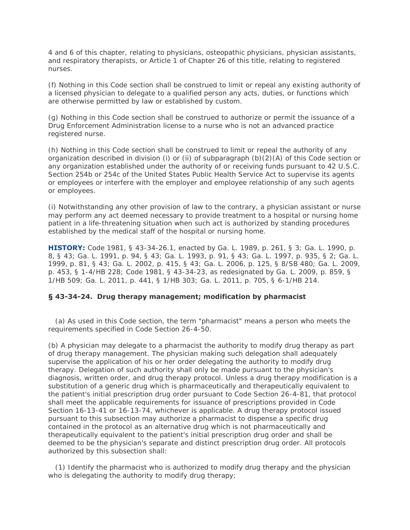4 and 6 of this chapter, relating to physicians, osteopathic physicians, physician assistants, and respiratory therapists, or Article 1 of Chapter 26 of this title, relating to registered nurses.

(f) Nothing in this Code section shall be construed to limit or repeal any existing authority of a licensed physician to delegate to a qualified person any acts, duties, or functions which are otherwise permitted by law or established by custom.

(g) Nothing in this Code section shall be construed to authorize or permit the issuance of a Drug Enforcement Administration license to a nurse who is not an advanced practice registered nurse.

(h) Nothing in this Code section shall be construed to limit or repeal the authority of any organization described in division (i) or (ii) of subparagraph (b)(2)(A) of this Code section or any organization established under the authority of or receiving funds pursuant to 42 U.S.C. Section 254b or 254c of the United States Public Health Service Act to supervise its agents or employees or interfere with the employer and employee relationship of any such agents or employees.

(i) Notwithstanding any other provision of law to the contrary, a physician assistant or nurse may perform any act deemed necessary to provide treatment to a hospital or nursing home patient in a life-threatening situation when such act is authorized by standing procedures established by the medical staff of the hospital or nursing home.

**HISTORY:** Code 1981, § 43-34-26.1, enacted by Ga. L. 1989, p. 261, § 3; Ga. L. 1990, p. 8, § 43; Ga. L. 1991, p. 94, § 43; Ga. L. 1993, p. 91, § 43; Ga. L. 1997, p. 935, § 2; Ga. L. 1999, p. 81, § 43; Ga. L. 2002, p. 415, § 43; Ga. L. 2006, p. 125, § 8/SB 480; Ga. L. 2009, p. 453, § 1-4/HB 228; Code 1981, § 43-34-23, as redesignated by Ga. L. 2009, p. 859, § 1/HB 509; Ga. L. 2011, p. 441, § 1/HB 303; Ga. L. 2011, p. 705, § 6-1/HB 214.

# **§ 43-34-24. Drug therapy management; modification by pharmacist**

 (a) As used in this Code section, the term "pharmacist" means a person who meets the requirements specified in Code Section 26-4-50.

(b) A physician may delegate to a pharmacist the authority to modify drug therapy as part of drug therapy management. The physician making such delegation shall adequately supervise the application of his or her order delegating the authority to modify drug therapy. Delegation of such authority shall only be made pursuant to the physician's diagnosis, written order, and drug therapy protocol. Unless a drug therapy modification is a substitution of a generic drug which is pharmaceutically and therapeutically equivalent to the patient's initial prescription drug order pursuant to Code Section 26-4-81, that protocol shall meet the applicable requirements for issuance of prescriptions provided in Code Section 16-13-41 or 16-13-74, whichever is applicable. A drug therapy protocol issued pursuant to this subsection may authorize a pharmacist to dispense a specific drug contained in the protocol as an alternative drug which is not pharmaceutically and therapeutically equivalent to the patient's initial prescription drug order and shall be deemed to be the physician's separate and distinct prescription drug order. All protocols authorized by this subsection shall:

 (1) Identify the pharmacist who is authorized to modify drug therapy and the physician who is delegating the authority to modify drug therapy;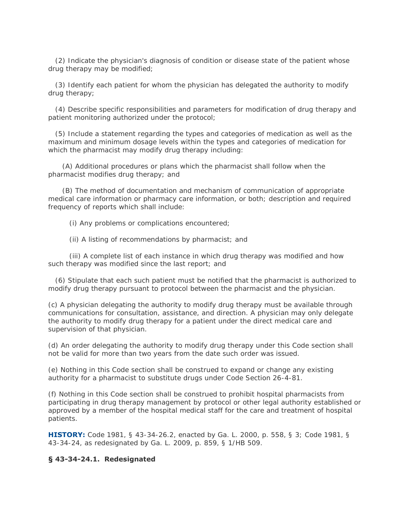(2) Indicate the physician's diagnosis of condition or disease state of the patient whose drug therapy may be modified;

 (3) Identify each patient for whom the physician has delegated the authority to modify drug therapy;

 (4) Describe specific responsibilities and parameters for modification of drug therapy and patient monitoring authorized under the protocol;

 (5) Include a statement regarding the types and categories of medication as well as the maximum and minimum dosage levels within the types and categories of medication for which the pharmacist may modify drug therapy including:

 (A) Additional procedures or plans which the pharmacist shall follow when the pharmacist modifies drug therapy; and

 (B) The method of documentation and mechanism of communication of appropriate medical care information or pharmacy care information, or both; description and required frequency of reports which shall include:

(i) Any problems or complications encountered;

(ii) A listing of recommendations by pharmacist; and

 (iii) A complete list of each instance in which drug therapy was modified and how such therapy was modified since the last report; and

 (6) Stipulate that each such patient must be notified that the pharmacist is authorized to modify drug therapy pursuant to protocol between the pharmacist and the physician.

(c) A physician delegating the authority to modify drug therapy must be available through communications for consultation, assistance, and direction. A physician may only delegate the authority to modify drug therapy for a patient under the direct medical care and supervision of that physician.

(d) An order delegating the authority to modify drug therapy under this Code section shall not be valid for more than two years from the date such order was issued.

(e) Nothing in this Code section shall be construed to expand or change any existing authority for a pharmacist to substitute drugs under Code Section 26-4-81.

(f) Nothing in this Code section shall be construed to prohibit hospital pharmacists from participating in drug therapy management by protocol or other legal authority established or approved by a member of the hospital medical staff for the care and treatment of hospital patients.

**HISTORY:** Code 1981, § 43-34-26.2, enacted by Ga. L. 2000, p. 558, § 3; Code 1981, § 43-34-24, as redesignated by Ga. L. 2009, p. 859, § 1/HB 509.

#### **§ 43-34-24.1. Redesignated**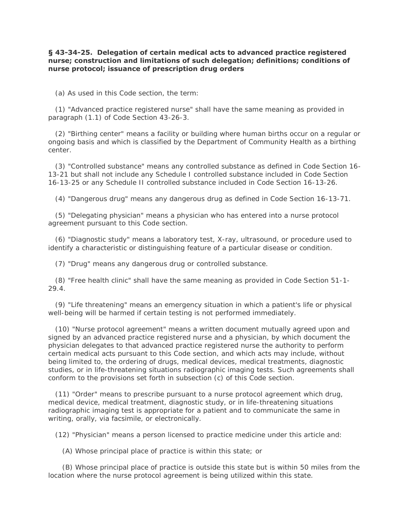# **§ 43-34-25. Delegation of certain medical acts to advanced practice registered nurse; construction and limitations of such delegation; definitions; conditions of nurse protocol; issuance of prescription drug orders**

(a) As used in this Code section, the term:

 (1) "Advanced practice registered nurse" shall have the same meaning as provided in paragraph (1.1) of Code Section 43-26-3.

 (2) "Birthing center" means a facility or building where human births occur on a regular or ongoing basis and which is classified by the Department of Community Health as a birthing center.

 (3) "Controlled substance" means any controlled substance as defined in Code Section 16- 13-21 but shall not include any Schedule I controlled substance included in Code Section 16-13-25 or any Schedule II controlled substance included in Code Section 16-13-26.

(4) "Dangerous drug" means any dangerous drug as defined in Code Section 16-13-71.

 (5) "Delegating physician" means a physician who has entered into a nurse protocol agreement pursuant to this Code section.

 (6) "Diagnostic study" means a laboratory test, X-ray, ultrasound, or procedure used to identify a characteristic or distinguishing feature of a particular disease or condition.

(7) "Drug" means any dangerous drug or controlled substance.

 (8) "Free health clinic" shall have the same meaning as provided in Code Section 51-1- 29.4.

 (9) "Life threatening" means an emergency situation in which a patient's life or physical well-being will be harmed if certain testing is not performed immediately.

 (10) "Nurse protocol agreement" means a written document mutually agreed upon and signed by an advanced practice registered nurse and a physician, by which document the physician delegates to that advanced practice registered nurse the authority to perform certain medical acts pursuant to this Code section, and which acts may include, without being limited to, the ordering of drugs, medical devices, medical treatments, diagnostic studies, or in life-threatening situations radiographic imaging tests. Such agreements shall conform to the provisions set forth in subsection (c) of this Code section.

 (11) "Order" means to prescribe pursuant to a nurse protocol agreement which drug, medical device, medical treatment, diagnostic study, or in life-threatening situations radiographic imaging test is appropriate for a patient and to communicate the same in writing, orally, via facsimile, or electronically.

(12) "Physician" means a person licensed to practice medicine under this article and:

(A) Whose principal place of practice is within this state; or

 (B) Whose principal place of practice is outside this state but is within 50 miles from the location where the nurse protocol agreement is being utilized within this state.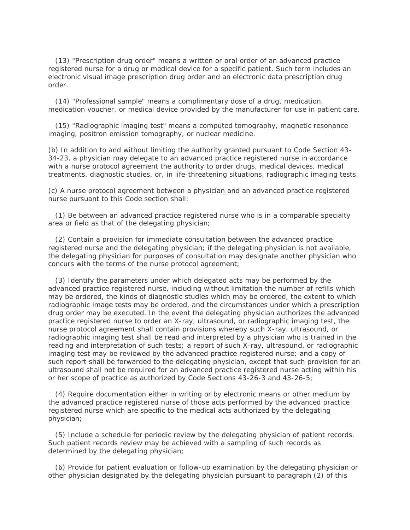(13) "Prescription drug order" means a written or oral order of an advanced practice registered nurse for a drug or medical device for a specific patient. Such term includes an electronic visual image prescription drug order and an electronic data prescription drug order.

 (14) "Professional sample" means a complimentary dose of a drug, medication, medication voucher, or medical device provided by the manufacturer for use in patient care.

 (15) "Radiographic imaging test" means a computed tomography, magnetic resonance imaging, positron emission tomography, or nuclear medicine.

(b) In addition to and without limiting the authority granted pursuant to Code Section 43- 34-23, a physician may delegate to an advanced practice registered nurse in accordance with a nurse protocol agreement the authority to order drugs, medical devices, medical treatments, diagnostic studies, or, in life-threatening situations, radiographic imaging tests.

(c) A nurse protocol agreement between a physician and an advanced practice registered nurse pursuant to this Code section shall:

 (1) Be between an advanced practice registered nurse who is in a comparable specialty area or field as that of the delegating physician;

 (2) Contain a provision for immediate consultation between the advanced practice registered nurse and the delegating physician; if the delegating physician is not available, the delegating physician for purposes of consultation may designate another physician who concurs with the terms of the nurse protocol agreement;

 (3) Identify the parameters under which delegated acts may be performed by the advanced practice registered nurse, including without limitation the number of refills which may be ordered, the kinds of diagnostic studies which may be ordered, the extent to which radiographic image tests may be ordered, and the circumstances under which a prescription drug order may be executed. In the event the delegating physician authorizes the advanced practice registered nurse to order an X-ray, ultrasound, or radiographic imaging test, the nurse protocol agreement shall contain provisions whereby such X-ray, ultrasound, or radiographic imaging test shall be read and interpreted by a physician who is trained in the reading and interpretation of such tests; a report of such X-ray, ultrasound, or radiographic imaging test may be reviewed by the advanced practice registered nurse; and a copy of such report shall be forwarded to the delegating physician, except that such provision for an ultrasound shall not be required for an advanced practice registered nurse acting within his or her scope of practice as authorized by Code Sections 43-26-3 and 43-26-5;

 (4) Require documentation either in writing or by electronic means or other medium by the advanced practice registered nurse of those acts performed by the advanced practice registered nurse which are specific to the medical acts authorized by the delegating physician;

 (5) Include a schedule for periodic review by the delegating physician of patient records. Such patient records review may be achieved with a sampling of such records as determined by the delegating physician;

 (6) Provide for patient evaluation or follow-up examination by the delegating physician or other physician designated by the delegating physician pursuant to paragraph (2) of this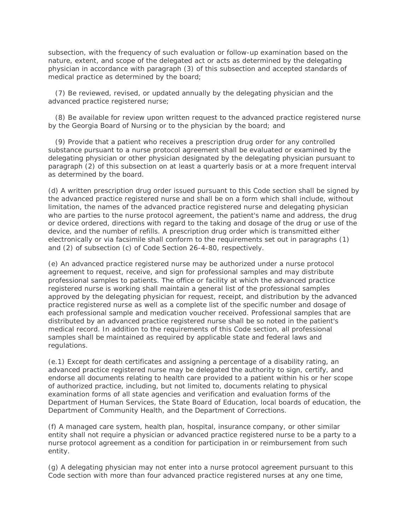subsection, with the frequency of such evaluation or follow-up examination based on the nature, extent, and scope of the delegated act or acts as determined by the delegating physician in accordance with paragraph (3) of this subsection and accepted standards of medical practice as determined by the board;

 (7) Be reviewed, revised, or updated annually by the delegating physician and the advanced practice registered nurse;

 (8) Be available for review upon written request to the advanced practice registered nurse by the Georgia Board of Nursing or to the physician by the board; and

 (9) Provide that a patient who receives a prescription drug order for any controlled substance pursuant to a nurse protocol agreement shall be evaluated or examined by the delegating physician or other physician designated by the delegating physician pursuant to paragraph (2) of this subsection on at least a quarterly basis or at a more frequent interval as determined by the board.

(d) A written prescription drug order issued pursuant to this Code section shall be signed by the advanced practice registered nurse and shall be on a form which shall include, without limitation, the names of the advanced practice registered nurse and delegating physician who are parties to the nurse protocol agreement, the patient's name and address, the drug or device ordered, directions with regard to the taking and dosage of the drug or use of the device, and the number of refills. A prescription drug order which is transmitted either electronically or via facsimile shall conform to the requirements set out in paragraphs (1) and (2) of subsection (c) of Code Section 26-4-80, respectively.

(e) An advanced practice registered nurse may be authorized under a nurse protocol agreement to request, receive, and sign for professional samples and may distribute professional samples to patients. The office or facility at which the advanced practice registered nurse is working shall maintain a general list of the professional samples approved by the delegating physician for request, receipt, and distribution by the advanced practice registered nurse as well as a complete list of the specific number and dosage of each professional sample and medication voucher received. Professional samples that are distributed by an advanced practice registered nurse shall be so noted in the patient's medical record. In addition to the requirements of this Code section, all professional samples shall be maintained as required by applicable state and federal laws and regulations.

(e.1) Except for death certificates and assigning a percentage of a disability rating, an advanced practice registered nurse may be delegated the authority to sign, certify, and endorse all documents relating to health care provided to a patient within his or her scope of authorized practice, including, but not limited to, documents relating to physical examination forms of all state agencies and verification and evaluation forms of the Department of Human Services, the State Board of Education, local boards of education, the Department of Community Health, and the Department of Corrections.

(f) A managed care system, health plan, hospital, insurance company, or other similar entity shall not require a physician or advanced practice registered nurse to be a party to a nurse protocol agreement as a condition for participation in or reimbursement from such entity.

(g) A delegating physician may not enter into a nurse protocol agreement pursuant to this Code section with more than four advanced practice registered nurses at any one time,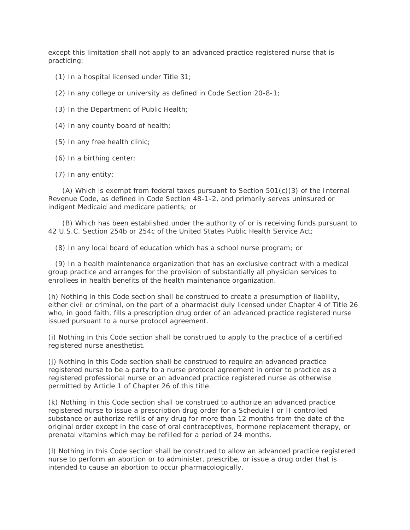except this limitation shall not apply to an advanced practice registered nurse that is practicing:

- (1) In a hospital licensed under Title 31;
- (2) In any college or university as defined in Code Section 20-8-1;
- (3) In the Department of Public Health;
- (4) In any county board of health;
- (5) In any free health clinic;
- (6) In a birthing center;
- (7) In any entity:

(A) Which is exempt from federal taxes pursuant to Section  $501(c)(3)$  of the Internal Revenue Code, as defined in Code Section 48-1-2, and primarily serves uninsured or indigent Medicaid and medicare patients; or

 (B) Which has been established under the authority of or is receiving funds pursuant to 42 U.S.C. Section 254b or 254c of the United States Public Health Service Act;

(8) In any local board of education which has a school nurse program; or

 (9) In a health maintenance organization that has an exclusive contract with a medical group practice and arranges for the provision of substantially all physician services to enrollees in health benefits of the health maintenance organization.

(h) Nothing in this Code section shall be construed to create a presumption of liability, either civil or criminal, on the part of a pharmacist duly licensed under Chapter 4 of Title 26 who, in good faith, fills a prescription drug order of an advanced practice registered nurse issued pursuant to a nurse protocol agreement.

(i) Nothing in this Code section shall be construed to apply to the practice of a certified registered nurse anesthetist.

(j) Nothing in this Code section shall be construed to require an advanced practice registered nurse to be a party to a nurse protocol agreement in order to practice as a registered professional nurse or an advanced practice registered nurse as otherwise permitted by Article 1 of Chapter 26 of this title.

(k) Nothing in this Code section shall be construed to authorize an advanced practice registered nurse to issue a prescription drug order for a Schedule I or II controlled substance or authorize refills of any drug for more than 12 months from the date of the original order except in the case of oral contraceptives, hormone replacement therapy, or prenatal vitamins which may be refilled for a period of 24 months.

(l) Nothing in this Code section shall be construed to allow an advanced practice registered nurse to perform an abortion or to administer, prescribe, or issue a drug order that is intended to cause an abortion to occur pharmacologically.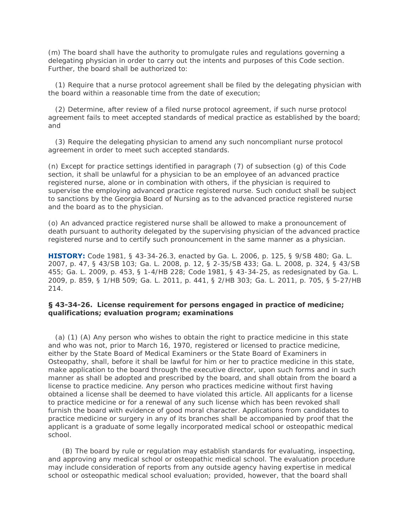(m) The board shall have the authority to promulgate rules and regulations governing a delegating physician in order to carry out the intents and purposes of this Code section. Further, the board shall be authorized to:

 (1) Require that a nurse protocol agreement shall be filed by the delegating physician with the board within a reasonable time from the date of execution;

 (2) Determine, after review of a filed nurse protocol agreement, if such nurse protocol agreement fails to meet accepted standards of medical practice as established by the board; and

 (3) Require the delegating physician to amend any such noncompliant nurse protocol agreement in order to meet such accepted standards.

(n) Except for practice settings identified in paragraph (7) of subsection (g) of this Code section, it shall be unlawful for a physician to be an employee of an advanced practice registered nurse, alone or in combination with others, if the physician is required to supervise the employing advanced practice registered nurse. Such conduct shall be subject to sanctions by the Georgia Board of Nursing as to the advanced practice registered nurse and the board as to the physician.

(o) An advanced practice registered nurse shall be allowed to make a pronouncement of death pursuant to authority delegated by the supervising physician of the advanced practice registered nurse and to certify such pronouncement in the same manner as a physician.

**HISTORY:** Code 1981, § 43-34-26.3, enacted by Ga. L. 2006, p. 125, § 9/SB 480; Ga. L. 2007, p. 47, § 43/SB 103; Ga. L. 2008, p. 12, § 2-35/SB 433; Ga. L. 2008, p. 324, § 43/SB 455; Ga. L. 2009, p. 453, § 1-4/HB 228; Code 1981, § 43-34-25, as redesignated by Ga. L. 2009, p. 859, § 1/HB 509; Ga. L. 2011, p. 441, § 2/HB 303; Ga. L. 2011, p. 705, § 5-27/HB 214.

#### **§ 43-34-26. License requirement for persons engaged in practice of medicine; qualifications; evaluation program; examinations**

 (a) (1) (A) Any person who wishes to obtain the right to practice medicine in this state and who was not, prior to March 16, 1970, registered or licensed to practice medicine, either by the State Board of Medical Examiners or the State Board of Examiners in Osteopathy, shall, before it shall be lawful for him or her to practice medicine in this state, make application to the board through the executive director, upon such forms and in such manner as shall be adopted and prescribed by the board, and shall obtain from the board a license to practice medicine. Any person who practices medicine without first having obtained a license shall be deemed to have violated this article. All applicants for a license to practice medicine or for a renewal of any such license which has been revoked shall furnish the board with evidence of good moral character. Applications from candidates to practice medicine or surgery in any of its branches shall be accompanied by proof that the applicant is a graduate of some legally incorporated medical school or osteopathic medical school.

 (B) The board by rule or regulation may establish standards for evaluating, inspecting, and approving any medical school or osteopathic medical school. The evaluation procedure may include consideration of reports from any outside agency having expertise in medical school or osteopathic medical school evaluation; provided, however, that the board shall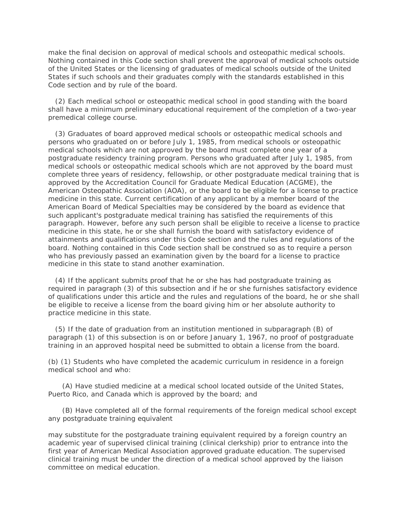make the final decision on approval of medical schools and osteopathic medical schools. Nothing contained in this Code section shall prevent the approval of medical schools outside of the United States or the licensing of graduates of medical schools outside of the United States if such schools and their graduates comply with the standards established in this Code section and by rule of the board.

 (2) Each medical school or osteopathic medical school in good standing with the board shall have a minimum preliminary educational requirement of the completion of a two-year premedical college course.

 (3) Graduates of board approved medical schools or osteopathic medical schools and persons who graduated on or before July 1, 1985, from medical schools or osteopathic medical schools which are not approved by the board must complete one year of a postgraduate residency training program. Persons who graduated after July 1, 1985, from medical schools or osteopathic medical schools which are not approved by the board must complete three years of residency, fellowship, or other postgraduate medical training that is approved by the Accreditation Council for Graduate Medical Education (ACGME), the American Osteopathic Association (AOA), or the board to be eligible for a license to practice medicine in this state. Current certification of any applicant by a member board of the American Board of Medical Specialties may be considered by the board as evidence that such applicant's postgraduate medical training has satisfied the requirements of this paragraph. However, before any such person shall be eligible to receive a license to practice medicine in this state, he or she shall furnish the board with satisfactory evidence of attainments and qualifications under this Code section and the rules and regulations of the board. Nothing contained in this Code section shall be construed so as to require a person who has previously passed an examination given by the board for a license to practice medicine in this state to stand another examination.

 (4) If the applicant submits proof that he or she has had postgraduate training as required in paragraph (3) of this subsection and if he or she furnishes satisfactory evidence of qualifications under this article and the rules and regulations of the board, he or she shall be eligible to receive a license from the board giving him or her absolute authority to practice medicine in this state.

 (5) If the date of graduation from an institution mentioned in subparagraph (B) of paragraph (1) of this subsection is on or before January 1, 1967, no proof of postgraduate training in an approved hospital need be submitted to obtain a license from the board.

(b) (1) Students who have completed the academic curriculum in residence in a foreign medical school and who:

 (A) Have studied medicine at a medical school located outside of the United States, Puerto Rico, and Canada which is approved by the board; and

 (B) Have completed all of the formal requirements of the foreign medical school except any postgraduate training equivalent

may substitute for the postgraduate training equivalent required by a foreign country an academic year of supervised clinical training (clinical clerkship) prior to entrance into the first year of American Medical Association approved graduate education. The supervised clinical training must be under the direction of a medical school approved by the liaison committee on medical education.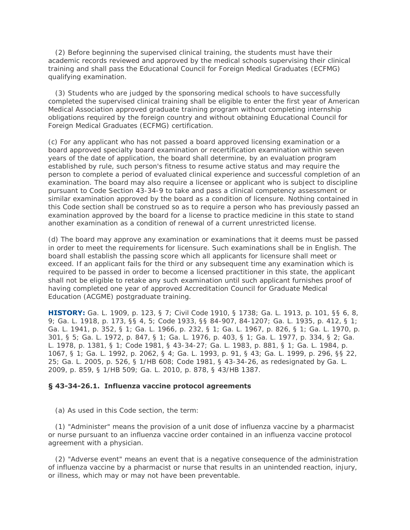(2) Before beginning the supervised clinical training, the students must have their academic records reviewed and approved by the medical schools supervising their clinical training and shall pass the Educational Council for Foreign Medical Graduates (ECFMG) qualifying examination.

 (3) Students who are judged by the sponsoring medical schools to have successfully completed the supervised clinical training shall be eligible to enter the first year of American Medical Association approved graduate training program without completing internship obligations required by the foreign country and without obtaining Educational Council for Foreign Medical Graduates (ECFMG) certification.

(c) For any applicant who has not passed a board approved licensing examination or a board approved specialty board examination or recertification examination within seven years of the date of application, the board shall determine, by an evaluation program established by rule, such person's fitness to resume active status and may require the person to complete a period of evaluated clinical experience and successful completion of an examination. The board may also require a licensee or applicant who is subject to discipline pursuant to Code Section 43-34-9 to take and pass a clinical competency assessment or similar examination approved by the board as a condition of licensure. Nothing contained in this Code section shall be construed so as to require a person who has previously passed an examination approved by the board for a license to practice medicine in this state to stand another examination as a condition of renewal of a current unrestricted license.

(d) The board may approve any examination or examinations that it deems must be passed in order to meet the requirements for licensure. Such examinations shall be in English. The board shall establish the passing score which all applicants for licensure shall meet or exceed. If an applicant fails for the third or any subsequent time any examination which is required to be passed in order to become a licensed practitioner in this state, the applicant shall not be eligible to retake any such examination until such applicant furnishes proof of having completed one year of approved Accreditation Council for Graduate Medical Education (ACGME) postgraduate training.

**HISTORY:** Ga. L. 1909, p. 123, § 7; Civil Code 1910, § 1738; Ga. L. 1913, p. 101, §§ 6, 8, 9; Ga. L. 1918, p. 173, §§ 4, 5; Code 1933, §§ 84-907, 84-1207; Ga. L. 1935, p. 412, § 1; Ga. L. 1941, p. 352, § 1; Ga. L. 1966, p. 232, § 1; Ga. L. 1967, p. 826, § 1; Ga. L. 1970, p. 301, § 5; Ga. L. 1972, p. 847, § 1; Ga. L. 1976, p. 403, § 1; Ga. L. 1977, p. 334, § 2; Ga. L. 1978, p. 1381, § 1; Code 1981, § 43-34-27; Ga. L. 1983, p. 881, § 1; Ga. L. 1984, p. 1067, § 1; Ga. L. 1992, p. 2062, § 4; Ga. L. 1993, p. 91, § 43; Ga. L. 1999, p. 296, §§ 22, 25; Ga. L. 2005, p. 526, § 1/HB 608; Code 1981, § 43-34-26, as redesignated by Ga. L. 2009, p. 859, § 1/HB 509; Ga. L. 2010, p. 878, § 43/HB 1387.

#### **§ 43-34-26.1. Influenza vaccine protocol agreements**

(a) As used in this Code section, the term:

 (1) "Administer" means the provision of a unit dose of influenza vaccine by a pharmacist or nurse pursuant to an influenza vaccine order contained in an influenza vaccine protocol agreement with a physician.

 (2) "Adverse event" means an event that is a negative consequence of the administration of influenza vaccine by a pharmacist or nurse that results in an unintended reaction, injury, or illness, which may or may not have been preventable.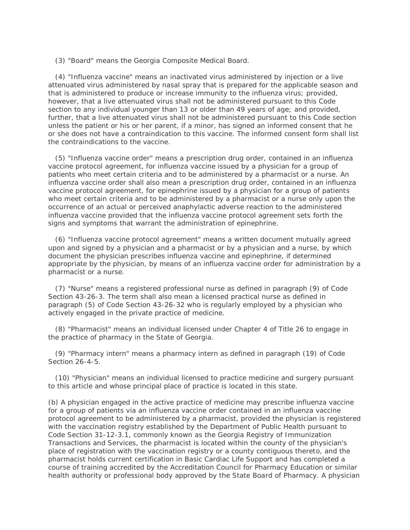(3) "Board" means the Georgia Composite Medical Board.

 (4) "Influenza vaccine" means an inactivated virus administered by injection or a live attenuated virus administered by nasal spray that is prepared for the applicable season and that is administered to produce or increase immunity to the influenza virus; provided, however, that a live attenuated virus shall not be administered pursuant to this Code section to any individual younger than 13 or older than 49 years of age; and provided, further, that a live attenuated virus shall not be administered pursuant to this Code section unless the patient or his or her parent, if a minor, has signed an informed consent that he or she does not have a contraindication to this vaccine. The informed consent form shall list the contraindications to the vaccine.

 (5) "Influenza vaccine order" means a prescription drug order, contained in an influenza vaccine protocol agreement, for influenza vaccine issued by a physician for a group of patients who meet certain criteria and to be administered by a pharmacist or a nurse. An influenza vaccine order shall also mean a prescription drug order, contained in an influenza vaccine protocol agreement, for epinephrine issued by a physician for a group of patients who meet certain criteria and to be administered by a pharmacist or a nurse only upon the occurrence of an actual or perceived anaphylactic adverse reaction to the administered influenza vaccine provided that the influenza vaccine protocol agreement sets forth the signs and symptoms that warrant the administration of epinephrine.

 (6) "Influenza vaccine protocol agreement" means a written document mutually agreed upon and signed by a physician and a pharmacist or by a physician and a nurse, by which document the physician prescribes influenza vaccine and epinephrine, if determined appropriate by the physician, by means of an influenza vaccine order for administration by a pharmacist or a nurse.

 (7) "Nurse" means a registered professional nurse as defined in paragraph (9) of Code Section 43-26-3. The term shall also mean a licensed practical nurse as defined in paragraph (5) of Code Section 43-26-32 who is regularly employed by a physician who actively engaged in the private practice of medicine.

 (8) "Pharmacist" means an individual licensed under Chapter 4 of Title 26 to engage in the practice of pharmacy in the State of Georgia.

 (9) "Pharmacy intern" means a pharmacy intern as defined in paragraph (19) of Code Section 26-4-5.

 (10) "Physician" means an individual licensed to practice medicine and surgery pursuant to this article and whose principal place of practice is located in this state.

(b) A physician engaged in the active practice of medicine may prescribe influenza vaccine for a group of patients via an influenza vaccine order contained in an influenza vaccine protocol agreement to be administered by a pharmacist, provided the physician is registered with the vaccination registry established by the Department of Public Health pursuant to Code Section 31-12-3.1, commonly known as the Georgia Registry of Immunization Transactions and Services, the pharmacist is located within the county of the physician's place of registration with the vaccination registry or a county contiguous thereto, and the pharmacist holds current certification in Basic Cardiac Life Support and has completed a course of training accredited by the Accreditation Council for Pharmacy Education or similar health authority or professional body approved by the State Board of Pharmacy. A physician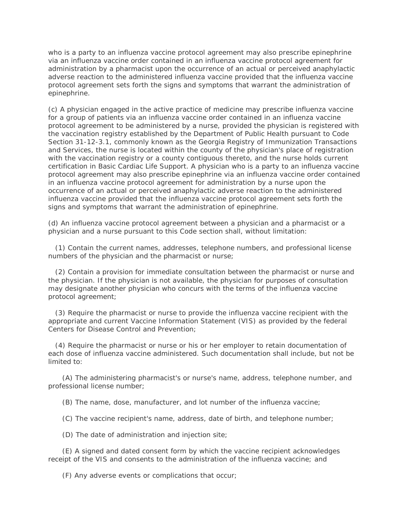who is a party to an influenza vaccine protocol agreement may also prescribe epinephrine via an influenza vaccine order contained in an influenza vaccine protocol agreement for administration by a pharmacist upon the occurrence of an actual or perceived anaphylactic adverse reaction to the administered influenza vaccine provided that the influenza vaccine protocol agreement sets forth the signs and symptoms that warrant the administration of epinephrine.

(c) A physician engaged in the active practice of medicine may prescribe influenza vaccine for a group of patients via an influenza vaccine order contained in an influenza vaccine protocol agreement to be administered by a nurse, provided the physician is registered with the vaccination registry established by the Department of Public Health pursuant to Code Section 31-12-3.1, commonly known as the Georgia Registry of Immunization Transactions and Services, the nurse is located within the county of the physician's place of registration with the vaccination registry or a county contiguous thereto, and the nurse holds current certification in Basic Cardiac Life Support. A physician who is a party to an influenza vaccine protocol agreement may also prescribe epinephrine via an influenza vaccine order contained in an influenza vaccine protocol agreement for administration by a nurse upon the occurrence of an actual or perceived anaphylactic adverse reaction to the administered influenza vaccine provided that the influenza vaccine protocol agreement sets forth the signs and symptoms that warrant the administration of epinephrine.

(d) An influenza vaccine protocol agreement between a physician and a pharmacist or a physician and a nurse pursuant to this Code section shall, without limitation:

 (1) Contain the current names, addresses, telephone numbers, and professional license numbers of the physician and the pharmacist or nurse;

 (2) Contain a provision for immediate consultation between the pharmacist or nurse and the physician. If the physician is not available, the physician for purposes of consultation may designate another physician who concurs with the terms of the influenza vaccine protocol agreement;

 (3) Require the pharmacist or nurse to provide the influenza vaccine recipient with the appropriate and current Vaccine Information Statement (VIS) as provided by the federal Centers for Disease Control and Prevention;

 (4) Require the pharmacist or nurse or his or her employer to retain documentation of each dose of influenza vaccine administered. Such documentation shall include, but not be limited to:

 (A) The administering pharmacist's or nurse's name, address, telephone number, and professional license number;

(B) The name, dose, manufacturer, and lot number of the influenza vaccine;

(C) The vaccine recipient's name, address, date of birth, and telephone number;

(D) The date of administration and injection site;

 (E) A signed and dated consent form by which the vaccine recipient acknowledges receipt of the VIS and consents to the administration of the influenza vaccine; and

(F) Any adverse events or complications that occur;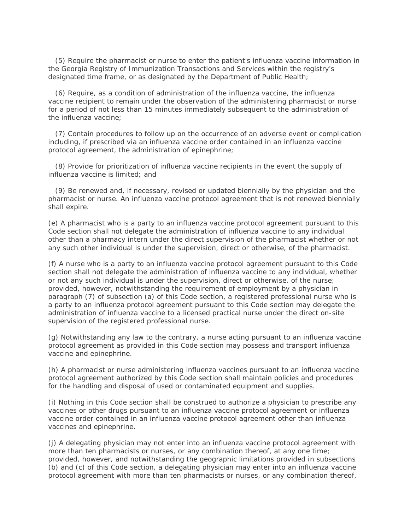(5) Require the pharmacist or nurse to enter the patient's influenza vaccine information in the Georgia Registry of Immunization Transactions and Services within the registry's designated time frame, or as designated by the Department of Public Health;

 (6) Require, as a condition of administration of the influenza vaccine, the influenza vaccine recipient to remain under the observation of the administering pharmacist or nurse for a period of not less than 15 minutes immediately subsequent to the administration of the influenza vaccine;

 (7) Contain procedures to follow up on the occurrence of an adverse event or complication including, if prescribed via an influenza vaccine order contained in an influenza vaccine protocol agreement, the administration of epinephrine;

 (8) Provide for prioritization of influenza vaccine recipients in the event the supply of influenza vaccine is limited; and

 (9) Be renewed and, if necessary, revised or updated biennially by the physician and the pharmacist or nurse. An influenza vaccine protocol agreement that is not renewed biennially shall expire.

(e) A pharmacist who is a party to an influenza vaccine protocol agreement pursuant to this Code section shall not delegate the administration of influenza vaccine to any individual other than a pharmacy intern under the direct supervision of the pharmacist whether or not any such other individual is under the supervision, direct or otherwise, of the pharmacist.

(f) A nurse who is a party to an influenza vaccine protocol agreement pursuant to this Code section shall not delegate the administration of influenza vaccine to any individual, whether or not any such individual is under the supervision, direct or otherwise, of the nurse; provided, however, notwithstanding the requirement of employment by a physician in paragraph (7) of subsection (a) of this Code section, a registered professional nurse who is a party to an influenza protocol agreement pursuant to this Code section may delegate the administration of influenza vaccine to a licensed practical nurse under the direct on-site supervision of the registered professional nurse.

(g) Notwithstanding any law to the contrary, a nurse acting pursuant to an influenza vaccine protocol agreement as provided in this Code section may possess and transport influenza vaccine and epinephrine.

(h) A pharmacist or nurse administering influenza vaccines pursuant to an influenza vaccine protocol agreement authorized by this Code section shall maintain policies and procedures for the handling and disposal of used or contaminated equipment and supplies.

(i) Nothing in this Code section shall be construed to authorize a physician to prescribe any vaccines or other drugs pursuant to an influenza vaccine protocol agreement or influenza vaccine order contained in an influenza vaccine protocol agreement other than influenza vaccines and epinephrine.

(j) A delegating physician may not enter into an influenza vaccine protocol agreement with more than ten pharmacists or nurses, or any combination thereof, at any one time; provided, however, and notwithstanding the geographic limitations provided in subsections (b) and (c) of this Code section, a delegating physician may enter into an influenza vaccine protocol agreement with more than ten pharmacists or nurses, or any combination thereof,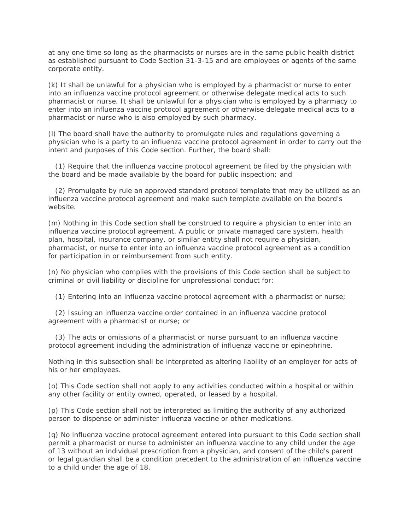at any one time so long as the pharmacists or nurses are in the same public health district as established pursuant to Code Section 31-3-15 and are employees or agents of the same corporate entity.

(k) It shall be unlawful for a physician who is employed by a pharmacist or nurse to enter into an influenza vaccine protocol agreement or otherwise delegate medical acts to such pharmacist or nurse. It shall be unlawful for a physician who is employed by a pharmacy to enter into an influenza vaccine protocol agreement or otherwise delegate medical acts to a pharmacist or nurse who is also employed by such pharmacy.

(l) The board shall have the authority to promulgate rules and regulations governing a physician who is a party to an influenza vaccine protocol agreement in order to carry out the intent and purposes of this Code section. Further, the board shall:

 (1) Require that the influenza vaccine protocol agreement be filed by the physician with the board and be made available by the board for public inspection; and

 (2) Promulgate by rule an approved standard protocol template that may be utilized as an influenza vaccine protocol agreement and make such template available on the board's website.

(m) Nothing in this Code section shall be construed to require a physician to enter into an influenza vaccine protocol agreement. A public or private managed care system, health plan, hospital, insurance company, or similar entity shall not require a physician, pharmacist, or nurse to enter into an influenza vaccine protocol agreement as a condition for participation in or reimbursement from such entity.

(n) No physician who complies with the provisions of this Code section shall be subject to criminal or civil liability or discipline for unprofessional conduct for:

(1) Entering into an influenza vaccine protocol agreement with a pharmacist or nurse;

 (2) Issuing an influenza vaccine order contained in an influenza vaccine protocol agreement with a pharmacist or nurse; or

 (3) The acts or omissions of a pharmacist or nurse pursuant to an influenza vaccine protocol agreement including the administration of influenza vaccine or epinephrine.

Nothing in this subsection shall be interpreted as altering liability of an employer for acts of his or her employees.

(o) This Code section shall not apply to any activities conducted within a hospital or within any other facility or entity owned, operated, or leased by a hospital.

(p) This Code section shall not be interpreted as limiting the authority of any authorized person to dispense or administer influenza vaccine or other medications.

(q) No influenza vaccine protocol agreement entered into pursuant to this Code section shall permit a pharmacist or nurse to administer an influenza vaccine to any child under the age of 13 without an individual prescription from a physician, and consent of the child's parent or legal guardian shall be a condition precedent to the administration of an influenza vaccine to a child under the age of 18.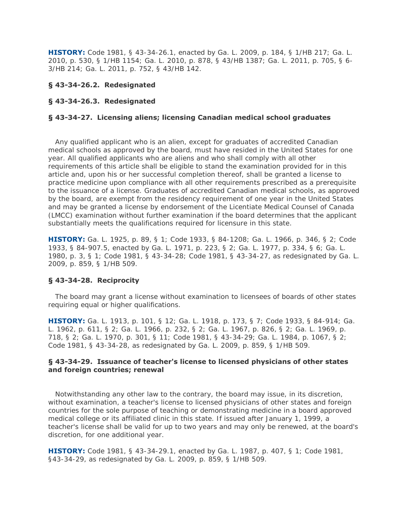**HISTORY:** Code 1981, § 43-34-26.1, enacted by Ga. L. 2009, p. 184, § 1/HB 217; Ga. L. 2010, p. 530, § 1/HB 1154; Ga. L. 2010, p. 878, § 43/HB 1387; Ga. L. 2011, p. 705, § 6- 3/HB 214; Ga. L. 2011, p. 752, § 43/HB 142.

# **§ 43-34-26.2. Redesignated**

#### **§ 43-34-26.3. Redesignated**

# **§ 43-34-27. Licensing aliens; licensing Canadian medical school graduates**

 Any qualified applicant who is an alien, except for graduates of accredited Canadian medical schools as approved by the board, must have resided in the United States for one year. All qualified applicants who are aliens and who shall comply with all other requirements of this article shall be eligible to stand the examination provided for in this article and, upon his or her successful completion thereof, shall be granted a license to practice medicine upon compliance with all other requirements prescribed as a prerequisite to the issuance of a license. Graduates of accredited Canadian medical schools, as approved by the board, are exempt from the residency requirement of one year in the United States and may be granted a license by endorsement of the Licentiate Medical Counsel of Canada (LMCC) examination without further examination if the board determines that the applicant substantially meets the qualifications required for licensure in this state.

**HISTORY:** Ga. L. 1925, p. 89, § 1; Code 1933, § 84-1208; Ga. L. 1966, p. 346, § 2; Code 1933, § 84-907.5, enacted by Ga. L. 1971, p. 223, § 2; Ga. L. 1977, p. 334, § 6; Ga. L. 1980, p. 3, § 1; Code 1981, § 43-34-28; Code 1981, § 43-34-27, as redesignated by Ga. L. 2009, p. 859, § 1/HB 509.

#### **§ 43-34-28. Reciprocity**

 The board may grant a license without examination to licensees of boards of other states requiring equal or higher qualifications.

**HISTORY:** Ga. L. 1913, p. 101, § 12; Ga. L. 1918, p. 173, § 7; Code 1933, § 84-914; Ga. L. 1962, p. 611, § 2; Ga. L. 1966, p. 232, § 2; Ga. L. 1967, p. 826, § 2; Ga. L. 1969, p. 718, § 2; Ga. L. 1970, p. 301, § 11; Code 1981, § 43-34-29; Ga. L. 1984, p. 1067, § 2; Code 1981, § 43-34-28, as redesignated by Ga. L. 2009, p. 859, § 1/HB 509.

### **§ 43-34-29. Issuance of teacher's license to licensed physicians of other states and foreign countries; renewal**

 Notwithstanding any other law to the contrary, the board may issue, in its discretion, without examination, a teacher's license to licensed physicians of other states and foreign countries for the sole purpose of teaching or demonstrating medicine in a board approved medical college or its affiliated clinic in this state. If issued after January 1, 1999, a teacher's license shall be valid for up to two years and may only be renewed, at the board's discretion, for one additional year.

**HISTORY:** Code 1981, § 43-34-29.1, enacted by Ga. L. 1987, p. 407, § 1; Code 1981, §43-34-29, as redesignated by Ga. L. 2009, p. 859, § 1/HB 509.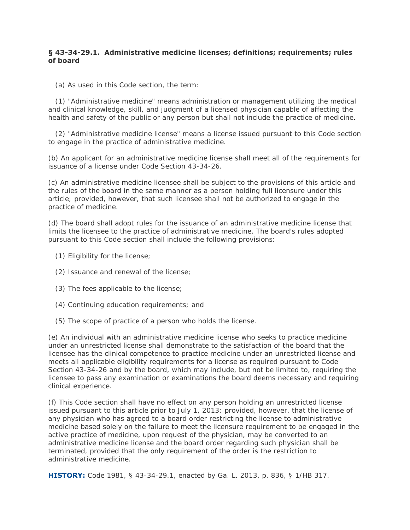## **§ 43-34-29.1. Administrative medicine licenses; definitions; requirements; rules of board**

(a) As used in this Code section, the term:

 (1) "Administrative medicine" means administration or management utilizing the medical and clinical knowledge, skill, and judgment of a licensed physician capable of affecting the health and safety of the public or any person but shall not include the practice of medicine.

 (2) "Administrative medicine license" means a license issued pursuant to this Code section to engage in the practice of administrative medicine.

(b) An applicant for an administrative medicine license shall meet all of the requirements for issuance of a license under Code Section 43-34-26.

(c) An administrative medicine licensee shall be subject to the provisions of this article and the rules of the board in the same manner as a person holding full licensure under this article; provided, however, that such licensee shall not be authorized to engage in the practice of medicine.

(d) The board shall adopt rules for the issuance of an administrative medicine license that limits the licensee to the practice of administrative medicine. The board's rules adopted pursuant to this Code section shall include the following provisions:

- (1) Eligibility for the license;
- (2) Issuance and renewal of the license;
- (3) The fees applicable to the license;
- (4) Continuing education requirements; and
- (5) The scope of practice of a person who holds the license.

(e) An individual with an administrative medicine license who seeks to practice medicine under an unrestricted license shall demonstrate to the satisfaction of the board that the licensee has the clinical competence to practice medicine under an unrestricted license and meets all applicable eligibility requirements for a license as required pursuant to Code Section 43-34-26 and by the board, which may include, but not be limited to, requiring the licensee to pass any examination or examinations the board deems necessary and requiring clinical experience.

(f) This Code section shall have no effect on any person holding an unrestricted license issued pursuant to this article prior to July 1, 2013; provided, however, that the license of any physician who has agreed to a board order restricting the license to administrative medicine based solely on the failure to meet the licensure requirement to be engaged in the active practice of medicine, upon request of the physician, may be converted to an administrative medicine license and the board order regarding such physician shall be terminated, provided that the only requirement of the order is the restriction to administrative medicine.

**HISTORY:** Code 1981, § 43-34-29.1, enacted by Ga. L. 2013, p. 836, § 1/HB 317.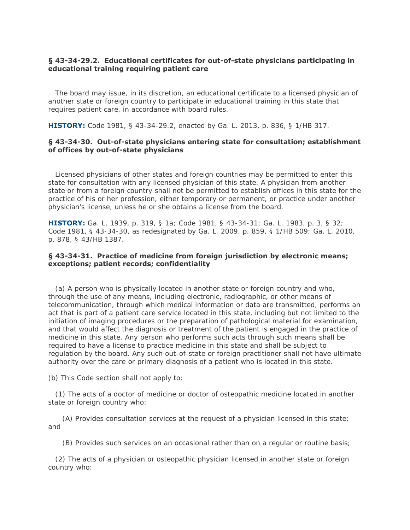## **§ 43-34-29.2. Educational certificates for out-of-state physicians participating in educational training requiring patient care**

 The board may issue, in its discretion, an educational certificate to a licensed physician of another state or foreign country to participate in educational training in this state that requires patient care, in accordance with board rules.

**HISTORY:** Code 1981, § 43-34-29.2, enacted by Ga. L. 2013, p. 836, § 1/HB 317.

#### **§ 43-34-30. Out-of-state physicians entering state for consultation; establishment of offices by out-of-state physicians**

 Licensed physicians of other states and foreign countries may be permitted to enter this state for consultation with any licensed physician of this state. A physician from another state or from a foreign country shall not be permitted to establish offices in this state for the practice of his or her profession, either temporary or permanent, or practice under another physician's license, unless he or she obtains a license from the board.

**HISTORY:** Ga. L. 1939, p. 319, § 1a; Code 1981, § 43-34-31; Ga. L. 1983, p. 3, § 32; Code 1981, § 43-34-30, as redesignated by Ga. L. 2009, p. 859, § 1/HB 509; Ga. L. 2010, p. 878, § 43/HB 1387.

#### **§ 43-34-31. Practice of medicine from foreign jurisdiction by electronic means; exceptions; patient records; confidentiality**

 (a) A person who is physically located in another state or foreign country and who, through the use of any means, including electronic, radiographic, or other means of telecommunication, through which medical information or data are transmitted, performs an act that is part of a patient care service located in this state, including but not limited to the initiation of imaging procedures or the preparation of pathological material for examination, and that would affect the diagnosis or treatment of the patient is engaged in the practice of medicine in this state. Any person who performs such acts through such means shall be required to have a license to practice medicine in this state and shall be subject to regulation by the board. Any such out-of-state or foreign practitioner shall not have ultimate authority over the care or primary diagnosis of a patient who is located in this state.

(b) This Code section shall not apply to:

 (1) The acts of a doctor of medicine or doctor of osteopathic medicine located in another state or foreign country who:

 (A) Provides consultation services at the request of a physician licensed in this state; and

(B) Provides such services on an occasional rather than on a regular or routine basis;

 (2) The acts of a physician or osteopathic physician licensed in another state or foreign country who: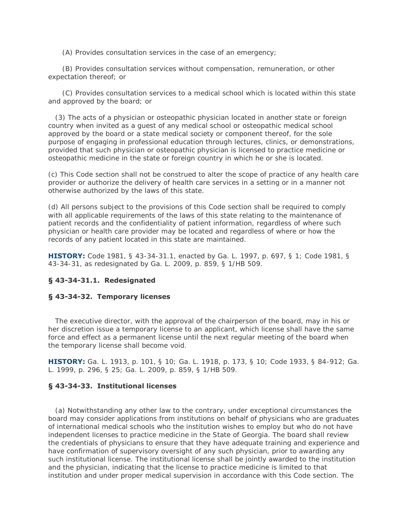(A) Provides consultation services in the case of an emergency;

 (B) Provides consultation services without compensation, remuneration, or other expectation thereof; or

 (C) Provides consultation services to a medical school which is located within this state and approved by the board; or

 (3) The acts of a physician or osteopathic physician located in another state or foreign country when invited as a guest of any medical school or osteopathic medical school approved by the board or a state medical society or component thereof, for the sole purpose of engaging in professional education through lectures, clinics, or demonstrations, provided that such physician or osteopathic physician is licensed to practice medicine or osteopathic medicine in the state or foreign country in which he or she is located.

(c) This Code section shall not be construed to alter the scope of practice of any health care provider or authorize the delivery of health care services in a setting or in a manner not otherwise authorized by the laws of this state.

(d) All persons subject to the provisions of this Code section shall be required to comply with all applicable requirements of the laws of this state relating to the maintenance of patient records and the confidentiality of patient information, regardless of where such physician or health care provider may be located and regardless of where or how the records of any patient located in this state are maintained.

**HISTORY:** Code 1981, § 43-34-31.1, enacted by Ga. L. 1997, p. 697, § 1; Code 1981, § 43-34-31, as redesignated by Ga. L. 2009, p. 859, § 1/HB 509.

## **§ 43-34-31.1. Redesignated**

### **§ 43-34-32. Temporary licenses**

 The executive director, with the approval of the chairperson of the board, may in his or her discretion issue a temporary license to an applicant, which license shall have the same force and effect as a permanent license until the next regular meeting of the board when the temporary license shall become void.

**HISTORY:** Ga. L. 1913, p. 101, § 10; Ga. L. 1918, p. 173, § 10; Code 1933, § 84-912; Ga. L. 1999, p. 296, § 25; Ga. L. 2009, p. 859, § 1/HB 509.

### **§ 43-34-33. Institutional licenses**

 (a) Notwithstanding any other law to the contrary, under exceptional circumstances the board may consider applications from institutions on behalf of physicians who are graduates of international medical schools who the institution wishes to employ but who do not have independent licenses to practice medicine in the State of Georgia. The board shall review the credentials of physicians to ensure that they have adequate training and experience and have confirmation of supervisory oversight of any such physician, prior to awarding any such institutional license. The institutional license shall be jointly awarded to the institution and the physician, indicating that the license to practice medicine is limited to that institution and under proper medical supervision in accordance with this Code section. The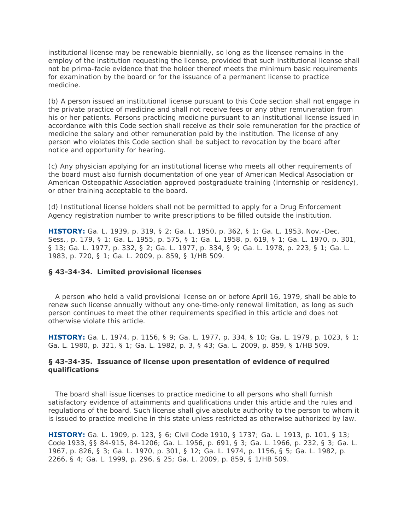institutional license may be renewable biennially, so long as the licensee remains in the employ of the institution requesting the license, provided that such institutional license shall not be prima-facie evidence that the holder thereof meets the minimum basic requirements for examination by the board or for the issuance of a permanent license to practice medicine.

(b) A person issued an institutional license pursuant to this Code section shall not engage in the private practice of medicine and shall not receive fees or any other remuneration from his or her patients. Persons practicing medicine pursuant to an institutional license issued in accordance with this Code section shall receive as their sole remuneration for the practice of medicine the salary and other remuneration paid by the institution. The license of any person who violates this Code section shall be subject to revocation by the board after notice and opportunity for hearing.

(c) Any physician applying for an institutional license who meets all other requirements of the board must also furnish documentation of one year of American Medical Association or American Osteopathic Association approved postgraduate training (internship or residency), or other training acceptable to the board.

(d) Institutional license holders shall not be permitted to apply for a Drug Enforcement Agency registration number to write prescriptions to be filled outside the institution.

**HISTORY:** Ga. L. 1939, p. 319, § 2; Ga. L. 1950, p. 362, § 1; Ga. L. 1953, Nov.-Dec. Sess., p. 179, § 1; Ga. L. 1955, p. 575, § 1; Ga. L. 1958, p. 619, § 1; Ga. L. 1970, p. 301, § 13; Ga. L. 1977, p. 332, § 2; Ga. L. 1977, p. 334, § 9; Ga. L. 1978, p. 223, § 1; Ga. L. 1983, p. 720, § 1; Ga. L. 2009, p. 859, § 1/HB 509.

#### **§ 43-34-34. Limited provisional licenses**

 A person who held a valid provisional license on or before April 16, 1979, shall be able to renew such license annually without any one-time-only renewal limitation, as long as such person continues to meet the other requirements specified in this article and does not otherwise violate this article.

**HISTORY:** Ga. L. 1974, p. 1156, § 9; Ga. L. 1977, p. 334, § 10; Ga. L. 1979, p. 1023, § 1; Ga. L. 1980, p. 321, § 1; Ga. L. 1982, p. 3, § 43; Ga. L. 2009, p. 859, § 1/HB 509.

#### **§ 43-34-35. Issuance of license upon presentation of evidence of required qualifications**

 The board shall issue licenses to practice medicine to all persons who shall furnish satisfactory evidence of attainments and qualifications under this article and the rules and regulations of the board. Such license shall give absolute authority to the person to whom it is issued to practice medicine in this state unless restricted as otherwise authorized by law.

**HISTORY:** Ga. L. 1909, p. 123, § 6; Civil Code 1910, § 1737; Ga. L. 1913, p. 101, § 13; Code 1933, §§ 84-915, 84-1206; Ga. L. 1956, p. 691, § 3; Ga. L. 1966, p. 232, § 3; Ga. L. 1967, p. 826, § 3; Ga. L. 1970, p. 301, § 12; Ga. L. 1974, p. 1156, § 5; Ga. L. 1982, p. 2266, § 4; Ga. L. 1999, p. 296, § 25; Ga. L. 2009, p. 859, § 1/HB 509.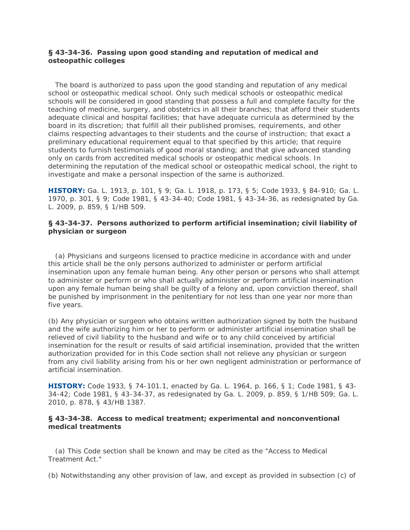## **§ 43-34-36. Passing upon good standing and reputation of medical and osteopathic colleges**

 The board is authorized to pass upon the good standing and reputation of any medical school or osteopathic medical school. Only such medical schools or osteopathic medical schools will be considered in good standing that possess a full and complete faculty for the teaching of medicine, surgery, and obstetrics in all their branches; that afford their students adequate clinical and hospital facilities; that have adequate curricula as determined by the board in its discretion; that fulfill all their published promises, requirements, and other claims respecting advantages to their students and the course of instruction; that exact a preliminary educational requirement equal to that specified by this article; that require students to furnish testimonials of good moral standing; and that give advanced standing only on cards from accredited medical schools or osteopathic medical schools. In determining the reputation of the medical school or osteopathic medical school, the right to investigate and make a personal inspection of the same is authorized.

**HISTORY:** Ga. L. 1913, p. 101, § 9; Ga. L. 1918, p. 173, § 5; Code 1933, § 84-910; Ga. L. 1970, p. 301, § 9; Code 1981, § 43-34-40; Code 1981, § 43-34-36, as redesignated by Ga. L. 2009, p. 859, § 1/HB 509.

### **§ 43-34-37. Persons authorized to perform artificial insemination; civil liability of physician or surgeon**

 (a) Physicians and surgeons licensed to practice medicine in accordance with and under this article shall be the only persons authorized to administer or perform artificial insemination upon any female human being. Any other person or persons who shall attempt to administer or perform or who shall actually administer or perform artificial insemination upon any female human being shall be guilty of a felony and, upon conviction thereof, shall be punished by imprisonment in the penitentiary for not less than one year nor more than five years.

(b) Any physician or surgeon who obtains written authorization signed by both the husband and the wife authorizing him or her to perform or administer artificial insemination shall be relieved of civil liability to the husband and wife or to any child conceived by artificial insemination for the result or results of said artificial insemination, provided that the written authorization provided for in this Code section shall not relieve any physician or surgeon from any civil liability arising from his or her own negligent administration or performance of artificial insemination.

**HISTORY:** Code 1933, § 74-101.1, enacted by Ga. L. 1964, p. 166, § 1; Code 1981, § 43- 34-42; Code 1981, § 43-34-37, as redesignated by Ga. L. 2009, p. 859, § 1/HB 509; Ga. L. 2010, p. 878, § 43/HB 1387.

### **§ 43-34-38. Access to medical treatment; experimental and nonconventional medical treatments**

 (a) This Code section shall be known and may be cited as the "Access to Medical Treatment Act."

(b) Notwithstanding any other provision of law, and except as provided in subsection (c) of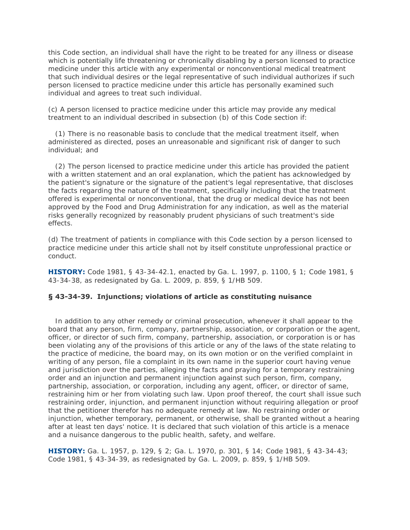this Code section, an individual shall have the right to be treated for any illness or disease which is potentially life threatening or chronically disabling by a person licensed to practice medicine under this article with any experimental or nonconventional medical treatment that such individual desires or the legal representative of such individual authorizes if such person licensed to practice medicine under this article has personally examined such individual and agrees to treat such individual.

(c) A person licensed to practice medicine under this article may provide any medical treatment to an individual described in subsection (b) of this Code section if:

 (1) There is no reasonable basis to conclude that the medical treatment itself, when administered as directed, poses an unreasonable and significant risk of danger to such individual; and

 (2) The person licensed to practice medicine under this article has provided the patient with a written statement and an oral explanation, which the patient has acknowledged by the patient's signature or the signature of the patient's legal representative, that discloses the facts regarding the nature of the treatment, specifically including that the treatment offered is experimental or nonconventional, that the drug or medical device has not been approved by the Food and Drug Administration for any indication, as well as the material risks generally recognized by reasonably prudent physicians of such treatment's side effects.

(d) The treatment of patients in compliance with this Code section by a person licensed to practice medicine under this article shall not by itself constitute unprofessional practice or conduct.

**HISTORY:** Code 1981, § 43-34-42.1, enacted by Ga. L. 1997, p. 1100, § 1; Code 1981, § 43-34-38, as redesignated by Ga. L. 2009, p. 859, § 1/HB 509.

### **§ 43-34-39. Injunctions; violations of article as constituting nuisance**

 In addition to any other remedy or criminal prosecution, whenever it shall appear to the board that any person, firm, company, partnership, association, or corporation or the agent, officer, or director of such firm, company, partnership, association, or corporation is or has been violating any of the provisions of this article or any of the laws of the state relating to the practice of medicine, the board may, on its own motion or on the verified complaint in writing of any person, file a complaint in its own name in the superior court having venue and jurisdiction over the parties, alleging the facts and praying for a temporary restraining order and an injunction and permanent injunction against such person, firm, company, partnership, association, or corporation, including any agent, officer, or director of same, restraining him or her from violating such law. Upon proof thereof, the court shall issue such restraining order, injunction, and permanent injunction without requiring allegation or proof that the petitioner therefor has no adequate remedy at law. No restraining order or injunction, whether temporary, permanent, or otherwise, shall be granted without a hearing after at least ten days' notice. It is declared that such violation of this article is a menace and a nuisance dangerous to the public health, safety, and welfare.

**HISTORY:** Ga. L. 1957, p. 129, § 2; Ga. L. 1970, p. 301, § 14; Code 1981, § 43-34-43; Code 1981, § 43-34-39, as redesignated by Ga. L. 2009, p. 859, § 1/HB 509.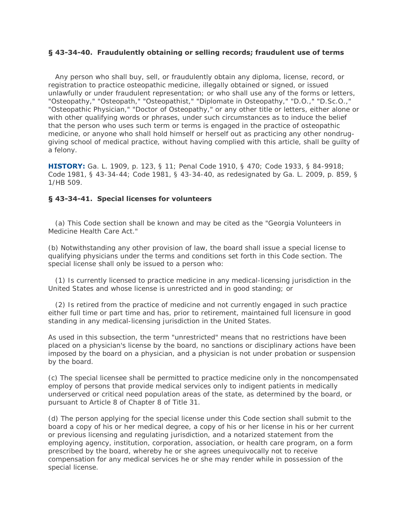### **§ 43-34-40. Fraudulently obtaining or selling records; fraudulent use of terms**

 Any person who shall buy, sell, or fraudulently obtain any diploma, license, record, or registration to practice osteopathic medicine, illegally obtained or signed, or issued unlawfully or under fraudulent representation; or who shall use any of the forms or letters, "Osteopathy," "Osteopath," "Osteopathist," "Diplomate in Osteopathy," "D.O.," "D.Sc.O.," "Osteopathic Physician," "Doctor of Osteopathy," or any other title or letters, either alone or with other qualifying words or phrases, under such circumstances as to induce the belief that the person who uses such term or terms is engaged in the practice of osteopathic medicine, or anyone who shall hold himself or herself out as practicing any other nondruggiving school of medical practice, without having complied with this article, shall be guilty of a felony.

**HISTORY:** Ga. L. 1909, p. 123, § 11; Penal Code 1910, § 470; Code 1933, § 84-9918; Code 1981, § 43-34-44; Code 1981, § 43-34-40, as redesignated by Ga. L. 2009, p. 859, § 1/HB 509.

### **§ 43-34-41. Special licenses for volunteers**

 (a) This Code section shall be known and may be cited as the "Georgia Volunteers in Medicine Health Care Act."

(b) Notwithstanding any other provision of law, the board shall issue a special license to qualifying physicians under the terms and conditions set forth in this Code section. The special license shall only be issued to a person who:

 (1) Is currently licensed to practice medicine in any medical-licensing jurisdiction in the United States and whose license is unrestricted and in good standing; or

 (2) Is retired from the practice of medicine and not currently engaged in such practice either full time or part time and has, prior to retirement, maintained full licensure in good standing in any medical-licensing jurisdiction in the United States.

As used in this subsection, the term "unrestricted" means that no restrictions have been placed on a physician's license by the board, no sanctions or disciplinary actions have been imposed by the board on a physician, and a physician is not under probation or suspension by the board.

(c) The special licensee shall be permitted to practice medicine only in the noncompensated employ of persons that provide medical services only to indigent patients in medically underserved or critical need population areas of the state, as determined by the board, or pursuant to Article 8 of Chapter 8 of Title 31.

(d) The person applying for the special license under this Code section shall submit to the board a copy of his or her medical degree, a copy of his or her license in his or her current or previous licensing and regulating jurisdiction, and a notarized statement from the employing agency, institution, corporation, association, or health care program, on a form prescribed by the board, whereby he or she agrees unequivocally not to receive compensation for any medical services he or she may render while in possession of the special license.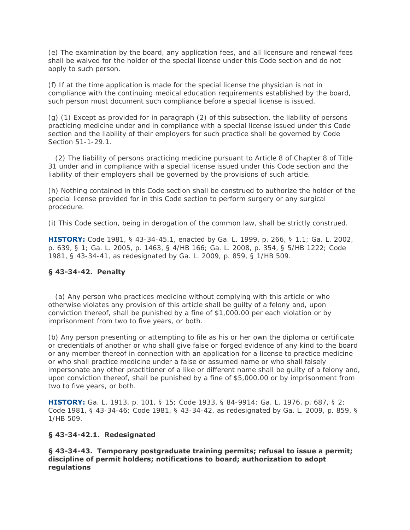(e) The examination by the board, any application fees, and all licensure and renewal fees shall be waived for the holder of the special license under this Code section and do not apply to such person.

(f) If at the time application is made for the special license the physician is not in compliance with the continuing medical education requirements established by the board, such person must document such compliance before a special license is issued.

(g) (1) Except as provided for in paragraph (2) of this subsection, the liability of persons practicing medicine under and in compliance with a special license issued under this Code section and the liability of their employers for such practice shall be governed by Code Section 51-1-29.1.

 (2) The liability of persons practicing medicine pursuant to Article 8 of Chapter 8 of Title 31 under and in compliance with a special license issued under this Code section and the liability of their employers shall be governed by the provisions of such article.

(h) Nothing contained in this Code section shall be construed to authorize the holder of the special license provided for in this Code section to perform surgery or any surgical procedure.

(i) This Code section, being in derogation of the common law, shall be strictly construed.

**HISTORY:** Code 1981, § 43-34-45.1, enacted by Ga. L. 1999, p. 266, § 1.1; Ga. L. 2002, p. 639, § 1; Ga. L. 2005, p. 1463, § 4/HB 166; Ga. L. 2008, p. 354, § 5/HB 1222; Code 1981, § 43-34-41, as redesignated by Ga. L. 2009, p. 859, § 1/HB 509.

## **§ 43-34-42. Penalty**

 (a) Any person who practices medicine without complying with this article or who otherwise violates any provision of this article shall be guilty of a felony and, upon conviction thereof, shall be punished by a fine of \$1,000.00 per each violation or by imprisonment from two to five years, or both.

(b) Any person presenting or attempting to file as his or her own the diploma or certificate or credentials of another or who shall give false or forged evidence of any kind to the board or any member thereof in connection with an application for a license to practice medicine or who shall practice medicine under a false or assumed name or who shall falsely impersonate any other practitioner of a like or different name shall be guilty of a felony and, upon conviction thereof, shall be punished by a fine of \$5,000.00 or by imprisonment from two to five years, or both.

**HISTORY:** Ga. L. 1913, p. 101, § 15; Code 1933, § 84-9914; Ga. L. 1976, p. 687, § 2; Code 1981, § 43-34-46; Code 1981, § 43-34-42, as redesignated by Ga. L. 2009, p. 859, § 1/HB 509.

### **§ 43-34-42.1. Redesignated**

**§ 43-34-43. Temporary postgraduate training permits; refusal to issue a permit; discipline of permit holders; notifications to board; authorization to adopt regulations**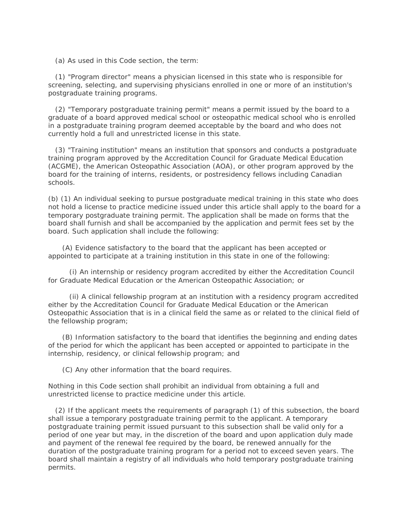(a) As used in this Code section, the term:

 (1) "Program director" means a physician licensed in this state who is responsible for screening, selecting, and supervising physicians enrolled in one or more of an institution's postgraduate training programs.

 (2) "Temporary postgraduate training permit" means a permit issued by the board to a graduate of a board approved medical school or osteopathic medical school who is enrolled in a postgraduate training program deemed acceptable by the board and who does not currently hold a full and unrestricted license in this state.

 (3) "Training institution" means an institution that sponsors and conducts a postgraduate training program approved by the Accreditation Council for Graduate Medical Education (ACGME), the American Osteopathic Association (AOA), or other program approved by the board for the training of interns, residents, or postresidency fellows including Canadian schools.

(b) (1) An individual seeking to pursue postgraduate medical training in this state who does not hold a license to practice medicine issued under this article shall apply to the board for a temporary postgraduate training permit. The application shall be made on forms that the board shall furnish and shall be accompanied by the application and permit fees set by the board. Such application shall include the following:

 (A) Evidence satisfactory to the board that the applicant has been accepted or appointed to participate at a training institution in this state in one of the following:

 (i) An internship or residency program accredited by either the Accreditation Council for Graduate Medical Education or the American Osteopathic Association; or

 (ii) A clinical fellowship program at an institution with a residency program accredited either by the Accreditation Council for Graduate Medical Education or the American Osteopathic Association that is in a clinical field the same as or related to the clinical field of the fellowship program;

 (B) Information satisfactory to the board that identifies the beginning and ending dates of the period for which the applicant has been accepted or appointed to participate in the internship, residency, or clinical fellowship program; and

(C) Any other information that the board requires.

Nothing in this Code section shall prohibit an individual from obtaining a full and unrestricted license to practice medicine under this article.

 (2) If the applicant meets the requirements of paragraph (1) of this subsection, the board shall issue a temporary postgraduate training permit to the applicant. A temporary postgraduate training permit issued pursuant to this subsection shall be valid only for a period of one year but may, in the discretion of the board and upon application duly made and payment of the renewal fee required by the board, be renewed annually for the duration of the postgraduate training program for a period not to exceed seven years. The board shall maintain a registry of all individuals who hold temporary postgraduate training permits.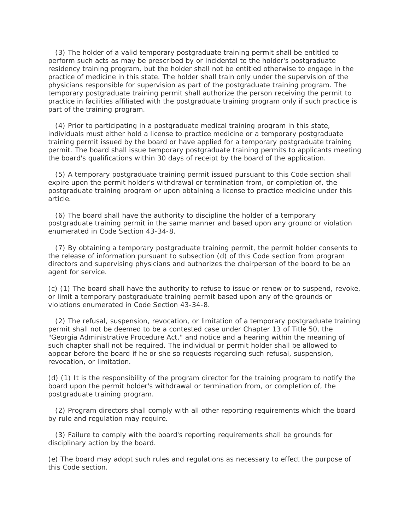(3) The holder of a valid temporary postgraduate training permit shall be entitled to perform such acts as may be prescribed by or incidental to the holder's postgraduate residency training program, but the holder shall not be entitled otherwise to engage in the practice of medicine in this state. The holder shall train only under the supervision of the physicians responsible for supervision as part of the postgraduate training program. The temporary postgraduate training permit shall authorize the person receiving the permit to practice in facilities affiliated with the postgraduate training program only if such practice is part of the training program.

 (4) Prior to participating in a postgraduate medical training program in this state, individuals must either hold a license to practice medicine or a temporary postgraduate training permit issued by the board or have applied for a temporary postgraduate training permit. The board shall issue temporary postgraduate training permits to applicants meeting the board's qualifications within 30 days of receipt by the board of the application.

 (5) A temporary postgraduate training permit issued pursuant to this Code section shall expire upon the permit holder's withdrawal or termination from, or completion of, the postgraduate training program or upon obtaining a license to practice medicine under this article.

 (6) The board shall have the authority to discipline the holder of a temporary postgraduate training permit in the same manner and based upon any ground or violation enumerated in Code Section 43-34-8.

 (7) By obtaining a temporary postgraduate training permit, the permit holder consents to the release of information pursuant to subsection (d) of this Code section from program directors and supervising physicians and authorizes the chairperson of the board to be an agent for service.

(c) (1) The board shall have the authority to refuse to issue or renew or to suspend, revoke, or limit a temporary postgraduate training permit based upon any of the grounds or violations enumerated in Code Section 43-34-8.

 (2) The refusal, suspension, revocation, or limitation of a temporary postgraduate training permit shall not be deemed to be a contested case under Chapter 13 of Title 50, the "Georgia Administrative Procedure Act," and notice and a hearing within the meaning of such chapter shall not be required. The individual or permit holder shall be allowed to appear before the board if he or she so requests regarding such refusal, suspension, revocation, or limitation.

(d) (1) It is the responsibility of the program director for the training program to notify the board upon the permit holder's withdrawal or termination from, or completion of, the postgraduate training program.

 (2) Program directors shall comply with all other reporting requirements which the board by rule and regulation may require.

 (3) Failure to comply with the board's reporting requirements shall be grounds for disciplinary action by the board.

(e) The board may adopt such rules and regulations as necessary to effect the purpose of this Code section.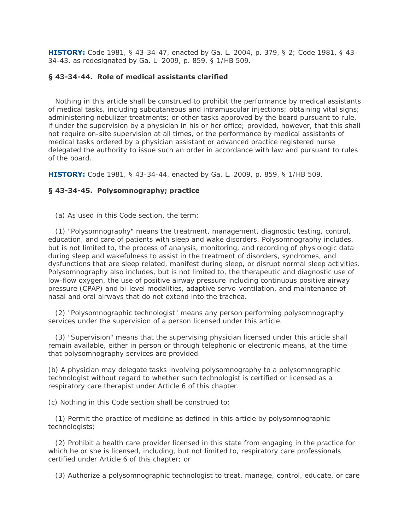**HISTORY:** Code 1981, § 43-34-47, enacted by Ga. L. 2004, p. 379, § 2; Code 1981, § 43-34-43, as redesignated by Ga. L. 2009, p. 859, § 1/HB 509.

## **§ 43-34-44. Role of medical assistants clarified**

 Nothing in this article shall be construed to prohibit the performance by medical assistants of medical tasks, including subcutaneous and intramuscular injections; obtaining vital signs; administering nebulizer treatments; or other tasks approved by the board pursuant to rule, if under the supervision by a physician in his or her office; provided, however, that this shall not require on-site supervision at all times, or the performance by medical assistants of medical tasks ordered by a physician assistant or advanced practice registered nurse delegated the authority to issue such an order in accordance with law and pursuant to rules of the board.

**HISTORY:** Code 1981, § 43-34-44, enacted by Ga. L. 2009, p. 859, § 1/HB 509.

#### **§ 43-34-45. Polysomnography; practice**

(a) As used in this Code section, the term:

 (1) "Polysomnography" means the treatment, management, diagnostic testing, control, education, and care of patients with sleep and wake disorders. Polysomnography includes, but is not limited to, the process of analysis, monitoring, and recording of physiologic data during sleep and wakefulness to assist in the treatment of disorders, syndromes, and dysfunctions that are sleep related, manifest during sleep, or disrupt normal sleep activities. Polysomnography also includes, but is not limited to, the therapeutic and diagnostic use of low-flow oxygen, the use of positive airway pressure including continuous positive airway pressure (CPAP) and bi-level modalities, adaptive servo-ventilation, and maintenance of nasal and oral airways that do not extend into the trachea.

 (2) "Polysomnographic technologist" means any person performing polysomnography services under the supervision of a person licensed under this article.

 (3) "Supervision" means that the supervising physician licensed under this article shall remain available, either in person or through telephonic or electronic means, at the time that polysomnography services are provided.

(b) A physician may delegate tasks involving polysomnography to a polysomnographic technologist without regard to whether such technologist is certified or licensed as a respiratory care therapist under Article 6 of this chapter.

(c) Nothing in this Code section shall be construed to:

 (1) Permit the practice of medicine as defined in this article by polysomnographic technologists;

 (2) Prohibit a health care provider licensed in this state from engaging in the practice for which he or she is licensed, including, but not limited to, respiratory care professionals certified under Article 6 of this chapter; or

(3) Authorize a polysomnographic technologist to treat, manage, control, educate, or care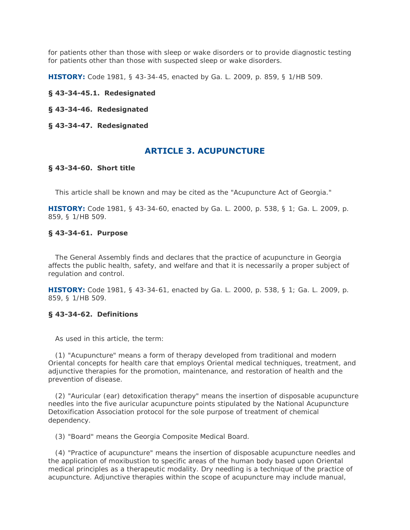for patients other than those with sleep or wake disorders or to provide diagnostic testing for patients other than those with suspected sleep or wake disorders.

**HISTORY:** Code 1981, § 43-34-45, enacted by Ga. L. 2009, p. 859, § 1/HB 509.

#### **§ 43-34-45.1. Redesignated**

#### **§ 43-34-46. Redesignated**

**§ 43-34-47. Redesignated** 

## **ARTICLE 3. ACUPUNCTURE**

#### **§ 43-34-60. Short title**

This article shall be known and may be cited as the "Acupuncture Act of Georgia."

**HISTORY:** Code 1981, § 43-34-60, enacted by Ga. L. 2000, p. 538, § 1; Ga. L. 2009, p. 859, § 1/HB 509.

#### **§ 43-34-61. Purpose**

 The General Assembly finds and declares that the practice of acupuncture in Georgia affects the public health, safety, and welfare and that it is necessarily a proper subject of regulation and control.

**HISTORY:** Code 1981, § 43-34-61, enacted by Ga. L. 2000, p. 538, § 1; Ga. L. 2009, p. 859, § 1/HB 509.

#### **§ 43-34-62. Definitions**

As used in this article, the term:

 (1) "Acupuncture" means a form of therapy developed from traditional and modern Oriental concepts for health care that employs Oriental medical techniques, treatment, and adjunctive therapies for the promotion, maintenance, and restoration of health and the prevention of disease.

 (2) "Auricular (ear) detoxification therapy" means the insertion of disposable acupuncture needles into the five auricular acupuncture points stipulated by the National Acupuncture Detoxification Association protocol for the sole purpose of treatment of chemical dependency.

(3) "Board" means the Georgia Composite Medical Board.

 (4) "Practice of acupuncture" means the insertion of disposable acupuncture needles and the application of moxibustion to specific areas of the human body based upon Oriental medical principles as a therapeutic modality. Dry needling is a technique of the practice of acupuncture. Adjunctive therapies within the scope of acupuncture may include manual,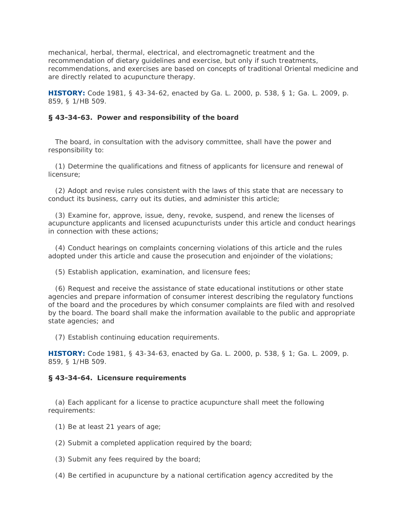mechanical, herbal, thermal, electrical, and electromagnetic treatment and the recommendation of dietary guidelines and exercise, but only if such treatments, recommendations, and exercises are based on concepts of traditional Oriental medicine and are directly related to acupuncture therapy.

**HISTORY:** Code 1981, § 43-34-62, enacted by Ga. L. 2000, p. 538, § 1; Ga. L. 2009, p. 859, § 1/HB 509.

## **§ 43-34-63. Power and responsibility of the board**

 The board, in consultation with the advisory committee, shall have the power and responsibility to:

 (1) Determine the qualifications and fitness of applicants for licensure and renewal of licensure;

 (2) Adopt and revise rules consistent with the laws of this state that are necessary to conduct its business, carry out its duties, and administer this article;

 (3) Examine for, approve, issue, deny, revoke, suspend, and renew the licenses of acupuncture applicants and licensed acupuncturists under this article and conduct hearings in connection with these actions;

 (4) Conduct hearings on complaints concerning violations of this article and the rules adopted under this article and cause the prosecution and enjoinder of the violations;

(5) Establish application, examination, and licensure fees;

 (6) Request and receive the assistance of state educational institutions or other state agencies and prepare information of consumer interest describing the regulatory functions of the board and the procedures by which consumer complaints are filed with and resolved by the board. The board shall make the information available to the public and appropriate state agencies; and

(7) Establish continuing education requirements.

**HISTORY:** Code 1981, § 43-34-63, enacted by Ga. L. 2000, p. 538, § 1; Ga. L. 2009, p. 859, § 1/HB 509.

#### **§ 43-34-64. Licensure requirements**

 (a) Each applicant for a license to practice acupuncture shall meet the following requirements:

- (1) Be at least 21 years of age;
- (2) Submit a completed application required by the board;
- (3) Submit any fees required by the board;
- (4) Be certified in acupuncture by a national certification agency accredited by the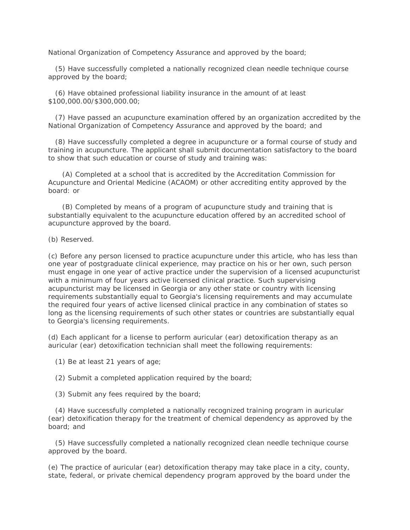National Organization of Competency Assurance and approved by the board;

 (5) Have successfully completed a nationally recognized clean needle technique course approved by the board;

 (6) Have obtained professional liability insurance in the amount of at least \$100,000.00/\$300,000.00;

 (7) Have passed an acupuncture examination offered by an organization accredited by the National Organization of Competency Assurance and approved by the board; and

 (8) Have successfully completed a degree in acupuncture or a formal course of study and training in acupuncture. The applicant shall submit documentation satisfactory to the board to show that such education or course of study and training was:

 (A) Completed at a school that is accredited by the Accreditation Commission for Acupuncture and Oriental Medicine (ACAOM) or other accrediting entity approved by the board: or

 (B) Completed by means of a program of acupuncture study and training that is substantially equivalent to the acupuncture education offered by an accredited school of acupuncture approved by the board.

(b) Reserved.

(c) Before any person licensed to practice acupuncture under this article, who has less than one year of postgraduate clinical experience, may practice on his or her own, such person must engage in one year of active practice under the supervision of a licensed acupuncturist with a minimum of four years active licensed clinical practice. Such supervising acupuncturist may be licensed in Georgia or any other state or country with licensing requirements substantially equal to Georgia's licensing requirements and may accumulate the required four years of active licensed clinical practice in any combination of states so long as the licensing requirements of such other states or countries are substantially equal to Georgia's licensing requirements.

(d) Each applicant for a license to perform auricular (ear) detoxification therapy as an auricular (ear) detoxification technician shall meet the following requirements:

(1) Be at least 21 years of age;

(2) Submit a completed application required by the board;

(3) Submit any fees required by the board;

 (4) Have successfully completed a nationally recognized training program in auricular (ear) detoxification therapy for the treatment of chemical dependency as approved by the board; and

 (5) Have successfully completed a nationally recognized clean needle technique course approved by the board.

(e) The practice of auricular (ear) detoxification therapy may take place in a city, county, state, federal, or private chemical dependency program approved by the board under the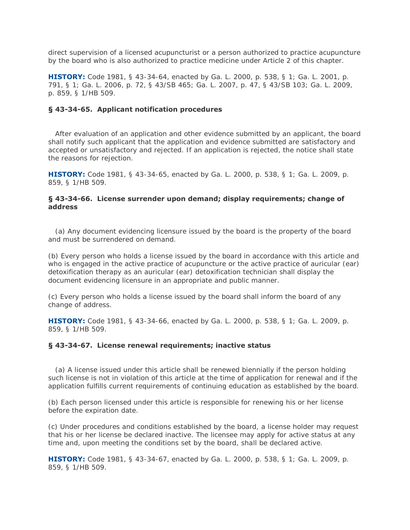direct supervision of a licensed acupuncturist or a person authorized to practice acupuncture by the board who is also authorized to practice medicine under Article 2 of this chapter.

**HISTORY:** Code 1981, § 43-34-64, enacted by Ga. L. 2000, p. 538, § 1; Ga. L. 2001, p. 791, § 1; Ga. L. 2006, p. 72, § 43/SB 465; Ga. L. 2007, p. 47, § 43/SB 103; Ga. L. 2009, p. 859, § 1/HB 509.

#### **§ 43-34-65. Applicant notification procedures**

 After evaluation of an application and other evidence submitted by an applicant, the board shall notify such applicant that the application and evidence submitted are satisfactory and accepted or unsatisfactory and rejected. If an application is rejected, the notice shall state the reasons for rejection.

**HISTORY:** Code 1981, § 43-34-65, enacted by Ga. L. 2000, p. 538, § 1; Ga. L. 2009, p. 859, § 1/HB 509.

#### **§ 43-34-66. License surrender upon demand; display requirements; change of address**

 (a) Any document evidencing licensure issued by the board is the property of the board and must be surrendered on demand.

(b) Every person who holds a license issued by the board in accordance with this article and who is engaged in the active practice of acupuncture or the active practice of auricular (ear) detoxification therapy as an auricular (ear) detoxification technician shall display the document evidencing licensure in an appropriate and public manner.

(c) Every person who holds a license issued by the board shall inform the board of any change of address.

**HISTORY:** Code 1981, § 43-34-66, enacted by Ga. L. 2000, p. 538, § 1; Ga. L. 2009, p. 859, § 1/HB 509.

#### **§ 43-34-67. License renewal requirements; inactive status**

 (a) A license issued under this article shall be renewed biennially if the person holding such license is not in violation of this article at the time of application for renewal and if the application fulfills current requirements of continuing education as established by the board.

(b) Each person licensed under this article is responsible for renewing his or her license before the expiration date.

(c) Under procedures and conditions established by the board, a license holder may request that his or her license be declared inactive. The licensee may apply for active status at any time and, upon meeting the conditions set by the board, shall be declared active.

**HISTORY:** Code 1981, § 43-34-67, enacted by Ga. L. 2000, p. 538, § 1; Ga. L. 2009, p. 859, § 1/HB 509.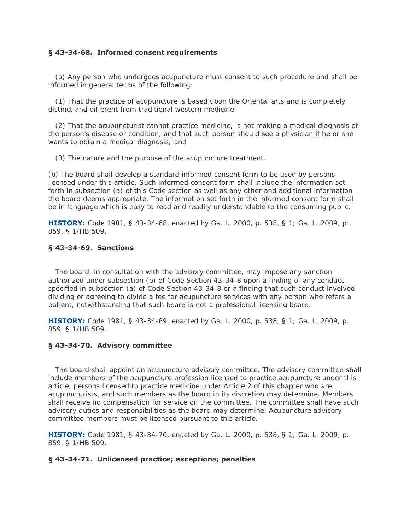### **§ 43-34-68. Informed consent requirements**

 (a) Any person who undergoes acupuncture must consent to such procedure and shall be informed in general terms of the following:

 (1) That the practice of acupuncture is based upon the Oriental arts and is completely distinct and different from traditional western medicine;

 (2) That the acupuncturist cannot practice medicine, is not making a medical diagnosis of the person's disease or condition, and that such person should see a physician if he or she wants to obtain a medical diagnosis; and

(3) The nature and the purpose of the acupuncture treatment.

(b) The board shall develop a standard informed consent form to be used by persons licensed under this article. Such informed consent form shall include the information set forth in subsection (a) of this Code section as well as any other and additional information the board deems appropriate. The information set forth in the informed consent form shall be in language which is easy to read and readily understandable to the consuming public.

**HISTORY:** Code 1981, § 43-34-68, enacted by Ga. L. 2000, p. 538, § 1; Ga. L. 2009, p. 859, § 1/HB 509.

## **§ 43-34-69. Sanctions**

 The board, in consultation with the advisory committee, may impose any sanction authorized under subsection (b) of Code Section 43-34-8 upon a finding of any conduct specified in subsection (a) of Code Section 43-34-8 or a finding that such conduct involved dividing or agreeing to divide a fee for acupuncture services with any person who refers a patient, notwithstanding that such board is not a professional licensing board.

**HISTORY:** Code 1981, § 43-34-69, enacted by Ga. L. 2000, p. 538, § 1; Ga. L. 2009, p. 859, § 1/HB 509.

### **§ 43-34-70. Advisory committee**

 The board shall appoint an acupuncture advisory committee. The advisory committee shall include members of the acupuncture profession licensed to practice acupuncture under this article, persons licensed to practice medicine under Article 2 of this chapter who are acupuncturists, and such members as the board in its discretion may determine. Members shall receive no compensation for service on the committee. The committee shall have such advisory duties and responsibilities as the board may determine. Acupuncture advisory committee members must be licensed pursuant to this article.

**HISTORY:** Code 1981, § 43-34-70, enacted by Ga. L. 2000, p. 538, § 1; Ga. L. 2009, p. 859, § 1/HB 509.

### **§ 43-34-71. Unlicensed practice; exceptions; penalties**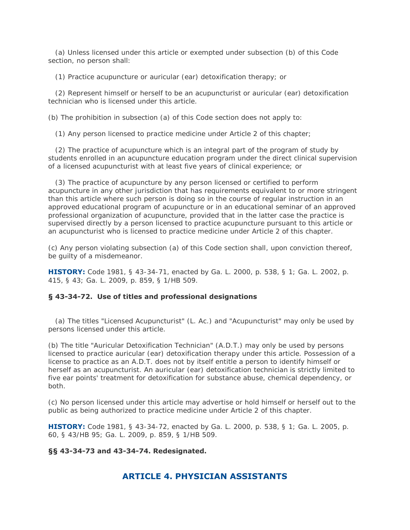(a) Unless licensed under this article or exempted under subsection (b) of this Code section, no person shall:

(1) Practice acupuncture or auricular (ear) detoxification therapy; or

 (2) Represent himself or herself to be an acupuncturist or auricular (ear) detoxification technician who is licensed under this article.

(b) The prohibition in subsection (a) of this Code section does not apply to:

(1) Any person licensed to practice medicine under Article 2 of this chapter;

 (2) The practice of acupuncture which is an integral part of the program of study by students enrolled in an acupuncture education program under the direct clinical supervision of a licensed acupuncturist with at least five years of clinical experience; or

 (3) The practice of acupuncture by any person licensed or certified to perform acupuncture in any other jurisdiction that has requirements equivalent to or more stringent than this article where such person is doing so in the course of regular instruction in an approved educational program of acupuncture or in an educational seminar of an approved professional organization of acupuncture, provided that in the latter case the practice is supervised directly by a person licensed to practice acupuncture pursuant to this article or an acupuncturist who is licensed to practice medicine under Article 2 of this chapter.

(c) Any person violating subsection (a) of this Code section shall, upon conviction thereof, be guilty of a misdemeanor.

**HISTORY:** Code 1981, § 43-34-71, enacted by Ga. L. 2000, p. 538, § 1; Ga. L. 2002, p. 415, § 43; Ga. L. 2009, p. 859, § 1/HB 509.

## **§ 43-34-72. Use of titles and professional designations**

 (a) The titles "Licensed Acupuncturist" (L. Ac.) and "Acupuncturist" may only be used by persons licensed under this article.

(b) The title "Auricular Detoxification Technician" (A.D.T.) may only be used by persons licensed to practice auricular (ear) detoxification therapy under this article. Possession of a license to practice as an A.D.T. does not by itself entitle a person to identify himself or herself as an acupuncturist. An auricular (ear) detoxification technician is strictly limited to five ear points' treatment for detoxification for substance abuse, chemical dependency, or both.

(c) No person licensed under this article may advertise or hold himself or herself out to the public as being authorized to practice medicine under Article 2 of this chapter.

**HISTORY:** Code 1981, § 43-34-72, enacted by Ga. L. 2000, p. 538, § 1; Ga. L. 2005, p. 60, § 43/HB 95; Ga. L. 2009, p. 859, § 1/HB 509.

## **§§ 43-34-73 and 43-34-74. Redesignated.**

# **ARTICLE 4. PHYSICIAN ASSISTANTS**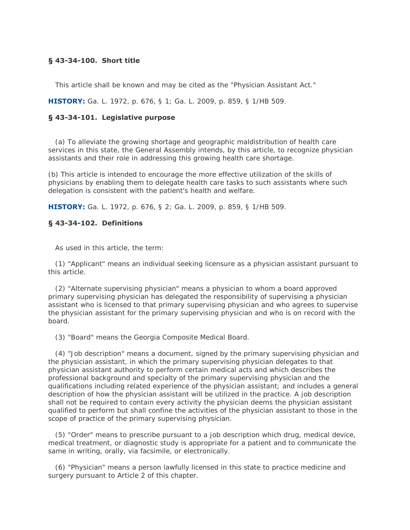### **§ 43-34-100. Short title**

This article shall be known and may be cited as the "Physician Assistant Act."

**HISTORY:** Ga. L. 1972, p. 676, § 1; Ga. L. 2009, p. 859, § 1/HB 509.

## **§ 43-34-101. Legislative purpose**

 (a) To alleviate the growing shortage and geographic maldistribution of health care services in this state, the General Assembly intends, by this article, to recognize physician assistants and their role in addressing this growing health care shortage.

(b) This article is intended to encourage the more effective utilization of the skills of physicians by enabling them to delegate health care tasks to such assistants where such delegation is consistent with the patient's health and welfare.

**HISTORY:** Ga. L. 1972, p. 676, § 2; Ga. L. 2009, p. 859, § 1/HB 509.

#### **§ 43-34-102. Definitions**

As used in this article, the term:

 (1) "Applicant" means an individual seeking licensure as a physician assistant pursuant to this article.

 (2) "Alternate supervising physician" means a physician to whom a board approved primary supervising physician has delegated the responsibility of supervising a physician assistant who is licensed to that primary supervising physician and who agrees to supervise the physician assistant for the primary supervising physician and who is on record with the board.

(3) "Board" means the Georgia Composite Medical Board.

 (4) "Job description" means a document, signed by the primary supervising physician and the physician assistant, in which the primary supervising physician delegates to that physician assistant authority to perform certain medical acts and which describes the professional background and specialty of the primary supervising physician and the qualifications including related experience of the physician assistant; and includes a general description of how the physician assistant will be utilized in the practice. A job description shall not be required to contain every activity the physician deems the physician assistant qualified to perform but shall confine the activities of the physician assistant to those in the scope of practice of the primary supervising physician.

 (5) "Order" means to prescribe pursuant to a job description which drug, medical device, medical treatment, or diagnostic study is appropriate for a patient and to communicate the same in writing, orally, via facsimile, or electronically.

 (6) "Physician" means a person lawfully licensed in this state to practice medicine and surgery pursuant to Article 2 of this chapter.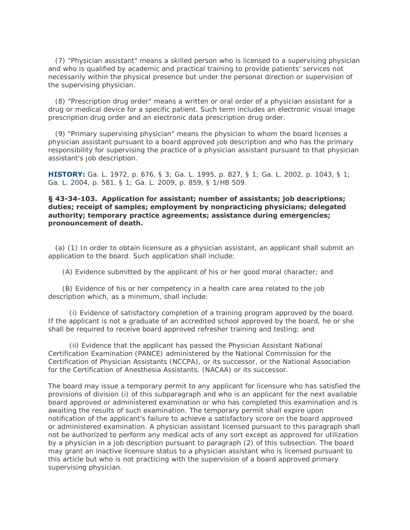(7) "Physician assistant" means a skilled person who is licensed to a supervising physician and who is qualified by academic and practical training to provide patients' services not necessarily within the physical presence but under the personal direction or supervision of the supervising physician.

 (8) "Prescription drug order" means a written or oral order of a physician assistant for a drug or medical device for a specific patient. Such term includes an electronic visual image prescription drug order and an electronic data prescription drug order.

 (9) "Primary supervising physician" means the physician to whom the board licenses a physician assistant pursuant to a board approved job description and who has the primary responsibility for supervising the practice of a physician assistant pursuant to that physician assistant's job description.

**HISTORY:** Ga. L. 1972, p. 676, § 3; Ga. L. 1995, p. 827, § 1; Ga. L. 2002, p. 1043, § 1; Ga. L. 2004, p. 581, § 1; Ga. L. 2009, p. 859, § 1/HB 509.

### **§ 43-34-103. Application for assistant; number of assistants; job descriptions; duties; receipt of samples; employment by nonpracticing physicians; delegated authority; temporary practice agreements; assistance during emergencies; pronouncement of death.**

 (a) (1) In order to obtain licensure as a physician assistant, an applicant shall submit an application to the board. Such application shall include:

(A) Evidence submitted by the applicant of his or her good moral character; and

 (B) Evidence of his or her competency in a health care area related to the job description which, as a minimum, shall include:

 (i) Evidence of satisfactory completion of a training program approved by the board. If the applicant is not a graduate of an accredited school approved by the board, he or she shall be required to receive board approved refresher training and testing; and

 (ii) Evidence that the applicant has passed the Physician Assistant National Certification Examination (PANCE) administered by the National Commission for the Certification of Physician Assistants (NCCPA), or its successor, or the National Association for the Certification of Anesthesia Assistants, (NACAA) or its successor.

The board may issue a temporary permit to any applicant for licensure who has satisfied the provisions of division (i) of this subparagraph and who is an applicant for the next available board approved or administered examination or who has completed this examination and is awaiting the results of such examination. The temporary permit shall expire upon notification of the applicant's failure to achieve a satisfactory score on the board approved or administered examination. A physician assistant licensed pursuant to this paragraph shall not be authorized to perform any medical acts of any sort except as approved for utilization by a physician in a job description pursuant to paragraph (2) of this subsection. The board may grant an inactive licensure status to a physician assistant who is licensed pursuant to this article but who is not practicing with the supervision of a board approved primary supervising physician.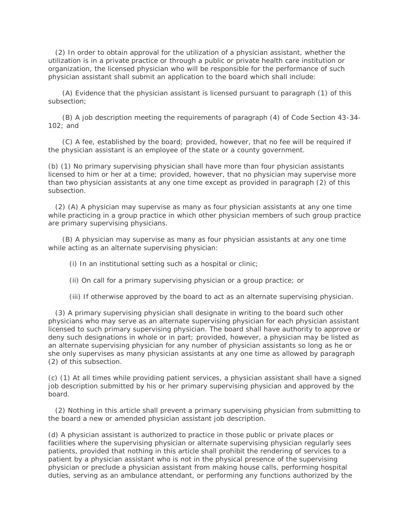(2) In order to obtain approval for the utilization of a physician assistant, whether the utilization is in a private practice or through a public or private health care institution or organization, the licensed physician who will be responsible for the performance of such physician assistant shall submit an application to the board which shall include:

 (A) Evidence that the physician assistant is licensed pursuant to paragraph (1) of this subsection;

 (B) A job description meeting the requirements of paragraph (4) of Code Section 43-34- 102; and

 (C) A fee, established by the board; provided, however, that no fee will be required if the physician assistant is an employee of the state or a county government.

(b) (1) No primary supervising physician shall have more than four physician assistants licensed to him or her at a time; provided, however, that no physician may supervise more than two physician assistants at any one time except as provided in paragraph (2) of this subsection.

 (2) (A) A physician may supervise as many as four physician assistants at any one time while practicing in a group practice in which other physician members of such group practice are primary supervising physicians.

 (B) A physician may supervise as many as four physician assistants at any one time while acting as an alternate supervising physician:

(i) In an institutional setting such as a hospital or clinic;

(ii) On call for a primary supervising physician or a group practice; or

(iii) If otherwise approved by the board to act as an alternate supervising physician.

 (3) A primary supervising physician shall designate in writing to the board such other physicians who may serve as an alternate supervising physician for each physician assistant licensed to such primary supervising physician. The board shall have authority to approve or deny such designations in whole or in part; provided, however, a physician may be listed as an alternate supervising physician for any number of physician assistants so long as he or she only supervises as many physician assistants at any one time as allowed by paragraph (2) of this subsection.

(c) (1) At all times while providing patient services, a physician assistant shall have a signed job description submitted by his or her primary supervising physician and approved by the board.

 (2) Nothing in this article shall prevent a primary supervising physician from submitting to the board a new or amended physician assistant job description.

(d) A physician assistant is authorized to practice in those public or private places or facilities where the supervising physician or alternate supervising physician regularly sees patients, provided that nothing in this article shall prohibit the rendering of services to a patient by a physician assistant who is not in the physical presence of the supervising physician or preclude a physician assistant from making house calls, performing hospital duties, serving as an ambulance attendant, or performing any functions authorized by the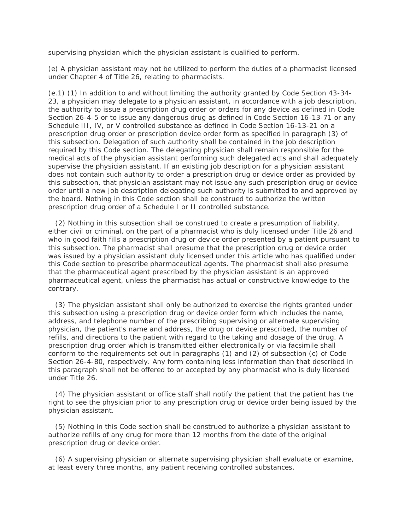supervising physician which the physician assistant is qualified to perform.

(e) A physician assistant may not be utilized to perform the duties of a pharmacist licensed under Chapter 4 of Title 26, relating to pharmacists.

(e.1) (1) In addition to and without limiting the authority granted by Code Section 43-34- 23, a physician may delegate to a physician assistant, in accordance with a job description, the authority to issue a prescription drug order or orders for any device as defined in Code Section 26-4-5 or to issue any dangerous drug as defined in Code Section 16-13-71 or any Schedule III, IV, or V controlled substance as defined in Code Section 16-13-21 on a prescription drug order or prescription device order form as specified in paragraph (3) of this subsection. Delegation of such authority shall be contained in the job description required by this Code section. The delegating physician shall remain responsible for the medical acts of the physician assistant performing such delegated acts and shall adequately supervise the physician assistant. If an existing job description for a physician assistant does not contain such authority to order a prescription drug or device order as provided by this subsection, that physician assistant may not issue any such prescription drug or device order until a new job description delegating such authority is submitted to and approved by the board. Nothing in this Code section shall be construed to authorize the written prescription drug order of a Schedule I or II controlled substance.

 (2) Nothing in this subsection shall be construed to create a presumption of liability, either civil or criminal, on the part of a pharmacist who is duly licensed under Title 26 and who in good faith fills a prescription drug or device order presented by a patient pursuant to this subsection. The pharmacist shall presume that the prescription drug or device order was issued by a physician assistant duly licensed under this article who has qualified under this Code section to prescribe pharmaceutical agents. The pharmacist shall also presume that the pharmaceutical agent prescribed by the physician assistant is an approved pharmaceutical agent, unless the pharmacist has actual or constructive knowledge to the contrary.

 (3) The physician assistant shall only be authorized to exercise the rights granted under this subsection using a prescription drug or device order form which includes the name, address, and telephone number of the prescribing supervising or alternate supervising physician, the patient's name and address, the drug or device prescribed, the number of refills, and directions to the patient with regard to the taking and dosage of the drug. A prescription drug order which is transmitted either electronically or via facsimile shall conform to the requirements set out in paragraphs (1) and (2) of subsection (c) of Code Section 26-4-80, respectively. Any form containing less information than that described in this paragraph shall not be offered to or accepted by any pharmacist who is duly licensed under Title 26.

 (4) The physician assistant or office staff shall notify the patient that the patient has the right to see the physician prior to any prescription drug or device order being issued by the physician assistant.

 (5) Nothing in this Code section shall be construed to authorize a physician assistant to authorize refills of any drug for more than 12 months from the date of the original prescription drug or device order.

 (6) A supervising physician or alternate supervising physician shall evaluate or examine, at least every three months, any patient receiving controlled substances.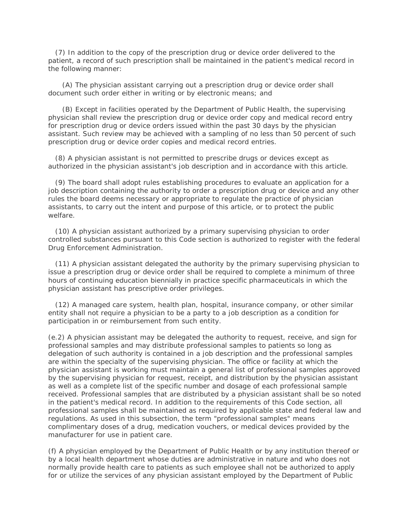(7) In addition to the copy of the prescription drug or device order delivered to the patient, a record of such prescription shall be maintained in the patient's medical record in the following manner:

 (A) The physician assistant carrying out a prescription drug or device order shall document such order either in writing or by electronic means; and

 (B) Except in facilities operated by the Department of Public Health, the supervising physician shall review the prescription drug or device order copy and medical record entry for prescription drug or device orders issued within the past 30 days by the physician assistant. Such review may be achieved with a sampling of no less than 50 percent of such prescription drug or device order copies and medical record entries.

 (8) A physician assistant is not permitted to prescribe drugs or devices except as authorized in the physician assistant's job description and in accordance with this article.

 (9) The board shall adopt rules establishing procedures to evaluate an application for a job description containing the authority to order a prescription drug or device and any other rules the board deems necessary or appropriate to regulate the practice of physician assistants, to carry out the intent and purpose of this article, or to protect the public welfare.

 (10) A physician assistant authorized by a primary supervising physician to order controlled substances pursuant to this Code section is authorized to register with the federal Drug Enforcement Administration.

 (11) A physician assistant delegated the authority by the primary supervising physician to issue a prescription drug or device order shall be required to complete a minimum of three hours of continuing education biennially in practice specific pharmaceuticals in which the physician assistant has prescriptive order privileges.

 (12) A managed care system, health plan, hospital, insurance company, or other similar entity shall not require a physician to be a party to a job description as a condition for participation in or reimbursement from such entity.

(e.2) A physician assistant may be delegated the authority to request, receive, and sign for professional samples and may distribute professional samples to patients so long as delegation of such authority is contained in a job description and the professional samples are within the specialty of the supervising physician. The office or facility at which the physician assistant is working must maintain a general list of professional samples approved by the supervising physician for request, receipt, and distribution by the physician assistant as well as a complete list of the specific number and dosage of each professional sample received. Professional samples that are distributed by a physician assistant shall be so noted in the patient's medical record. In addition to the requirements of this Code section, all professional samples shall be maintained as required by applicable state and federal law and regulations. As used in this subsection, the term "professional samples" means complimentary doses of a drug, medication vouchers, or medical devices provided by the manufacturer for use in patient care.

(f) A physician employed by the Department of Public Health or by any institution thereof or by a local health department whose duties are administrative in nature and who does not normally provide health care to patients as such employee shall not be authorized to apply for or utilize the services of any physician assistant employed by the Department of Public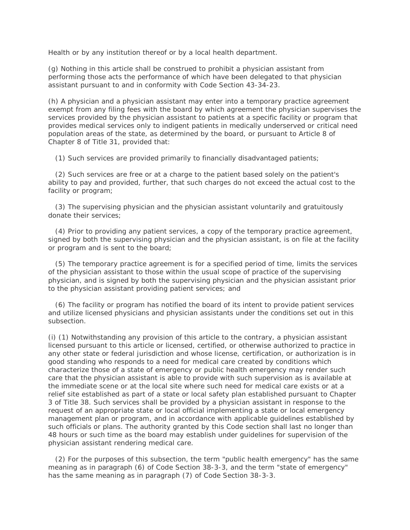Health or by any institution thereof or by a local health department.

(g) Nothing in this article shall be construed to prohibit a physician assistant from performing those acts the performance of which have been delegated to that physician assistant pursuant to and in conformity with Code Section 43-34-23.

(h) A physician and a physician assistant may enter into a temporary practice agreement exempt from any filing fees with the board by which agreement the physician supervises the services provided by the physician assistant to patients at a specific facility or program that provides medical services only to indigent patients in medically underserved or critical need population areas of the state, as determined by the board, or pursuant to Article 8 of Chapter 8 of Title 31, provided that:

(1) Such services are provided primarily to financially disadvantaged patients;

 (2) Such services are free or at a charge to the patient based solely on the patient's ability to pay and provided, further, that such charges do not exceed the actual cost to the facility or program;

 (3) The supervising physician and the physician assistant voluntarily and gratuitously donate their services;

 (4) Prior to providing any patient services, a copy of the temporary practice agreement, signed by both the supervising physician and the physician assistant, is on file at the facility or program and is sent to the board;

 (5) The temporary practice agreement is for a specified period of time, limits the services of the physician assistant to those within the usual scope of practice of the supervising physician, and is signed by both the supervising physician and the physician assistant prior to the physician assistant providing patient services; and

 (6) The facility or program has notified the board of its intent to provide patient services and utilize licensed physicians and physician assistants under the conditions set out in this subsection.

(i) (1) Notwithstanding any provision of this article to the contrary, a physician assistant licensed pursuant to this article or licensed, certified, or otherwise authorized to practice in any other state or federal jurisdiction and whose license, certification, or authorization is in good standing who responds to a need for medical care created by conditions which characterize those of a state of emergency or public health emergency may render such care that the physician assistant is able to provide with such supervision as is available at the immediate scene or at the local site where such need for medical care exists or at a relief site established as part of a state or local safety plan established pursuant to Chapter 3 of Title 38. Such services shall be provided by a physician assistant in response to the request of an appropriate state or local official implementing a state or local emergency management plan or program, and in accordance with applicable guidelines established by such officials or plans. The authority granted by this Code section shall last no longer than 48 hours or such time as the board may establish under guidelines for supervision of the physician assistant rendering medical care.

 (2) For the purposes of this subsection, the term "public health emergency" has the same meaning as in paragraph (6) of Code Section 38-3-3, and the term "state of emergency" has the same meaning as in paragraph (7) of Code Section 38-3-3.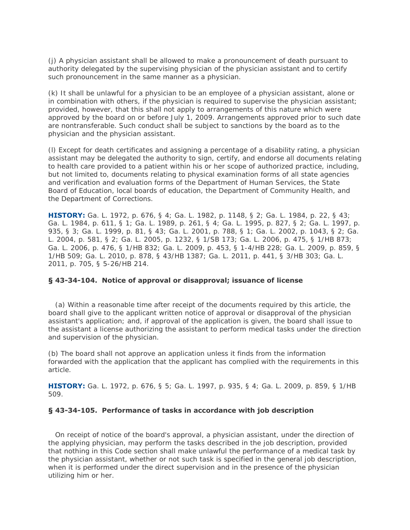(j) A physician assistant shall be allowed to make a pronouncement of death pursuant to authority delegated by the supervising physician of the physician assistant and to certify such pronouncement in the same manner as a physician.

(k) It shall be unlawful for a physician to be an employee of a physician assistant, alone or in combination with others, if the physician is required to supervise the physician assistant; provided, however, that this shall not apply to arrangements of this nature which were approved by the board on or before July 1, 2009. Arrangements approved prior to such date are nontransferable. Such conduct shall be subject to sanctions by the board as to the physician and the physician assistant.

(l) Except for death certificates and assigning a percentage of a disability rating, a physician assistant may be delegated the authority to sign, certify, and endorse all documents relating to health care provided to a patient within his or her scope of authorized practice, including, but not limited to, documents relating to physical examination forms of all state agencies and verification and evaluation forms of the Department of Human Services, the State Board of Education, local boards of education, the Department of Community Health, and the Department of Corrections.

**HISTORY:** Ga. L. 1972, p. 676, § 4; Ga. L. 1982, p. 1148, § 2; Ga. L. 1984, p. 22, § 43; Ga. L. 1984, p. 611, § 1; Ga. L. 1989, p. 261, § 4; Ga. L. 1995, p. 827, § 2; Ga. L. 1997, p. 935, § 3; Ga. L. 1999, p. 81, § 43; Ga. L. 2001, p. 788, § 1; Ga. L. 2002, p. 1043, § 2; Ga. L. 2004, p. 581, § 2; Ga. L. 2005, p. 1232, § 1/SB 173; Ga. L. 2006, p. 475, § 1/HB 873; Ga. L. 2006, p. 476, § 1/HB 832; Ga. L. 2009, p. 453, § 1-4/HB 228; Ga. L. 2009, p. 859, § 1/HB 509; Ga. L. 2010, p. 878, § 43/HB 1387; Ga. L. 2011, p. 441, § 3/HB 303; Ga. L. 2011, p. 705, § 5-26/HB 214.

### **§ 43-34-104. Notice of approval or disapproval; issuance of license**

 (a) Within a reasonable time after receipt of the documents required by this article, the board shall give to the applicant written notice of approval or disapproval of the physician assistant's application; and, if approval of the application is given, the board shall issue to the assistant a license authorizing the assistant to perform medical tasks under the direction and supervision of the physician.

(b) The board shall not approve an application unless it finds from the information forwarded with the application that the applicant has complied with the requirements in this article.

**HISTORY:** Ga. L. 1972, p. 676, § 5; Ga. L. 1997, p. 935, § 4; Ga. L. 2009, p. 859, § 1/HB 509.

### **§ 43-34-105. Performance of tasks in accordance with job description**

 On receipt of notice of the board's approval, a physician assistant, under the direction of the applying physician, may perform the tasks described in the job description, provided that nothing in this Code section shall make unlawful the performance of a medical task by the physician assistant, whether or not such task is specified in the general job description, when it is performed under the direct supervision and in the presence of the physician utilizing him or her.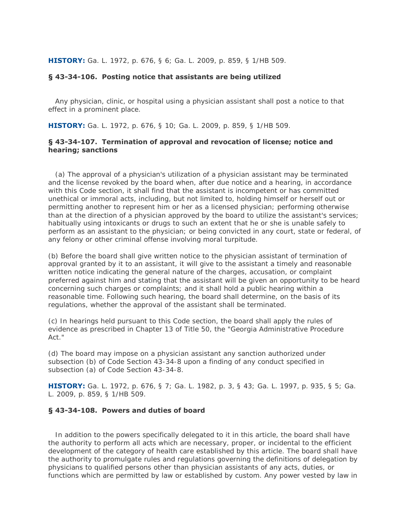**HISTORY:** Ga. L. 1972, p. 676, § 6; Ga. L. 2009, p. 859, § 1/HB 509.

#### **§ 43-34-106. Posting notice that assistants are being utilized**

 Any physician, clinic, or hospital using a physician assistant shall post a notice to that effect in a prominent place.

**HISTORY:** Ga. L. 1972, p. 676, § 10; Ga. L. 2009, p. 859, § 1/HB 509.

#### **§ 43-34-107. Termination of approval and revocation of license; notice and hearing; sanctions**

 (a) The approval of a physician's utilization of a physician assistant may be terminated and the license revoked by the board when, after due notice and a hearing, in accordance with this Code section, it shall find that the assistant is incompetent or has committed unethical or immoral acts, including, but not limited to, holding himself or herself out or permitting another to represent him or her as a licensed physician; performing otherwise than at the direction of a physician approved by the board to utilize the assistant's services; habitually using intoxicants or drugs to such an extent that he or she is unable safely to perform as an assistant to the physician; or being convicted in any court, state or federal, of any felony or other criminal offense involving moral turpitude.

(b) Before the board shall give written notice to the physician assistant of termination of approval granted by it to an assistant, it will give to the assistant a timely and reasonable written notice indicating the general nature of the charges, accusation, or complaint preferred against him and stating that the assistant will be given an opportunity to be heard concerning such charges or complaints; and it shall hold a public hearing within a reasonable time. Following such hearing, the board shall determine, on the basis of its regulations, whether the approval of the assistant shall be terminated.

(c) In hearings held pursuant to this Code section, the board shall apply the rules of evidence as prescribed in Chapter 13 of Title 50, the "Georgia Administrative Procedure Act."

(d) The board may impose on a physician assistant any sanction authorized under subsection (b) of Code Section 43-34-8 upon a finding of any conduct specified in subsection (a) of Code Section 43-34-8.

**HISTORY:** Ga. L. 1972, p. 676, § 7; Ga. L. 1982, p. 3, § 43; Ga. L. 1997, p. 935, § 5; Ga. L. 2009, p. 859, § 1/HB 509.

#### **§ 43-34-108. Powers and duties of board**

 In addition to the powers specifically delegated to it in this article, the board shall have the authority to perform all acts which are necessary, proper, or incidental to the efficient development of the category of health care established by this article. The board shall have the authority to promulgate rules and regulations governing the definitions of delegation by physicians to qualified persons other than physician assistants of any acts, duties, or functions which are permitted by law or established by custom. Any power vested by law in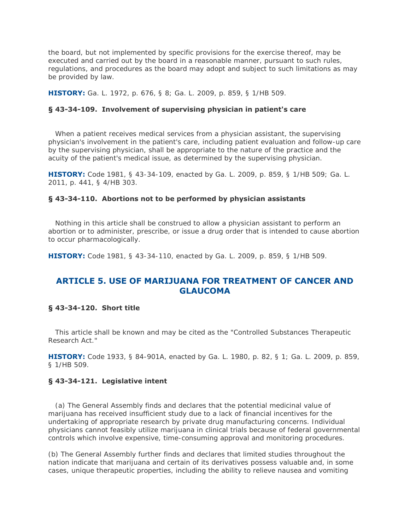the board, but not implemented by specific provisions for the exercise thereof, may be executed and carried out by the board in a reasonable manner, pursuant to such rules, regulations, and procedures as the board may adopt and subject to such limitations as may be provided by law.

**HISTORY:** Ga. L. 1972, p. 676, § 8; Ga. L. 2009, p. 859, § 1/HB 509.

## **§ 43-34-109. Involvement of supervising physician in patient's care**

 When a patient receives medical services from a physician assistant, the supervising physician's involvement in the patient's care, including patient evaluation and follow-up care by the supervising physician, shall be appropriate to the nature of the practice and the acuity of the patient's medical issue, as determined by the supervising physician.

**HISTORY:** Code 1981, § 43-34-109, enacted by Ga. L. 2009, p. 859, § 1/HB 509; Ga. L. 2011, p. 441, § 4/HB 303.

## **§ 43-34-110. Abortions not to be performed by physician assistants**

 Nothing in this article shall be construed to allow a physician assistant to perform an abortion or to administer, prescribe, or issue a drug order that is intended to cause abortion to occur pharmacologically.

**HISTORY:** Code 1981, § 43-34-110, enacted by Ga. L. 2009, p. 859, § 1/HB 509.

# **ARTICLE 5. USE OF MARIJUANA FOR TREATMENT OF CANCER AND GLAUCOMA**

### **§ 43-34-120. Short title**

 This article shall be known and may be cited as the "Controlled Substances Therapeutic Research Act."

**HISTORY:** Code 1933, § 84-901A, enacted by Ga. L. 1980, p. 82, § 1; Ga. L. 2009, p. 859, § 1/HB 509.

#### **§ 43-34-121. Legislative intent**

 (a) The General Assembly finds and declares that the potential medicinal value of marijuana has received insufficient study due to a lack of financial incentives for the undertaking of appropriate research by private drug manufacturing concerns. Individual physicians cannot feasibly utilize marijuana in clinical trials because of federal governmental controls which involve expensive, time-consuming approval and monitoring procedures.

(b) The General Assembly further finds and declares that limited studies throughout the nation indicate that marijuana and certain of its derivatives possess valuable and, in some cases, unique therapeutic properties, including the ability to relieve nausea and vomiting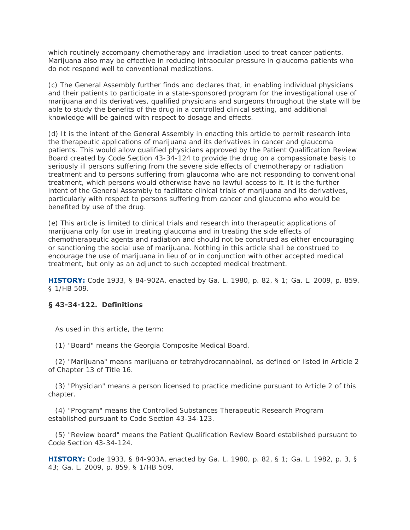which routinely accompany chemotherapy and irradiation used to treat cancer patients. Marijuana also may be effective in reducing intraocular pressure in glaucoma patients who do not respond well to conventional medications.

(c) The General Assembly further finds and declares that, in enabling individual physicians and their patients to participate in a state-sponsored program for the investigational use of marijuana and its derivatives, qualified physicians and surgeons throughout the state will be able to study the benefits of the drug in a controlled clinical setting, and additional knowledge will be gained with respect to dosage and effects.

(d) It is the intent of the General Assembly in enacting this article to permit research into the therapeutic applications of marijuana and its derivatives in cancer and glaucoma patients. This would allow qualified physicians approved by the Patient Qualification Review Board created by Code Section 43-34-124 to provide the drug on a compassionate basis to seriously ill persons suffering from the severe side effects of chemotherapy or radiation treatment and to persons suffering from glaucoma who are not responding to conventional treatment, which persons would otherwise have no lawful access to it. It is the further intent of the General Assembly to facilitate clinical trials of marijuana and its derivatives, particularly with respect to persons suffering from cancer and glaucoma who would be benefited by use of the drug.

(e) This article is limited to clinical trials and research into therapeutic applications of marijuana only for use in treating glaucoma and in treating the side effects of chemotherapeutic agents and radiation and should not be construed as either encouraging or sanctioning the social use of marijuana. Nothing in this article shall be construed to encourage the use of marijuana in lieu of or in conjunction with other accepted medical treatment, but only as an adjunct to such accepted medical treatment.

**HISTORY:** Code 1933, § 84-902A, enacted by Ga. L. 1980, p. 82, § 1; Ga. L. 2009, p. 859, § 1/HB 509.

## **§ 43-34-122. Definitions**

As used in this article, the term:

(1) "Board" means the Georgia Composite Medical Board.

 (2) "Marijuana" means marijuana or tetrahydrocannabinol, as defined or listed in Article 2 of Chapter 13 of Title 16.

 (3) "Physician" means a person licensed to practice medicine pursuant to Article 2 of this chapter.

 (4) "Program" means the Controlled Substances Therapeutic Research Program established pursuant to Code Section 43-34-123.

 (5) "Review board" means the Patient Qualification Review Board established pursuant to Code Section 43-34-124.

**HISTORY:** Code 1933, § 84-903A, enacted by Ga. L. 1980, p. 82, § 1; Ga. L. 1982, p. 3, § 43; Ga. L. 2009, p. 859, § 1/HB 509.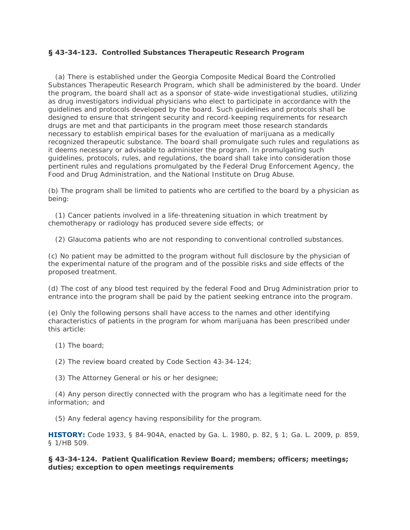### **§ 43-34-123. Controlled Substances Therapeutic Research Program**

 (a) There is established under the Georgia Composite Medical Board the Controlled Substances Therapeutic Research Program, which shall be administered by the board. Under the program, the board shall act as a sponsor of state-wide investigational studies, utilizing as drug investigators individual physicians who elect to participate in accordance with the guidelines and protocols developed by the board. Such guidelines and protocols shall be designed to ensure that stringent security and record-keeping requirements for research drugs are met and that participants in the program meet those research standards necessary to establish empirical bases for the evaluation of marijuana as a medically recognized therapeutic substance. The board shall promulgate such rules and regulations as it deems necessary or advisable to administer the program. In promulgating such guidelines, protocols, rules, and regulations, the board shall take into consideration those pertinent rules and regulations promulgated by the Federal Drug Enforcement Agency, the Food and Drug Administration, and the National Institute on Drug Abuse.

(b) The program shall be limited to patients who are certified to the board by a physician as being:

 (1) Cancer patients involved in a life-threatening situation in which treatment by chemotherapy or radiology has produced severe side effects; or

(2) Glaucoma patients who are not responding to conventional controlled substances.

(c) No patient may be admitted to the program without full disclosure by the physician of the experimental nature of the program and of the possible risks and side effects of the proposed treatment.

(d) The cost of any blood test required by the federal Food and Drug Administration prior to entrance into the program shall be paid by the patient seeking entrance into the program.

(e) Only the following persons shall have access to the names and other identifying characteristics of patients in the program for whom marijuana has been prescribed under this article:

(1) The board;

(2) The review board created by Code Section 43-34-124;

(3) The Attorney General or his or her designee;

 (4) Any person directly connected with the program who has a legitimate need for the information; and

(5) Any federal agency having responsibility for the program.

**HISTORY:** Code 1933, § 84-904A, enacted by Ga. L. 1980, p. 82, § 1; Ga. L. 2009, p. 859, § 1/HB 509.

### **§ 43-34-124. Patient Qualification Review Board; members; officers; meetings; duties; exception to open meetings requirements**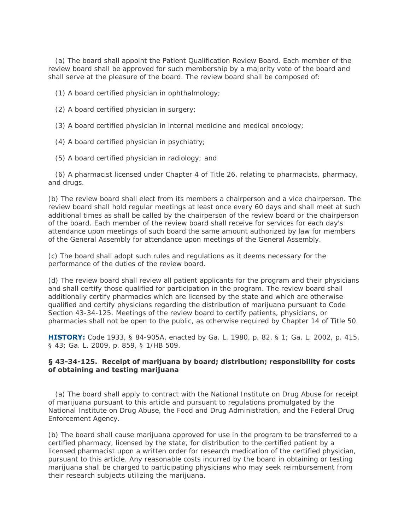(a) The board shall appoint the Patient Qualification Review Board. Each member of the review board shall be approved for such membership by a majority vote of the board and shall serve at the pleasure of the board. The review board shall be composed of:

(1) A board certified physician in ophthalmology;

- (2) A board certified physician in surgery;
- (3) A board certified physician in internal medicine and medical oncology;
- (4) A board certified physician in psychiatry;
- (5) A board certified physician in radiology; and

 (6) A pharmacist licensed under Chapter 4 of Title 26, relating to pharmacists, pharmacy, and drugs.

(b) The review board shall elect from its members a chairperson and a vice chairperson. The review board shall hold regular meetings at least once every 60 days and shall meet at such additional times as shall be called by the chairperson of the review board or the chairperson of the board. Each member of the review board shall receive for services for each day's attendance upon meetings of such board the same amount authorized by law for members of the General Assembly for attendance upon meetings of the General Assembly.

(c) The board shall adopt such rules and regulations as it deems necessary for the performance of the duties of the review board.

(d) The review board shall review all patient applicants for the program and their physicians and shall certify those qualified for participation in the program. The review board shall additionally certify pharmacies which are licensed by the state and which are otherwise qualified and certify physicians regarding the distribution of marijuana pursuant to Code Section 43-34-125. Meetings of the review board to certify patients, physicians, or pharmacies shall not be open to the public, as otherwise required by Chapter 14 of Title 50.

**HISTORY:** Code 1933, § 84-905A, enacted by Ga. L. 1980, p. 82, § 1; Ga. L. 2002, p. 415, § 43; Ga. L. 2009, p. 859, § 1/HB 509.

## **§ 43-34-125. Receipt of marijuana by board; distribution; responsibility for costs of obtaining and testing marijuana**

 (a) The board shall apply to contract with the National Institute on Drug Abuse for receipt of marijuana pursuant to this article and pursuant to regulations promulgated by the National Institute on Drug Abuse, the Food and Drug Administration, and the Federal Drug Enforcement Agency.

(b) The board shall cause marijuana approved for use in the program to be transferred to a certified pharmacy, licensed by the state, for distribution to the certified patient by a licensed pharmacist upon a written order for research medication of the certified physician, pursuant to this article. Any reasonable costs incurred by the board in obtaining or testing marijuana shall be charged to participating physicians who may seek reimbursement from their research subjects utilizing the marijuana.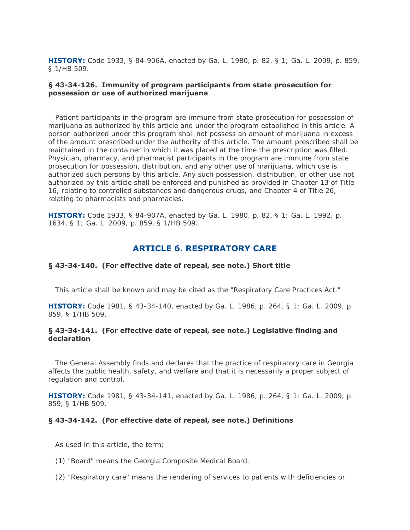**HISTORY:** Code 1933, § 84-906A, enacted by Ga. L. 1980, p. 82, § 1; Ga. L. 2009, p. 859, § 1/HB 509.

#### **§ 43-34-126. Immunity of program participants from state prosecution for possession or use of authorized marijuana**

 Patient participants in the program are immune from state prosecution for possession of marijuana as authorized by this article and under the program established in this article. A person authorized under this program shall not possess an amount of marijuana in excess of the amount prescribed under the authority of this article. The amount prescribed shall be maintained in the container in which it was placed at the time the prescription was filled. Physician, pharmacy, and pharmacist participants in the program are immune from state prosecution for possession, distribution, and any other use of marijuana, which use is authorized such persons by this article. Any such possession, distribution, or other use not authorized by this article shall be enforced and punished as provided in Chapter 13 of Title 16, relating to controlled substances and dangerous drugs, and Chapter 4 of Title 26, relating to pharmacists and pharmacies.

**HISTORY:** Code 1933, § 84-907A, enacted by Ga. L. 1980, p. 82, § 1; Ga. L. 1992, p. 1634, § 1; Ga. L. 2009, p. 859, § 1/HB 509.

# **ARTICLE 6. RESPIRATORY CARE**

#### **§ 43-34-140. (For effective date of repeal, see note.) Short title**

This article shall be known and may be cited as the "Respiratory Care Practices Act."

**HISTORY:** Code 1981, § 43-34-140, enacted by Ga. L. 1986, p. 264, § 1; Ga. L. 2009, p. 859, § 1/HB 509.

### **§ 43-34-141. (For effective date of repeal, see note.) Legislative finding and declaration**

 The General Assembly finds and declares that the practice of respiratory care in Georgia affects the public health, safety, and welfare and that it is necessarily a proper subject of regulation and control.

**HISTORY:** Code 1981, § 43-34-141, enacted by Ga. L. 1986, p. 264, § 1; Ga. L. 2009, p. 859, § 1/HB 509.

## **§ 43-34-142. (For effective date of repeal, see note.) Definitions**

As used in this article, the term:

- (1) "Board" means the Georgia Composite Medical Board.
- (2) "Respiratory care" means the rendering of services to patients with deficiencies or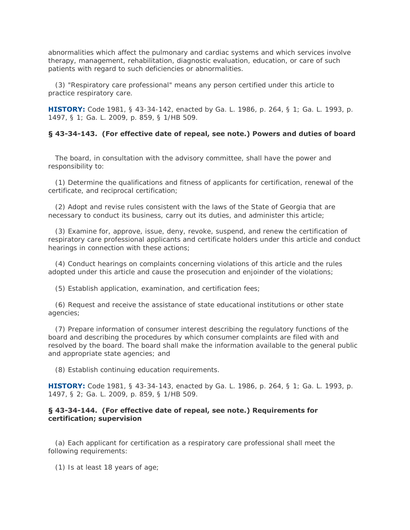abnormalities which affect the pulmonary and cardiac systems and which services involve therapy, management, rehabilitation, diagnostic evaluation, education, or care of such patients with regard to such deficiencies or abnormalities.

 (3) "Respiratory care professional" means any person certified under this article to practice respiratory care.

**HISTORY:** Code 1981, § 43-34-142, enacted by Ga. L. 1986, p. 264, § 1; Ga. L. 1993, p. 1497, § 1; Ga. L. 2009, p. 859, § 1/HB 509.

### **§ 43-34-143. (For effective date of repeal, see note.) Powers and duties of board**

 The board, in consultation with the advisory committee, shall have the power and responsibility to:

 (1) Determine the qualifications and fitness of applicants for certification, renewal of the certificate, and reciprocal certification;

 (2) Adopt and revise rules consistent with the laws of the State of Georgia that are necessary to conduct its business, carry out its duties, and administer this article;

 (3) Examine for, approve, issue, deny, revoke, suspend, and renew the certification of respiratory care professional applicants and certificate holders under this article and conduct hearings in connection with these actions;

 (4) Conduct hearings on complaints concerning violations of this article and the rules adopted under this article and cause the prosecution and enjoinder of the violations;

(5) Establish application, examination, and certification fees;

 (6) Request and receive the assistance of state educational institutions or other state agencies;

 (7) Prepare information of consumer interest describing the regulatory functions of the board and describing the procedures by which consumer complaints are filed with and resolved by the board. The board shall make the information available to the general public and appropriate state agencies; and

(8) Establish continuing education requirements.

**HISTORY:** Code 1981, § 43-34-143, enacted by Ga. L. 1986, p. 264, § 1; Ga. L. 1993, p. 1497, § 2; Ga. L. 2009, p. 859, § 1/HB 509.

#### **§ 43-34-144. (For effective date of repeal, see note.) Requirements for certification; supervision**

 (a) Each applicant for certification as a respiratory care professional shall meet the following requirements:

(1) Is at least 18 years of age;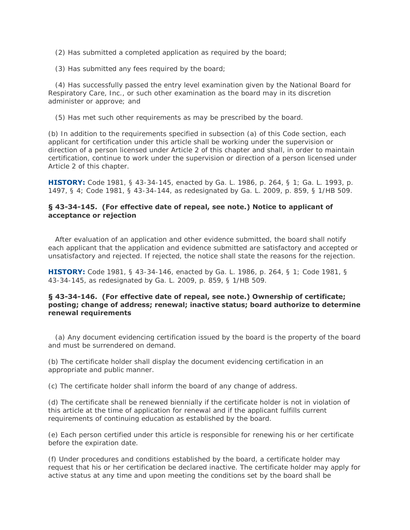(2) Has submitted a completed application as required by the board;

(3) Has submitted any fees required by the board;

 (4) Has successfully passed the entry level examination given by the National Board for Respiratory Care, Inc., or such other examination as the board may in its discretion administer or approve; and

(5) Has met such other requirements as may be prescribed by the board.

(b) In addition to the requirements specified in subsection (a) of this Code section, each applicant for certification under this article shall be working under the supervision or direction of a person licensed under Article 2 of this chapter and shall, in order to maintain certification, continue to work under the supervision or direction of a person licensed under Article 2 of this chapter.

**HISTORY:** Code 1981, § 43-34-145, enacted by Ga. L. 1986, p. 264, § 1; Ga. L. 1993, p. 1497, § 4; Code 1981, § 43-34-144, as redesignated by Ga. L. 2009, p. 859, § 1/HB 509.

## **§ 43-34-145. (For effective date of repeal, see note.) Notice to applicant of acceptance or rejection**

 After evaluation of an application and other evidence submitted, the board shall notify each applicant that the application and evidence submitted are satisfactory and accepted or unsatisfactory and rejected. If rejected, the notice shall state the reasons for the rejection.

**HISTORY:** Code 1981, § 43-34-146, enacted by Ga. L. 1986, p. 264, § 1; Code 1981, § 43-34-145, as redesignated by Ga. L. 2009, p. 859, § 1/HB 509.

#### **§ 43-34-146. (For effective date of repeal, see note.) Ownership of certificate; posting; change of address; renewal; inactive status; board authorize to determine renewal requirements**

 (a) Any document evidencing certification issued by the board is the property of the board and must be surrendered on demand.

(b) The certificate holder shall display the document evidencing certification in an appropriate and public manner.

(c) The certificate holder shall inform the board of any change of address.

(d) The certificate shall be renewed biennially if the certificate holder is not in violation of this article at the time of application for renewal and if the applicant fulfills current requirements of continuing education as established by the board.

(e) Each person certified under this article is responsible for renewing his or her certificate before the expiration date.

(f) Under procedures and conditions established by the board, a certificate holder may request that his or her certification be declared inactive. The certificate holder may apply for active status at any time and upon meeting the conditions set by the board shall be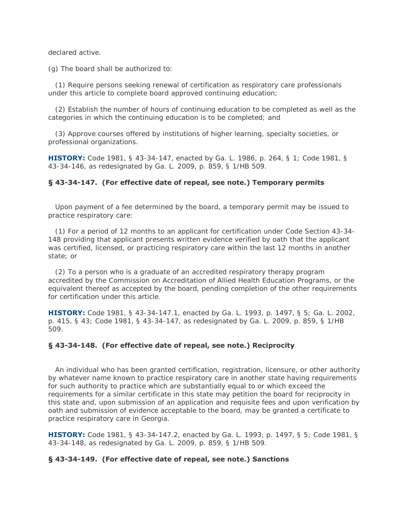declared active.

(g) The board shall be authorized to:

 (1) Require persons seeking renewal of certification as respiratory care professionals under this article to complete board approved continuing education;

 (2) Establish the number of hours of continuing education to be completed as well as the categories in which the continuing education is to be completed; and

 (3) Approve courses offered by institutions of higher learning, specialty societies, or professional organizations.

**HISTORY:** Code 1981, § 43-34-147, enacted by Ga. L. 1986, p. 264, § 1; Code 1981, § 43-34-146, as redesignated by Ga. L. 2009, p. 859, § 1/HB 509.

#### **§ 43-34-147. (For effective date of repeal, see note.) Temporary permits**

 Upon payment of a fee determined by the board, a temporary permit may be issued to practice respiratory care:

 (1) For a period of 12 months to an applicant for certification under Code Section 43-34- 148 providing that applicant presents written evidence verified by oath that the applicant was certified, licensed, or practicing respiratory care within the last 12 months in another state; or

 (2) To a person who is a graduate of an accredited respiratory therapy program accredited by the Commission on Accreditation of Allied Health Education Programs, or the equivalent thereof as accepted by the board, pending completion of the other requirements for certification under this article.

**HISTORY:** Code 1981, § 43-34-147.1, enacted by Ga. L. 1993, p. 1497, § 5; Ga. L. 2002, p. 415, § 43; Code 1981, § 43-34-147, as redesignated by Ga. L. 2009, p. 859, § 1/HB 509.

#### **§ 43-34-148. (For effective date of repeal, see note.) Reciprocity**

 An individual who has been granted certification, registration, licensure, or other authority by whatever name known to practice respiratory care in another state having requirements for such authority to practice which are substantially equal to or which exceed the requirements for a similar certificate in this state may petition the board for reciprocity in this state and, upon submission of an application and requisite fees and upon verification by oath and submission of evidence acceptable to the board, may be granted a certificate to practice respiratory care in Georgia.

**HISTORY:** Code 1981, § 43-34-147.2, enacted by Ga. L. 1993, p. 1497, § 5; Code 1981, § 43-34-148, as redesignated by Ga. L. 2009, p. 859, § 1/HB 509.

#### **§ 43-34-149. (For effective date of repeal, see note.) Sanctions**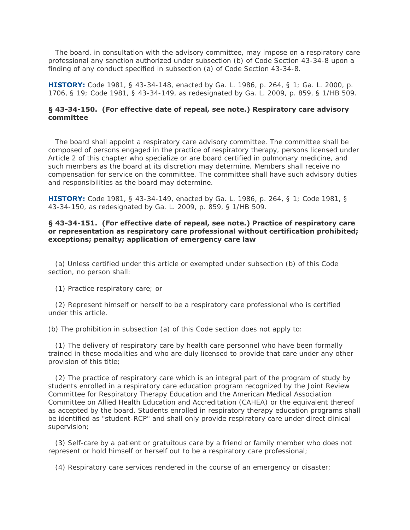The board, in consultation with the advisory committee, may impose on a respiratory care professional any sanction authorized under subsection (b) of Code Section 43-34-8 upon a finding of any conduct specified in subsection (a) of Code Section 43-34-8.

**HISTORY:** Code 1981, § 43-34-148, enacted by Ga. L. 1986, p. 264, § 1; Ga. L. 2000, p. 1706, § 19; Code 1981, § 43-34-149, as redesignated by Ga. L. 2009, p. 859, § 1/HB 509.

#### **§ 43-34-150. (For effective date of repeal, see note.) Respiratory care advisory committee**

 The board shall appoint a respiratory care advisory committee. The committee shall be composed of persons engaged in the practice of respiratory therapy, persons licensed under Article 2 of this chapter who specialize or are board certified in pulmonary medicine, and such members as the board at its discretion may determine. Members shall receive no compensation for service on the committee. The committee shall have such advisory duties and responsibilities as the board may determine.

**HISTORY:** Code 1981, § 43-34-149, enacted by Ga. L. 1986, p. 264, § 1; Code 1981, § 43-34-150, as redesignated by Ga. L. 2009, p. 859, § 1/HB 509.

#### **§ 43-34-151. (For effective date of repeal, see note.) Practice of respiratory care or representation as respiratory care professional without certification prohibited; exceptions; penalty; application of emergency care law**

 (a) Unless certified under this article or exempted under subsection (b) of this Code section, no person shall:

(1) Practice respiratory care; or

 (2) Represent himself or herself to be a respiratory care professional who is certified under this article.

(b) The prohibition in subsection (a) of this Code section does not apply to:

 (1) The delivery of respiratory care by health care personnel who have been formally trained in these modalities and who are duly licensed to provide that care under any other provision of this title;

 (2) The practice of respiratory care which is an integral part of the program of study by students enrolled in a respiratory care education program recognized by the Joint Review Committee for Respiratory Therapy Education and the American Medical Association Committee on Allied Health Education and Accreditation (CAHEA) or the equivalent thereof as accepted by the board. Students enrolled in respiratory therapy education programs shall be identified as "student-RCP" and shall only provide respiratory care under direct clinical supervision;

 (3) Self-care by a patient or gratuitous care by a friend or family member who does not represent or hold himself or herself out to be a respiratory care professional;

(4) Respiratory care services rendered in the course of an emergency or disaster;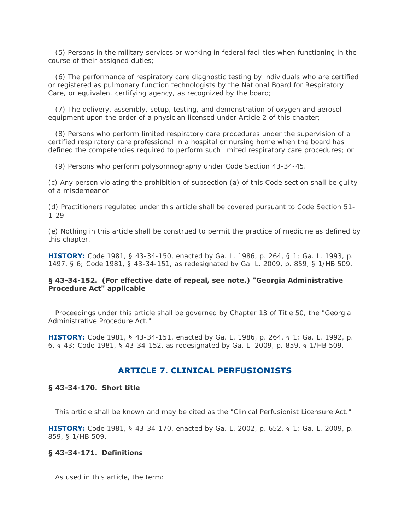(5) Persons in the military services or working in federal facilities when functioning in the course of their assigned duties;

 (6) The performance of respiratory care diagnostic testing by individuals who are certified or registered as pulmonary function technologists by the National Board for Respiratory Care, or equivalent certifying agency, as recognized by the board;

 (7) The delivery, assembly, setup, testing, and demonstration of oxygen and aerosol equipment upon the order of a physician licensed under Article 2 of this chapter;

 (8) Persons who perform limited respiratory care procedures under the supervision of a certified respiratory care professional in a hospital or nursing home when the board has defined the competencies required to perform such limited respiratory care procedures; or

(9) Persons who perform polysomnography under Code Section 43-34-45.

(c) Any person violating the prohibition of subsection (a) of this Code section shall be guilty of a misdemeanor.

(d) Practitioners regulated under this article shall be covered pursuant to Code Section 51- 1-29.

(e) Nothing in this article shall be construed to permit the practice of medicine as defined by this chapter.

**HISTORY:** Code 1981, § 43-34-150, enacted by Ga. L. 1986, p. 264, § 1; Ga. L. 1993, p. 1497, § 6; Code 1981, § 43-34-151, as redesignated by Ga. L. 2009, p. 859, § 1/HB 509.

#### **§ 43-34-152. (For effective date of repeal, see note.) "Georgia Administrative Procedure Act" applicable**

 Proceedings under this article shall be governed by Chapter 13 of Title 50, the "Georgia Administrative Procedure Act."

**HISTORY:** Code 1981, § 43-34-151, enacted by Ga. L. 1986, p. 264, § 1; Ga. L. 1992, p. 6, § 43; Code 1981, § 43-34-152, as redesignated by Ga. L. 2009, p. 859, § 1/HB 509.

## **ARTICLE 7. CLINICAL PERFUSIONISTS**

#### **§ 43-34-170. Short title**

This article shall be known and may be cited as the "Clinical Perfusionist Licensure Act."

**HISTORY:** Code 1981, § 43-34-170, enacted by Ga. L. 2002, p. 652, § 1; Ga. L. 2009, p. 859, § 1/HB 509.

#### **§ 43-34-171. Definitions**

As used in this article, the term: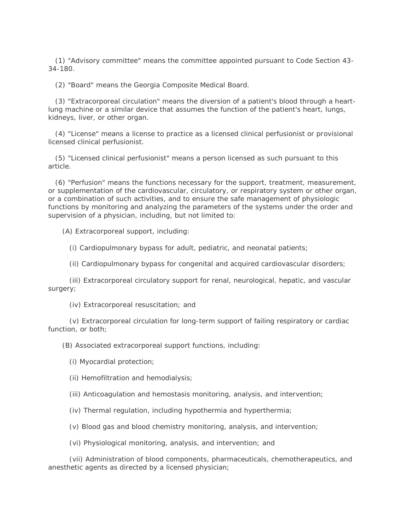(1) "Advisory committee" means the committee appointed pursuant to Code Section 43- 34-180.

(2) "Board" means the Georgia Composite Medical Board.

 (3) "Extracorporeal circulation" means the diversion of a patient's blood through a heartlung machine or a similar device that assumes the function of the patient's heart, lungs, kidneys, liver, or other organ.

 (4) "License" means a license to practice as a licensed clinical perfusionist or provisional licensed clinical perfusionist.

 (5) "Licensed clinical perfusionist" means a person licensed as such pursuant to this article.

 (6) "Perfusion" means the functions necessary for the support, treatment, measurement, or supplementation of the cardiovascular, circulatory, or respiratory system or other organ, or a combination of such activities, and to ensure the safe management of physiologic functions by monitoring and analyzing the parameters of the systems under the order and supervision of a physician, including, but not limited to:

(A) Extracorporeal support, including:

(i) Cardiopulmonary bypass for adult, pediatric, and neonatal patients;

(ii) Cardiopulmonary bypass for congenital and acquired cardiovascular disorders;

 (iii) Extracorporeal circulatory support for renal, neurological, hepatic, and vascular surgery;

(iv) Extracorporeal resuscitation; and

 (v) Extracorporeal circulation for long-term support of failing respiratory or cardiac function, or both;

(B) Associated extracorporeal support functions, including:

(i) Myocardial protection;

(ii) Hemofiltration and hemodialysis;

(iii) Anticoagulation and hemostasis monitoring, analysis, and intervention;

(iv) Thermal regulation, including hypothermia and hyperthermia;

(v) Blood gas and blood chemistry monitoring, analysis, and intervention;

(vi) Physiological monitoring, analysis, and intervention; and

 (vii) Administration of blood components, pharmaceuticals, chemotherapeutics, and anesthetic agents as directed by a licensed physician;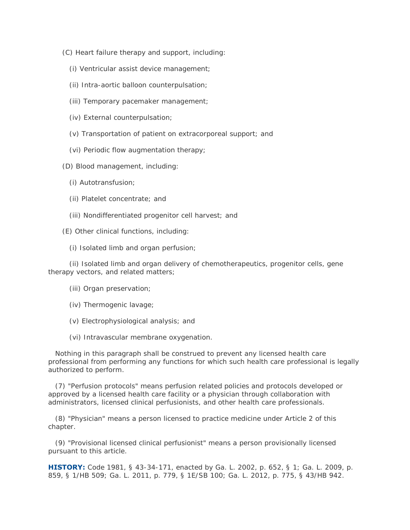- (C) Heart failure therapy and support, including:
	- (i) Ventricular assist device management;
	- (ii) Intra-aortic balloon counterpulsation;
	- (iii) Temporary pacemaker management;
	- (iv) External counterpulsation;
	- (v) Transportation of patient on extracorporeal support; and
	- (vi) Periodic flow augmentation therapy;
- (D) Blood management, including:
	- (i) Autotransfusion;
	- (ii) Platelet concentrate; and
	- (iii) Nondifferentiated progenitor cell harvest; and
- (E) Other clinical functions, including:
	- (i) Isolated limb and organ perfusion;

 (ii) Isolated limb and organ delivery of chemotherapeutics, progenitor cells, gene therapy vectors, and related matters;

- (iii) Organ preservation;
- (iv) Thermogenic lavage;
- (v) Electrophysiological analysis; and
- (vi) Intravascular membrane oxygenation.

 Nothing in this paragraph shall be construed to prevent any licensed health care professional from performing any functions for which such health care professional is legally authorized to perform.

 (7) "Perfusion protocols" means perfusion related policies and protocols developed or approved by a licensed health care facility or a physician through collaboration with administrators, licensed clinical perfusionists, and other health care professionals.

 (8) "Physician" means a person licensed to practice medicine under Article 2 of this chapter.

 (9) "Provisional licensed clinical perfusionist" means a person provisionally licensed pursuant to this article.

**HISTORY:** Code 1981, § 43-34-171, enacted by Ga. L. 2002, p. 652, § 1; Ga. L. 2009, p. 859, § 1/HB 509; Ga. L. 2011, p. 779, § 1E/SB 100; Ga. L. 2012, p. 775, § 43/HB 942.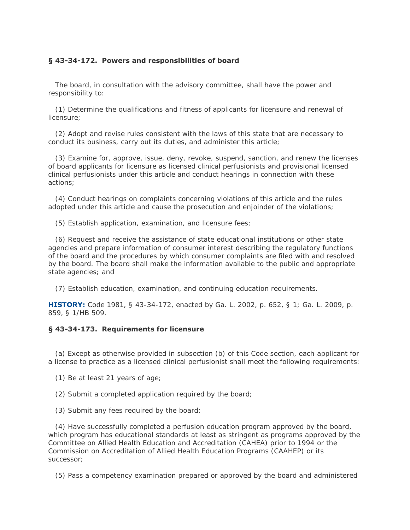# **§ 43-34-172. Powers and responsibilities of board**

 The board, in consultation with the advisory committee, shall have the power and responsibility to:

 (1) Determine the qualifications and fitness of applicants for licensure and renewal of licensure;

 (2) Adopt and revise rules consistent with the laws of this state that are necessary to conduct its business, carry out its duties, and administer this article;

 (3) Examine for, approve, issue, deny, revoke, suspend, sanction, and renew the licenses of board applicants for licensure as licensed clinical perfusionists and provisional licensed clinical perfusionists under this article and conduct hearings in connection with these actions;

 (4) Conduct hearings on complaints concerning violations of this article and the rules adopted under this article and cause the prosecution and enjoinder of the violations;

(5) Establish application, examination, and licensure fees;

 (6) Request and receive the assistance of state educational institutions or other state agencies and prepare information of consumer interest describing the regulatory functions of the board and the procedures by which consumer complaints are filed with and resolved by the board. The board shall make the information available to the public and appropriate state agencies; and

(7) Establish education, examination, and continuing education requirements.

**HISTORY:** Code 1981, § 43-34-172, enacted by Ga. L. 2002, p. 652, § 1; Ga. L. 2009, p. 859, § 1/HB 509.

#### **§ 43-34-173. Requirements for licensure**

 (a) Except as otherwise provided in subsection (b) of this Code section, each applicant for a license to practice as a licensed clinical perfusionist shall meet the following requirements:

- (1) Be at least 21 years of age;
- (2) Submit a completed application required by the board;

(3) Submit any fees required by the board;

 (4) Have successfully completed a perfusion education program approved by the board, which program has educational standards at least as stringent as programs approved by the Committee on Allied Health Education and Accreditation (CAHEA) prior to 1994 or the Commission on Accreditation of Allied Health Education Programs (CAAHEP) or its successor;

(5) Pass a competency examination prepared or approved by the board and administered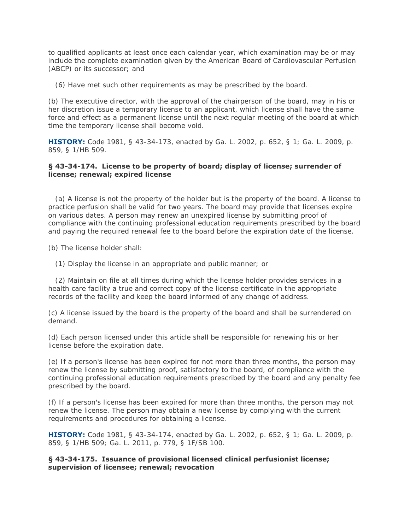to qualified applicants at least once each calendar year, which examination may be or may include the complete examination given by the American Board of Cardiovascular Perfusion (ABCP) or its successor; and

(6) Have met such other requirements as may be prescribed by the board.

(b) The executive director, with the approval of the chairperson of the board, may in his or her discretion issue a temporary license to an applicant, which license shall have the same force and effect as a permanent license until the next regular meeting of the board at which time the temporary license shall become void.

**HISTORY:** Code 1981, § 43-34-173, enacted by Ga. L. 2002, p. 652, § 1; Ga. L. 2009, p. 859, § 1/HB 509.

## **§ 43-34-174. License to be property of board; display of license; surrender of license; renewal; expired license**

 (a) A license is not the property of the holder but is the property of the board. A license to practice perfusion shall be valid for two years. The board may provide that licenses expire on various dates. A person may renew an unexpired license by submitting proof of compliance with the continuing professional education requirements prescribed by the board and paying the required renewal fee to the board before the expiration date of the license.

(b) The license holder shall:

(1) Display the license in an appropriate and public manner; or

 (2) Maintain on file at all times during which the license holder provides services in a health care facility a true and correct copy of the license certificate in the appropriate records of the facility and keep the board informed of any change of address.

(c) A license issued by the board is the property of the board and shall be surrendered on demand.

(d) Each person licensed under this article shall be responsible for renewing his or her license before the expiration date.

(e) If a person's license has been expired for not more than three months, the person may renew the license by submitting proof, satisfactory to the board, of compliance with the continuing professional education requirements prescribed by the board and any penalty fee prescribed by the board.

(f) If a person's license has been expired for more than three months, the person may not renew the license. The person may obtain a new license by complying with the current requirements and procedures for obtaining a license.

**HISTORY:** Code 1981, § 43-34-174, enacted by Ga. L. 2002, p. 652, § 1; Ga. L. 2009, p. 859, § 1/HB 509; Ga. L. 2011, p. 779, § 1F/SB 100.

### **§ 43-34-175. Issuance of provisional licensed clinical perfusionist license; supervision of licensee; renewal; revocation**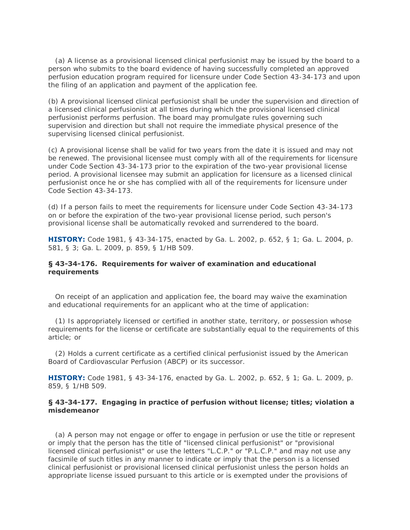(a) A license as a provisional licensed clinical perfusionist may be issued by the board to a person who submits to the board evidence of having successfully completed an approved perfusion education program required for licensure under Code Section 43-34-173 and upon the filing of an application and payment of the application fee.

(b) A provisional licensed clinical perfusionist shall be under the supervision and direction of a licensed clinical perfusionist at all times during which the provisional licensed clinical perfusionist performs perfusion. The board may promulgate rules governing such supervision and direction but shall not require the immediate physical presence of the supervising licensed clinical perfusionist.

(c) A provisional license shall be valid for two years from the date it is issued and may not be renewed. The provisional licensee must comply with all of the requirements for licensure under Code Section 43-34-173 prior to the expiration of the two-year provisional license period. A provisional licensee may submit an application for licensure as a licensed clinical perfusionist once he or she has complied with all of the requirements for licensure under Code Section 43-34-173.

(d) If a person fails to meet the requirements for licensure under Code Section 43-34-173 on or before the expiration of the two-year provisional license period, such person's provisional license shall be automatically revoked and surrendered to the board.

**HISTORY:** Code 1981, § 43-34-175, enacted by Ga. L. 2002, p. 652, § 1; Ga. L. 2004, p. 581, § 3; Ga. L. 2009, p. 859, § 1/HB 509.

#### **§ 43-34-176. Requirements for waiver of examination and educational requirements**

 On receipt of an application and application fee, the board may waive the examination and educational requirements for an applicant who at the time of application:

 (1) Is appropriately licensed or certified in another state, territory, or possession whose requirements for the license or certificate are substantially equal to the requirements of this article; or

 (2) Holds a current certificate as a certified clinical perfusionist issued by the American Board of Cardiovascular Perfusion (ABCP) or its successor.

**HISTORY:** Code 1981, § 43-34-176, enacted by Ga. L. 2002, p. 652, § 1; Ga. L. 2009, p. 859, § 1/HB 509.

## **§ 43-34-177. Engaging in practice of perfusion without license; titles; violation a misdemeanor**

 (a) A person may not engage or offer to engage in perfusion or use the title or represent or imply that the person has the title of "licensed clinical perfusionist" or "provisional licensed clinical perfusionist" or use the letters "L.C.P." or "P.L.C.P." and may not use any facsimile of such titles in any manner to indicate or imply that the person is a licensed clinical perfusionist or provisional licensed clinical perfusionist unless the person holds an appropriate license issued pursuant to this article or is exempted under the provisions of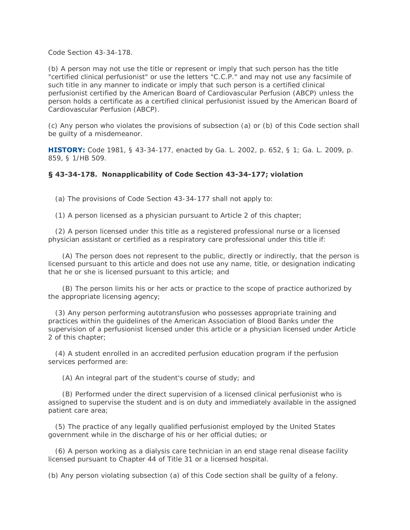Code Section 43-34-178.

(b) A person may not use the title or represent or imply that such person has the title "certified clinical perfusionist" or use the letters "C.C.P." and may not use any facsimile of such title in any manner to indicate or imply that such person is a certified clinical perfusionist certified by the American Board of Cardiovascular Perfusion (ABCP) unless the person holds a certificate as a certified clinical perfusionist issued by the American Board of Cardiovascular Perfusion (ABCP).

(c) Any person who violates the provisions of subsection (a) or (b) of this Code section shall be guilty of a misdemeanor.

**HISTORY:** Code 1981, § 43-34-177, enacted by Ga. L. 2002, p. 652, § 1; Ga. L. 2009, p. 859, § 1/HB 509.

### **§ 43-34-178. Nonapplicability of Code Section 43-34-177; violation**

(a) The provisions of Code Section 43-34-177 shall not apply to:

(1) A person licensed as a physician pursuant to Article 2 of this chapter;

 (2) A person licensed under this title as a registered professional nurse or a licensed physician assistant or certified as a respiratory care professional under this title if:

 (A) The person does not represent to the public, directly or indirectly, that the person is licensed pursuant to this article and does not use any name, title, or designation indicating that he or she is licensed pursuant to this article; and

 (B) The person limits his or her acts or practice to the scope of practice authorized by the appropriate licensing agency;

 (3) Any person performing autotransfusion who possesses appropriate training and practices within the guidelines of the American Association of Blood Banks under the supervision of a perfusionist licensed under this article or a physician licensed under Article 2 of this chapter;

 (4) A student enrolled in an accredited perfusion education program if the perfusion services performed are:

(A) An integral part of the student's course of study; and

 (B) Performed under the direct supervision of a licensed clinical perfusionist who is assigned to supervise the student and is on duty and immediately available in the assigned patient care area;

 (5) The practice of any legally qualified perfusionist employed by the United States government while in the discharge of his or her official duties; or

 (6) A person working as a dialysis care technician in an end stage renal disease facility licensed pursuant to Chapter 44 of Title 31 or a licensed hospital.

(b) Any person violating subsection (a) of this Code section shall be guilty of a felony.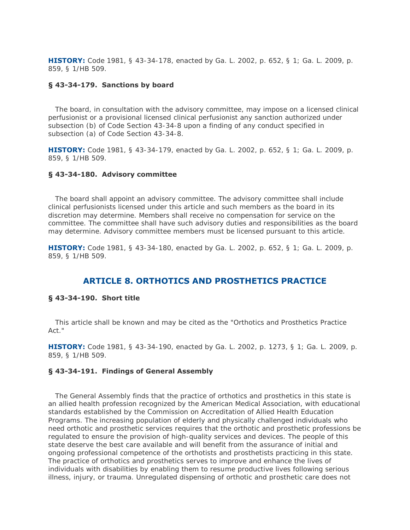**HISTORY:** Code 1981, § 43-34-178, enacted by Ga. L. 2002, p. 652, § 1; Ga. L. 2009, p. 859, § 1/HB 509.

#### **§ 43-34-179. Sanctions by board**

 The board, in consultation with the advisory committee, may impose on a licensed clinical perfusionist or a provisional licensed clinical perfusionist any sanction authorized under subsection (b) of Code Section 43-34-8 upon a finding of any conduct specified in subsection (a) of Code Section 43-34-8.

**HISTORY:** Code 1981, § 43-34-179, enacted by Ga. L. 2002, p. 652, § 1; Ga. L. 2009, p. 859, § 1/HB 509.

#### **§ 43-34-180. Advisory committee**

 The board shall appoint an advisory committee. The advisory committee shall include clinical perfusionists licensed under this article and such members as the board in its discretion may determine. Members shall receive no compensation for service on the committee. The committee shall have such advisory duties and responsibilities as the board may determine. Advisory committee members must be licensed pursuant to this article.

**HISTORY:** Code 1981, § 43-34-180, enacted by Ga. L. 2002, p. 652, § 1; Ga. L. 2009, p. 859, § 1/HB 509.

# **ARTICLE 8. ORTHOTICS AND PROSTHETICS PRACTICE**

#### **§ 43-34-190. Short title**

 This article shall be known and may be cited as the "Orthotics and Prosthetics Practice Act."

**HISTORY:** Code 1981, § 43-34-190, enacted by Ga. L. 2002, p. 1273, § 1; Ga. L. 2009, p. 859, § 1/HB 509.

#### **§ 43-34-191. Findings of General Assembly**

 The General Assembly finds that the practice of orthotics and prosthetics in this state is an allied health profession recognized by the American Medical Association, with educational standards established by the Commission on Accreditation of Allied Health Education Programs. The increasing population of elderly and physically challenged individuals who need orthotic and prosthetic services requires that the orthotic and prosthetic professions be regulated to ensure the provision of high-quality services and devices. The people of this state deserve the best care available and will benefit from the assurance of initial and ongoing professional competence of the orthotists and prosthetists practicing in this state. The practice of orthotics and prosthetics serves to improve and enhance the lives of individuals with disabilities by enabling them to resume productive lives following serious illness, injury, or trauma. Unregulated dispensing of orthotic and prosthetic care does not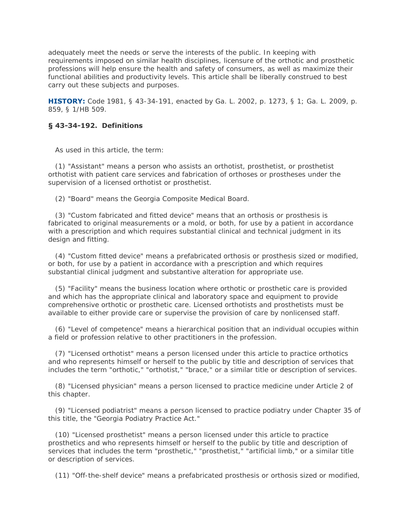adequately meet the needs or serve the interests of the public. In keeping with requirements imposed on similar health disciplines, licensure of the orthotic and prosthetic professions will help ensure the health and safety of consumers, as well as maximize their functional abilities and productivity levels. This article shall be liberally construed to best carry out these subjects and purposes.

**HISTORY:** Code 1981, § 43-34-191, enacted by Ga. L. 2002, p. 1273, § 1; Ga. L. 2009, p. 859, § 1/HB 509.

## **§ 43-34-192. Definitions**

As used in this article, the term:

 (1) "Assistant" means a person who assists an orthotist, prosthetist, or prosthetist orthotist with patient care services and fabrication of orthoses or prostheses under the supervision of a licensed orthotist or prosthetist.

(2) "Board" means the Georgia Composite Medical Board.

 (3) "Custom fabricated and fitted device" means that an orthosis or prosthesis is fabricated to original measurements or a mold, or both, for use by a patient in accordance with a prescription and which requires substantial clinical and technical judgment in its design and fitting.

 (4) "Custom fitted device" means a prefabricated orthosis or prosthesis sized or modified, or both, for use by a patient in accordance with a prescription and which requires substantial clinical judgment and substantive alteration for appropriate use.

 (5) "Facility" means the business location where orthotic or prosthetic care is provided and which has the appropriate clinical and laboratory space and equipment to provide comprehensive orthotic or prosthetic care. Licensed orthotists and prosthetists must be available to either provide care or supervise the provision of care by nonlicensed staff.

 (6) "Level of competence" means a hierarchical position that an individual occupies within a field or profession relative to other practitioners in the profession.

 (7) "Licensed orthotist" means a person licensed under this article to practice orthotics and who represents himself or herself to the public by title and description of services that includes the term "orthotic," "orthotist," "brace," or a similar title or description of services.

 (8) "Licensed physician" means a person licensed to practice medicine under Article 2 of this chapter.

 (9) "Licensed podiatrist" means a person licensed to practice podiatry under Chapter 35 of this title, the "Georgia Podiatry Practice Act."

 (10) "Licensed prosthetist" means a person licensed under this article to practice prosthetics and who represents himself or herself to the public by title and description of services that includes the term "prosthetic," "prosthetist," "artificial limb," or a similar title or description of services.

(11) "Off-the-shelf device" means a prefabricated prosthesis or orthosis sized or modified,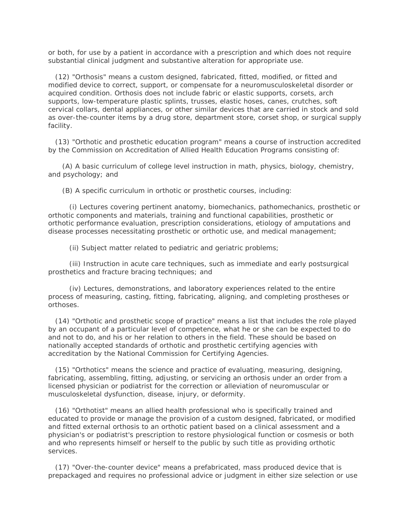or both, for use by a patient in accordance with a prescription and which does not require substantial clinical judgment and substantive alteration for appropriate use.

 (12) "Orthosis" means a custom designed, fabricated, fitted, modified, or fitted and modified device to correct, support, or compensate for a neuromusculoskeletal disorder or acquired condition. Orthosis does not include fabric or elastic supports, corsets, arch supports, low-temperature plastic splints, trusses, elastic hoses, canes, crutches, soft cervical collars, dental appliances, or other similar devices that are carried in stock and sold as over-the-counter items by a drug store, department store, corset shop, or surgical supply facility.

 (13) "Orthotic and prosthetic education program" means a course of instruction accredited by the Commission on Accreditation of Allied Health Education Programs consisting of:

 (A) A basic curriculum of college level instruction in math, physics, biology, chemistry, and psychology; and

(B) A specific curriculum in orthotic or prosthetic courses, including:

 (i) Lectures covering pertinent anatomy, biomechanics, pathomechanics, prosthetic or orthotic components and materials, training and functional capabilities, prosthetic or orthotic performance evaluation, prescription considerations, etiology of amputations and disease processes necessitating prosthetic or orthotic use, and medical management;

(ii) Subject matter related to pediatric and geriatric problems;

 (iii) Instruction in acute care techniques, such as immediate and early postsurgical prosthetics and fracture bracing techniques; and

 (iv) Lectures, demonstrations, and laboratory experiences related to the entire process of measuring, casting, fitting, fabricating, aligning, and completing prostheses or orthoses.

 (14) "Orthotic and prosthetic scope of practice" means a list that includes the role played by an occupant of a particular level of competence, what he or she can be expected to do and not to do, and his or her relation to others in the field. These should be based on nationally accepted standards of orthotic and prosthetic certifying agencies with accreditation by the National Commission for Certifying Agencies.

 (15) "Orthotics" means the science and practice of evaluating, measuring, designing, fabricating, assembling, fitting, adjusting, or servicing an orthosis under an order from a licensed physician or podiatrist for the correction or alleviation of neuromuscular or musculoskeletal dysfunction, disease, injury, or deformity.

 (16) "Orthotist" means an allied health professional who is specifically trained and educated to provide or manage the provision of a custom designed, fabricated, or modified and fitted external orthosis to an orthotic patient based on a clinical assessment and a physician's or podiatrist's prescription to restore physiological function or cosmesis or both and who represents himself or herself to the public by such title as providing orthotic services.

 (17) "Over-the-counter device" means a prefabricated, mass produced device that is prepackaged and requires no professional advice or judgment in either size selection or use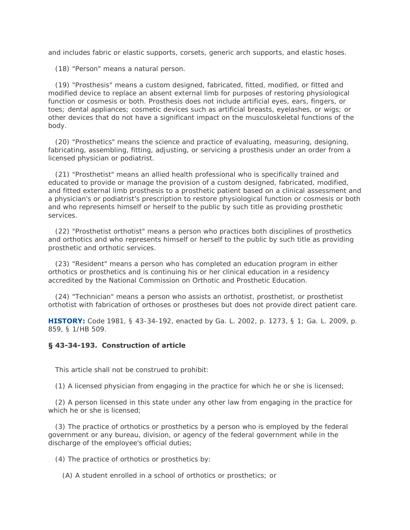and includes fabric or elastic supports, corsets, generic arch supports, and elastic hoses.

(18) "Person" means a natural person.

 (19) "Prosthesis" means a custom designed, fabricated, fitted, modified, or fitted and modified device to replace an absent external limb for purposes of restoring physiological function or cosmesis or both. Prosthesis does not include artificial eyes, ears, fingers, or toes; dental appliances; cosmetic devices such as artificial breasts, eyelashes, or wigs; or other devices that do not have a significant impact on the musculoskeletal functions of the body.

 (20) "Prosthetics" means the science and practice of evaluating, measuring, designing, fabricating, assembling, fitting, adjusting, or servicing a prosthesis under an order from a licensed physician or podiatrist.

 (21) "Prosthetist" means an allied health professional who is specifically trained and educated to provide or manage the provision of a custom designed, fabricated, modified, and fitted external limb prosthesis to a prosthetic patient based on a clinical assessment and a physician's or podiatrist's prescription to restore physiological function or cosmesis or both and who represents himself or herself to the public by such title as providing prosthetic services.

 (22) "Prosthetist orthotist" means a person who practices both disciplines of prosthetics and orthotics and who represents himself or herself to the public by such title as providing prosthetic and orthotic services.

 (23) "Resident" means a person who has completed an education program in either orthotics or prosthetics and is continuing his or her clinical education in a residency accredited by the National Commission on Orthotic and Prosthetic Education.

 (24) "Technician" means a person who assists an orthotist, prosthetist, or prosthetist orthotist with fabrication of orthoses or prostheses but does not provide direct patient care.

**HISTORY:** Code 1981, § 43-34-192, enacted by Ga. L. 2002, p. 1273, § 1; Ga. L. 2009, p. 859, § 1/HB 509.

#### **§ 43-34-193. Construction of article**

This article shall not be construed to prohibit:

(1) A licensed physician from engaging in the practice for which he or she is licensed;

 (2) A person licensed in this state under any other law from engaging in the practice for which he or she is licensed;

 (3) The practice of orthotics or prosthetics by a person who is employed by the federal government or any bureau, division, or agency of the federal government while in the discharge of the employee's official duties;

(4) The practice of orthotics or prosthetics by:

(A) A student enrolled in a school of orthotics or prosthetics; or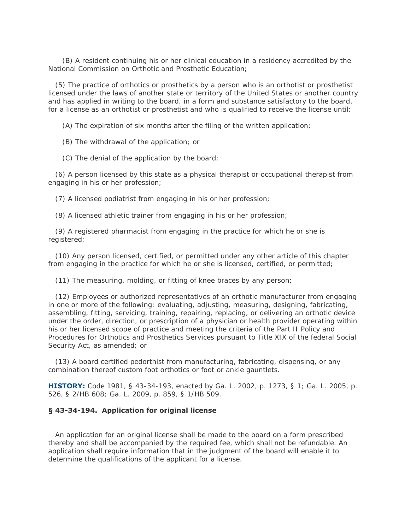(B) A resident continuing his or her clinical education in a residency accredited by the National Commission on Orthotic and Prosthetic Education;

 (5) The practice of orthotics or prosthetics by a person who is an orthotist or prosthetist licensed under the laws of another state or territory of the United States or another country and has applied in writing to the board, in a form and substance satisfactory to the board, for a license as an orthotist or prosthetist and who is qualified to receive the license until:

(A) The expiration of six months after the filing of the written application;

(B) The withdrawal of the application; or

(C) The denial of the application by the board;

 (6) A person licensed by this state as a physical therapist or occupational therapist from engaging in his or her profession;

(7) A licensed podiatrist from engaging in his or her profession;

(8) A licensed athletic trainer from engaging in his or her profession;

 (9) A registered pharmacist from engaging in the practice for which he or she is registered;

 (10) Any person licensed, certified, or permitted under any other article of this chapter from engaging in the practice for which he or she is licensed, certified, or permitted;

(11) The measuring, molding, or fitting of knee braces by any person;

 (12) Employees or authorized representatives of an orthotic manufacturer from engaging in one or more of the following: evaluating, adjusting, measuring, designing, fabricating, assembling, fitting, servicing, training, repairing, replacing, or delivering an orthotic device under the order, direction, or prescription of a physician or health provider operating within his or her licensed scope of practice and meeting the criteria of the Part II Policy and Procedures for Orthotics and Prosthetics Services pursuant to Title XIX of the federal Social Security Act, as amended; or

 (13) A board certified pedorthist from manufacturing, fabricating, dispensing, or any combination thereof custom foot orthotics or foot or ankle gauntlets.

**HISTORY:** Code 1981, § 43-34-193, enacted by Ga. L. 2002, p. 1273, § 1; Ga. L. 2005, p. 526, § 2/HB 608; Ga. L. 2009, p. 859, § 1/HB 509.

#### **§ 43-34-194. Application for original license**

 An application for an original license shall be made to the board on a form prescribed thereby and shall be accompanied by the required fee, which shall not be refundable. An application shall require information that in the judgment of the board will enable it to determine the qualifications of the applicant for a license.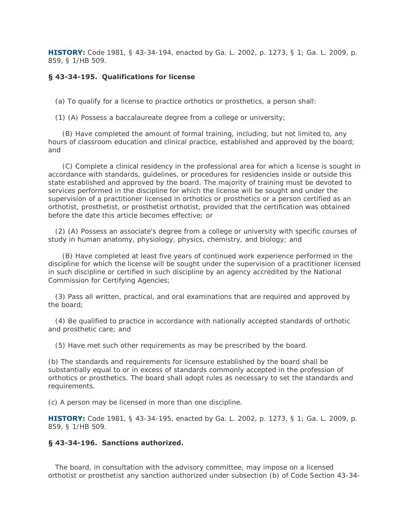**HISTORY:** Code 1981, § 43-34-194, enacted by Ga. L. 2002, p. 1273, § 1; Ga. L. 2009, p. 859, § 1/HB 509.

### **§ 43-34-195. Qualifications for license**

(a) To qualify for a license to practice orthotics or prosthetics, a person shall:

(1) (A) Possess a baccalaureate degree from a college or university;

 (B) Have completed the amount of formal training, including, but not limited to, any hours of classroom education and clinical practice, established and approved by the board; and

 (C) Complete a clinical residency in the professional area for which a license is sought in accordance with standards, guidelines, or procedures for residencies inside or outside this state established and approved by the board. The majority of training must be devoted to services performed in the discipline for which the license will be sought and under the supervision of a practitioner licensed in orthotics or prosthetics or a person certified as an orthotist, prosthetist, or prosthetist orthotist, provided that the certification was obtained before the date this article becomes effective; or

 (2) (A) Possess an associate's degree from a college or university with specific courses of study in human anatomy, physiology, physics, chemistry, and biology; and

 (B) Have completed at least five years of continued work experience performed in the discipline for which the license will be sought under the supervision of a practitioner licensed in such discipline or certified in such discipline by an agency accredited by the National Commission for Certifying Agencies;

 (3) Pass all written, practical, and oral examinations that are required and approved by the board;

 (4) Be qualified to practice in accordance with nationally accepted standards of orthotic and prosthetic care; and

(5) Have met such other requirements as may be prescribed by the board.

(b) The standards and requirements for licensure established by the board shall be substantially equal to or in excess of standards commonly accepted in the profession of orthotics or prosthetics. The board shall adopt rules as necessary to set the standards and requirements.

(c) A person may be licensed in more than one discipline.

**HISTORY:** Code 1981, § 43-34-195, enacted by Ga. L. 2002, p. 1273, § 1; Ga. L. 2009, p. 859, § 1/HB 509.

### **§ 43-34-196. Sanctions authorized.**

 The board, in consultation with the advisory committee, may impose on a licensed orthotist or prosthetist any sanction authorized under subsection (b) of Code Section 43-34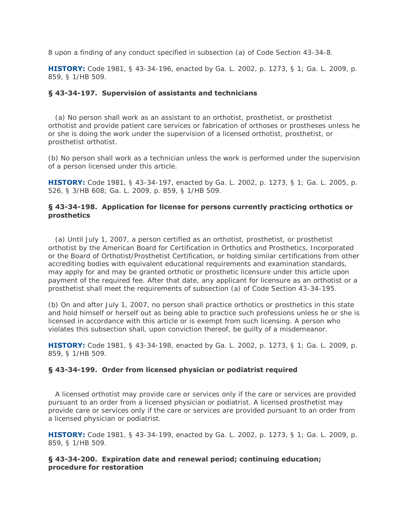8 upon a finding of any conduct specified in subsection (a) of Code Section 43-34-8.

**HISTORY:** Code 1981, § 43-34-196, enacted by Ga. L. 2002, p. 1273, § 1; Ga. L. 2009, p. 859, § 1/HB 509.

### **§ 43-34-197. Supervision of assistants and technicians**

 (a) No person shall work as an assistant to an orthotist, prosthetist, or prosthetist orthotist and provide patient care services or fabrication of orthoses or prostheses unless he or she is doing the work under the supervision of a licensed orthotist, prosthetist, or prosthetist orthotist.

(b) No person shall work as a technician unless the work is performed under the supervision of a person licensed under this article.

**HISTORY:** Code 1981, § 43-34-197, enacted by Ga. L. 2002, p. 1273, § 1; Ga. L. 2005, p. 526, § 3/HB 608; Ga. L. 2009, p. 859, § 1/HB 509.

# **§ 43-34-198. Application for license for persons currently practicing orthotics or prosthetics**

 (a) Until July 1, 2007, a person certified as an orthotist, prosthetist, or prosthetist orthotist by the American Board for Certification in Orthotics and Prosthetics, Incorporated or the Board of Orthotist/Prosthetist Certification, or holding similar certifications from other accrediting bodies with equivalent educational requirements and examination standards, may apply for and may be granted orthotic or prosthetic licensure under this article upon payment of the required fee. After that date, any applicant for licensure as an orthotist or a prosthetist shall meet the requirements of subsection (a) of Code Section 43-34-195.

(b) On and after July 1, 2007, no person shall practice orthotics or prosthetics in this state and hold himself or herself out as being able to practice such professions unless he or she is licensed in accordance with this article or is exempt from such licensing. A person who violates this subsection shall, upon conviction thereof, be guilty of a misdemeanor.

**HISTORY:** Code 1981, § 43-34-198, enacted by Ga. L. 2002, p. 1273, § 1; Ga. L. 2009, p. 859, § 1/HB 509.

### **§ 43-34-199. Order from licensed physician or podiatrist required**

 A licensed orthotist may provide care or services only if the care or services are provided pursuant to an order from a licensed physician or podiatrist. A licensed prosthetist may provide care or services only if the care or services are provided pursuant to an order from a licensed physician or podiatrist.

**HISTORY:** Code 1981, § 43-34-199, enacted by Ga. L. 2002, p. 1273, § 1; Ga. L. 2009, p. 859, § 1/HB 509.

### **§ 43-34-200. Expiration date and renewal period; continuing education; procedure for restoration**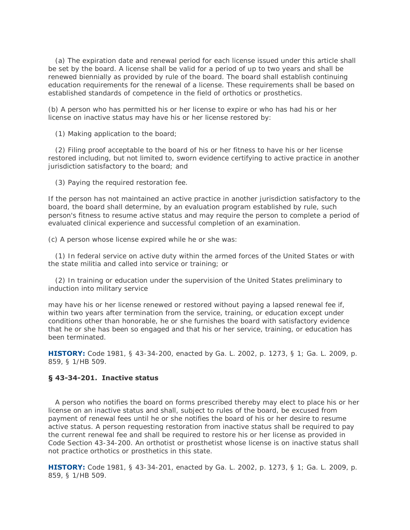(a) The expiration date and renewal period for each license issued under this article shall be set by the board. A license shall be valid for a period of up to two years and shall be renewed biennially as provided by rule of the board. The board shall establish continuing education requirements for the renewal of a license. These requirements shall be based on established standards of competence in the field of orthotics or prosthetics.

(b) A person who has permitted his or her license to expire or who has had his or her license on inactive status may have his or her license restored by:

(1) Making application to the board;

 (2) Filing proof acceptable to the board of his or her fitness to have his or her license restored including, but not limited to, sworn evidence certifying to active practice in another jurisdiction satisfactory to the board; and

(3) Paying the required restoration fee.

If the person has not maintained an active practice in another jurisdiction satisfactory to the board, the board shall determine, by an evaluation program established by rule, such person's fitness to resume active status and may require the person to complete a period of evaluated clinical experience and successful completion of an examination.

(c) A person whose license expired while he or she was:

 (1) In federal service on active duty within the armed forces of the United States or with the state militia and called into service or training; or

 (2) In training or education under the supervision of the United States preliminary to induction into military service

may have his or her license renewed or restored without paying a lapsed renewal fee if, within two years after termination from the service, training, or education except under conditions other than honorable, he or she furnishes the board with satisfactory evidence that he or she has been so engaged and that his or her service, training, or education has been terminated.

**HISTORY:** Code 1981, § 43-34-200, enacted by Ga. L. 2002, p. 1273, § 1; Ga. L. 2009, p. 859, § 1/HB 509.

### **§ 43-34-201. Inactive status**

 A person who notifies the board on forms prescribed thereby may elect to place his or her license on an inactive status and shall, subject to rules of the board, be excused from payment of renewal fees until he or she notifies the board of his or her desire to resume active status. A person requesting restoration from inactive status shall be required to pay the current renewal fee and shall be required to restore his or her license as provided in Code Section 43-34-200. An orthotist or prosthetist whose license is on inactive status shall not practice orthotics or prosthetics in this state.

**HISTORY:** Code 1981, § 43-34-201, enacted by Ga. L. 2002, p. 1273, § 1; Ga. L. 2009, p. 859, § 1/HB 509.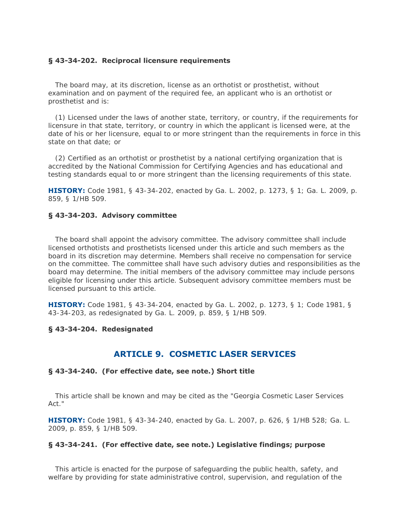### **§ 43-34-202. Reciprocal licensure requirements**

 The board may, at its discretion, license as an orthotist or prosthetist, without examination and on payment of the required fee, an applicant who is an orthotist or prosthetist and is:

 (1) Licensed under the laws of another state, territory, or country, if the requirements for licensure in that state, territory, or country in which the applicant is licensed were, at the date of his or her licensure, equal to or more stringent than the requirements in force in this state on that date; or

 (2) Certified as an orthotist or prosthetist by a national certifying organization that is accredited by the National Commission for Certifying Agencies and has educational and testing standards equal to or more stringent than the licensing requirements of this state.

**HISTORY:** Code 1981, § 43-34-202, enacted by Ga. L. 2002, p. 1273, § 1; Ga. L. 2009, p. 859, § 1/HB 509.

#### **§ 43-34-203. Advisory committee**

 The board shall appoint the advisory committee. The advisory committee shall include licensed orthotists and prosthetists licensed under this article and such members as the board in its discretion may determine. Members shall receive no compensation for service on the committee. The committee shall have such advisory duties and responsibilities as the board may determine. The initial members of the advisory committee may include persons eligible for licensing under this article. Subsequent advisory committee members must be licensed pursuant to this article.

**HISTORY:** Code 1981, § 43-34-204, enacted by Ga. L. 2002, p. 1273, § 1; Code 1981, § 43-34-203, as redesignated by Ga. L. 2009, p. 859, § 1/HB 509.

#### **§ 43-34-204. Redesignated**

# **ARTICLE 9. COSMETIC LASER SERVICES**

# **§ 43-34-240. (For effective date, see note.) Short title**

 This article shall be known and may be cited as the "Georgia Cosmetic Laser Services Act."

**HISTORY:** Code 1981, § 43-34-240, enacted by Ga. L. 2007, p. 626, § 1/HB 528; Ga. L. 2009, p. 859, § 1/HB 509.

#### **§ 43-34-241. (For effective date, see note.) Legislative findings; purpose**

 This article is enacted for the purpose of safeguarding the public health, safety, and welfare by providing for state administrative control, supervision, and regulation of the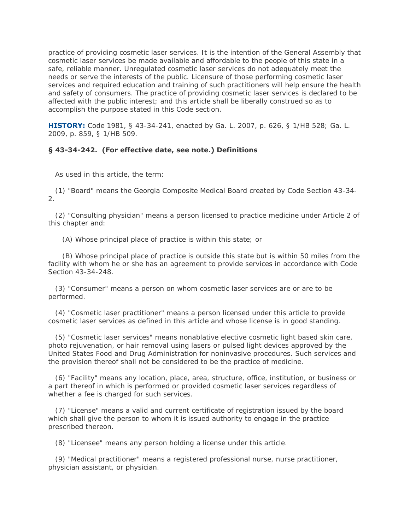practice of providing cosmetic laser services. It is the intention of the General Assembly that cosmetic laser services be made available and affordable to the people of this state in a safe, reliable manner. Unregulated cosmetic laser services do not adequately meet the needs or serve the interests of the public. Licensure of those performing cosmetic laser services and required education and training of such practitioners will help ensure the health and safety of consumers. The practice of providing cosmetic laser services is declared to be affected with the public interest; and this article shall be liberally construed so as to accomplish the purpose stated in this Code section.

**HISTORY:** Code 1981, § 43-34-241, enacted by Ga. L. 2007, p. 626, § 1/HB 528; Ga. L. 2009, p. 859, § 1/HB 509.

# **§ 43-34-242. (For effective date, see note.) Definitions**

As used in this article, the term:

 (1) "Board" means the Georgia Composite Medical Board created by Code Section 43-34-  $\mathcal{L}$ 

 (2) "Consulting physician" means a person licensed to practice medicine under Article 2 of this chapter and:

(A) Whose principal place of practice is within this state; or

 (B) Whose principal place of practice is outside this state but is within 50 miles from the facility with whom he or she has an agreement to provide services in accordance with Code Section 43-34-248.

 (3) "Consumer" means a person on whom cosmetic laser services are or are to be performed.

 (4) "Cosmetic laser practitioner" means a person licensed under this article to provide cosmetic laser services as defined in this article and whose license is in good standing.

 (5) "Cosmetic laser services" means nonablative elective cosmetic light based skin care, photo rejuvenation, or hair removal using lasers or pulsed light devices approved by the United States Food and Drug Administration for noninvasive procedures. Such services and the provision thereof shall not be considered to be the practice of medicine.

 (6) "Facility" means any location, place, area, structure, office, institution, or business or a part thereof in which is performed or provided cosmetic laser services regardless of whether a fee is charged for such services.

 (7) "License" means a valid and current certificate of registration issued by the board which shall give the person to whom it is issued authority to engage in the practice prescribed thereon.

(8) "Licensee" means any person holding a license under this article.

 (9) "Medical practitioner" means a registered professional nurse, nurse practitioner, physician assistant, or physician.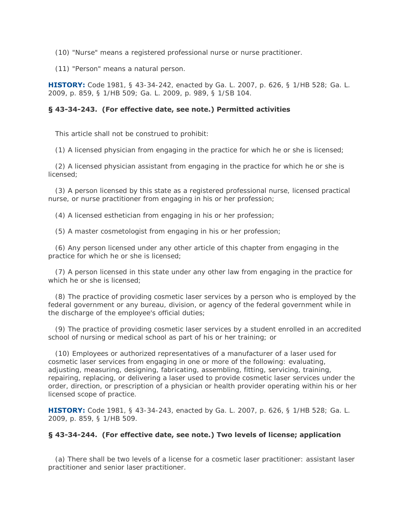(10) "Nurse" means a registered professional nurse or nurse practitioner.

(11) "Person" means a natural person.

**HISTORY:** Code 1981, § 43-34-242, enacted by Ga. L. 2007, p. 626, § 1/HB 528; Ga. L. 2009, p. 859, § 1/HB 509; Ga. L. 2009, p. 989, § 1/SB 104.

## **§ 43-34-243. (For effective date, see note.) Permitted activities**

This article shall not be construed to prohibit:

(1) A licensed physician from engaging in the practice for which he or she is licensed;

 (2) A licensed physician assistant from engaging in the practice for which he or she is licensed;

 (3) A person licensed by this state as a registered professional nurse, licensed practical nurse, or nurse practitioner from engaging in his or her profession;

(4) A licensed esthetician from engaging in his or her profession;

(5) A master cosmetologist from engaging in his or her profession;

 (6) Any person licensed under any other article of this chapter from engaging in the practice for which he or she is licensed;

 (7) A person licensed in this state under any other law from engaging in the practice for which he or she is licensed;

 (8) The practice of providing cosmetic laser services by a person who is employed by the federal government or any bureau, division, or agency of the federal government while in the discharge of the employee's official duties;

 (9) The practice of providing cosmetic laser services by a student enrolled in an accredited school of nursing or medical school as part of his or her training; or

 (10) Employees or authorized representatives of a manufacturer of a laser used for cosmetic laser services from engaging in one or more of the following: evaluating, adjusting, measuring, designing, fabricating, assembling, fitting, servicing, training, repairing, replacing, or delivering a laser used to provide cosmetic laser services under the order, direction, or prescription of a physician or health provider operating within his or her licensed scope of practice.

**HISTORY:** Code 1981, § 43-34-243, enacted by Ga. L. 2007, p. 626, § 1/HB 528; Ga. L. 2009, p. 859, § 1/HB 509.

### **§ 43-34-244. (For effective date, see note.) Two levels of license; application**

 (a) There shall be two levels of a license for a cosmetic laser practitioner: assistant laser practitioner and senior laser practitioner.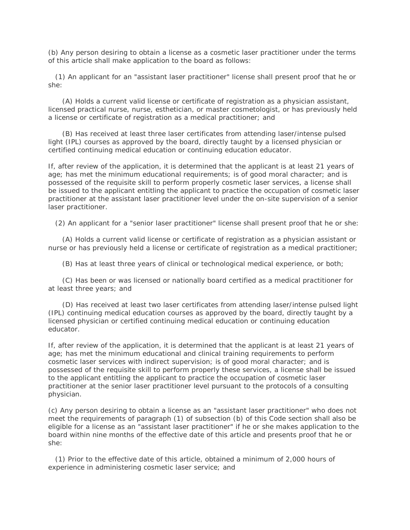(b) Any person desiring to obtain a license as a cosmetic laser practitioner under the terms of this article shall make application to the board as follows:

 (1) An applicant for an "assistant laser practitioner" license shall present proof that he or she:

 (A) Holds a current valid license or certificate of registration as a physician assistant, licensed practical nurse, nurse, esthetician, or master cosmetologist, or has previously held a license or certificate of registration as a medical practitioner; and

 (B) Has received at least three laser certificates from attending laser/intense pulsed light (IPL) courses as approved by the board, directly taught by a licensed physician or certified continuing medical education or continuing education educator.

If, after review of the application, it is determined that the applicant is at least 21 years of age; has met the minimum educational requirements; is of good moral character; and is possessed of the requisite skill to perform properly cosmetic laser services, a license shall be issued to the applicant entitling the applicant to practice the occupation of cosmetic laser practitioner at the assistant laser practitioner level under the on-site supervision of a senior laser practitioner.

(2) An applicant for a "senior laser practitioner" license shall present proof that he or she:

 (A) Holds a current valid license or certificate of registration as a physician assistant or nurse or has previously held a license or certificate of registration as a medical practitioner;

(B) Has at least three years of clinical or technological medical experience, or both;

 (C) Has been or was licensed or nationally board certified as a medical practitioner for at least three years; and

 (D) Has received at least two laser certificates from attending laser/intense pulsed light (IPL) continuing medical education courses as approved by the board, directly taught by a licensed physician or certified continuing medical education or continuing education educator.

If, after review of the application, it is determined that the applicant is at least 21 years of age; has met the minimum educational and clinical training requirements to perform cosmetic laser services with indirect supervision; is of good moral character; and is possessed of the requisite skill to perform properly these services, a license shall be issued to the applicant entitling the applicant to practice the occupation of cosmetic laser practitioner at the senior laser practitioner level pursuant to the protocols of a consulting physician.

(c) Any person desiring to obtain a license as an "assistant laser practitioner" who does not meet the requirements of paragraph (1) of subsection (b) of this Code section shall also be eligible for a license as an "assistant laser practitioner" if he or she makes application to the board within nine months of the effective date of this article and presents proof that he or she:

 (1) Prior to the effective date of this article, obtained a minimum of 2,000 hours of experience in administering cosmetic laser service; and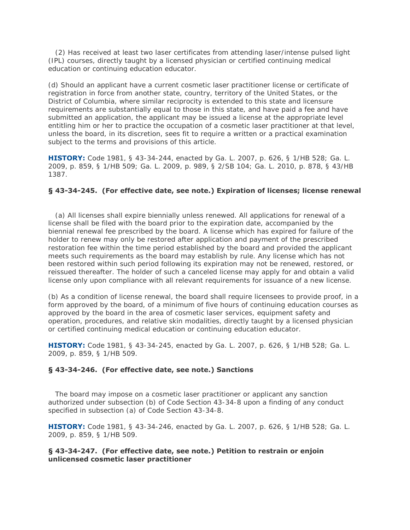(2) Has received at least two laser certificates from attending laser/intense pulsed light (IPL) courses, directly taught by a licensed physician or certified continuing medical education or continuing education educator.

(d) Should an applicant have a current cosmetic laser practitioner license or certificate of registration in force from another state, country, territory of the United States, or the District of Columbia, where similar reciprocity is extended to this state and licensure requirements are substantially equal to those in this state, and have paid a fee and have submitted an application, the applicant may be issued a license at the appropriate level entitling him or her to practice the occupation of a cosmetic laser practitioner at that level, unless the board, in its discretion, sees fit to require a written or a practical examination subject to the terms and provisions of this article.

**HISTORY:** Code 1981, § 43-34-244, enacted by Ga. L. 2007, p. 626, § 1/HB 528; Ga. L. 2009, p. 859, § 1/HB 509; Ga. L. 2009, p. 989, § 2/SB 104; Ga. L. 2010, p. 878, § 43/HB 1387.

#### **§ 43-34-245. (For effective date, see note.) Expiration of licenses; license renewal**

 (a) All licenses shall expire biennially unless renewed. All applications for renewal of a license shall be filed with the board prior to the expiration date, accompanied by the biennial renewal fee prescribed by the board. A license which has expired for failure of the holder to renew may only be restored after application and payment of the prescribed restoration fee within the time period established by the board and provided the applicant meets such requirements as the board may establish by rule. Any license which has not been restored within such period following its expiration may not be renewed, restored, or reissued thereafter. The holder of such a canceled license may apply for and obtain a valid license only upon compliance with all relevant requirements for issuance of a new license.

(b) As a condition of license renewal, the board shall require licensees to provide proof, in a form approved by the board, of a minimum of five hours of continuing education courses as approved by the board in the area of cosmetic laser services, equipment safety and operation, procedures, and relative skin modalities, directly taught by a licensed physician or certified continuing medical education or continuing education educator.

**HISTORY:** Code 1981, § 43-34-245, enacted by Ga. L. 2007, p. 626, § 1/HB 528; Ga. L. 2009, p. 859, § 1/HB 509.

#### **§ 43-34-246. (For effective date, see note.) Sanctions**

 The board may impose on a cosmetic laser practitioner or applicant any sanction authorized under subsection (b) of Code Section 43-34-8 upon a finding of any conduct specified in subsection (a) of Code Section 43-34-8.

**HISTORY:** Code 1981, § 43-34-246, enacted by Ga. L. 2007, p. 626, § 1/HB 528; Ga. L. 2009, p. 859, § 1/HB 509.

#### **§ 43-34-247. (For effective date, see note.) Petition to restrain or enjoin unlicensed cosmetic laser practitioner**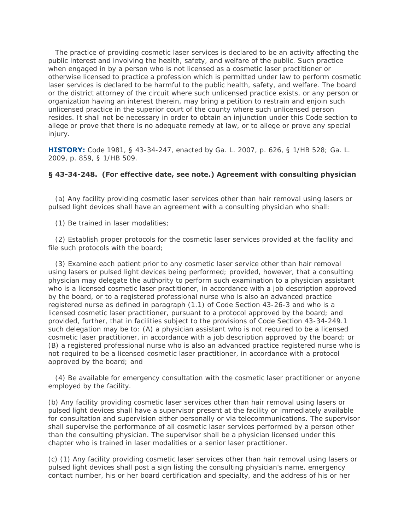The practice of providing cosmetic laser services is declared to be an activity affecting the public interest and involving the health, safety, and welfare of the public. Such practice when engaged in by a person who is not licensed as a cosmetic laser practitioner or otherwise licensed to practice a profession which is permitted under law to perform cosmetic laser services is declared to be harmful to the public health, safety, and welfare. The board or the district attorney of the circuit where such unlicensed practice exists, or any person or organization having an interest therein, may bring a petition to restrain and enjoin such unlicensed practice in the superior court of the county where such unlicensed person resides. It shall not be necessary in order to obtain an injunction under this Code section to allege or prove that there is no adequate remedy at law, or to allege or prove any special injury.

**HISTORY:** Code 1981, § 43-34-247, enacted by Ga. L. 2007, p. 626, § 1/HB 528; Ga. L. 2009, p. 859, § 1/HB 509.

### **§ 43-34-248. (For effective date, see note.) Agreement with consulting physician**

 (a) Any facility providing cosmetic laser services other than hair removal using lasers or pulsed light devices shall have an agreement with a consulting physician who shall:

(1) Be trained in laser modalities;

 (2) Establish proper protocols for the cosmetic laser services provided at the facility and file such protocols with the board;

 (3) Examine each patient prior to any cosmetic laser service other than hair removal using lasers or pulsed light devices being performed; provided, however, that a consulting physician may delegate the authority to perform such examination to a physician assistant who is a licensed cosmetic laser practitioner, in accordance with a job description approved by the board, or to a registered professional nurse who is also an advanced practice registered nurse as defined in paragraph (1.1) of Code Section 43-26-3 and who is a licensed cosmetic laser practitioner, pursuant to a protocol approved by the board; and provided, further, that in facilities subject to the provisions of Code Section 43-34-249.1 such delegation may be to: (A) a physician assistant who is not required to be a licensed cosmetic laser practitioner, in accordance with a job description approved by the board; or (B) a registered professional nurse who is also an advanced practice registered nurse who is not required to be a licensed cosmetic laser practitioner, in accordance with a protocol approved by the board; and

 (4) Be available for emergency consultation with the cosmetic laser practitioner or anyone employed by the facility.

(b) Any facility providing cosmetic laser services other than hair removal using lasers or pulsed light devices shall have a supervisor present at the facility or immediately available for consultation and supervision either personally or via telecommunications. The supervisor shall supervise the performance of all cosmetic laser services performed by a person other than the consulting physician. The supervisor shall be a physician licensed under this chapter who is trained in laser modalities or a senior laser practitioner.

(c) (1) Any facility providing cosmetic laser services other than hair removal using lasers or pulsed light devices shall post a sign listing the consulting physician's name, emergency contact number, his or her board certification and specialty, and the address of his or her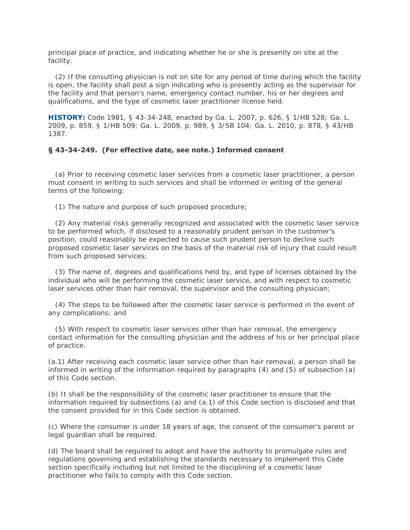principal place of practice, and indicating whether he or she is presently on site at the facility.

 (2) If the consulting physician is not on site for any period of time during which the facility is open, the facility shall post a sign indicating who is presently acting as the supervisor for the facility and that person's name, emergency contact number, his or her degrees and qualifications, and the type of cosmetic laser practitioner license held.

**HISTORY:** Code 1981, § 43-34-248, enacted by Ga. L. 2007, p. 626, § 1/HB 528; Ga. L. 2009, p. 859, § 1/HB 509; Ga. L. 2009, p. 989, § 3/SB 104; Ga. L. 2010, p. 878, § 43/HB 1387.

### **§ 43-34-249. (For effective date, see note.) Informed consent**

 (a) Prior to receiving cosmetic laser services from a cosmetic laser practitioner, a person must consent in writing to such services and shall be informed in writing of the general terms of the following:

(1) The nature and purpose of such proposed procedure;

 (2) Any material risks generally recognized and associated with the cosmetic laser service to be performed which, if disclosed to a reasonably prudent person in the customer's position, could reasonably be expected to cause such prudent person to decline such proposed cosmetic laser services on the basis of the material risk of injury that could result from such proposed services;

 (3) The name of, degrees and qualifications held by, and type of licenses obtained by the individual who will be performing the cosmetic laser service, and with respect to cosmetic laser services other than hair removal, the supervisor and the consulting physician;

 (4) The steps to be followed after the cosmetic laser service is performed in the event of any complications; and

 (5) With respect to cosmetic laser services other than hair removal, the emergency contact information for the consulting physician and the address of his or her principal place of practice.

(a.1) After receiving each cosmetic laser service other than hair removal, a person shall be informed in writing of the information required by paragraphs (4) and (5) of subsection (a) of this Code section.

(b) It shall be the responsibility of the cosmetic laser practitioner to ensure that the information required by subsections (a) and (a.1) of this Code section is disclosed and that the consent provided for in this Code section is obtained.

(c) Where the consumer is under 18 years of age, the consent of the consumer's parent or legal guardian shall be required.

(d) The board shall be required to adopt and have the authority to promulgate rules and regulations governing and establishing the standards necessary to implement this Code section specifically including but not limited to the disciplining of a cosmetic laser practitioner who fails to comply with this Code section.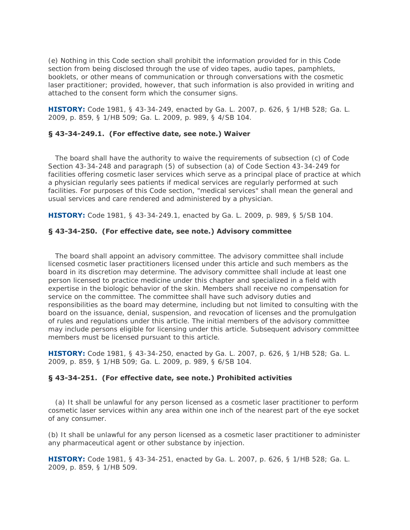(e) Nothing in this Code section shall prohibit the information provided for in this Code section from being disclosed through the use of video tapes, audio tapes, pamphlets, booklets, or other means of communication or through conversations with the cosmetic laser practitioner; provided, however, that such information is also provided in writing and attached to the consent form which the consumer signs.

**HISTORY:** Code 1981, § 43-34-249, enacted by Ga. L. 2007, p. 626, § 1/HB 528; Ga. L. 2009, p. 859, § 1/HB 509; Ga. L. 2009, p. 989, § 4/SB 104.

#### **§ 43-34-249.1. (For effective date, see note.) Waiver**

 The board shall have the authority to waive the requirements of subsection (c) of Code Section 43-34-248 and paragraph (5) of subsection (a) of Code Section 43-34-249 for facilities offering cosmetic laser services which serve as a principal place of practice at which a physician regularly sees patients if medical services are regularly performed at such facilities. For purposes of this Code section, "medical services" shall mean the general and usual services and care rendered and administered by a physician.

**HISTORY:** Code 1981, § 43-34-249.1, enacted by Ga. L. 2009, p. 989, § 5/SB 104.

### **§ 43-34-250. (For effective date, see note.) Advisory committee**

 The board shall appoint an advisory committee. The advisory committee shall include licensed cosmetic laser practitioners licensed under this article and such members as the board in its discretion may determine. The advisory committee shall include at least one person licensed to practice medicine under this chapter and specialized in a field with expertise in the biologic behavior of the skin. Members shall receive no compensation for service on the committee. The committee shall have such advisory duties and responsibilities as the board may determine, including but not limited to consulting with the board on the issuance, denial, suspension, and revocation of licenses and the promulgation of rules and regulations under this article. The initial members of the advisory committee may include persons eligible for licensing under this article. Subsequent advisory committee members must be licensed pursuant to this article.

**HISTORY:** Code 1981, § 43-34-250, enacted by Ga. L. 2007, p. 626, § 1/HB 528; Ga. L. 2009, p. 859, § 1/HB 509; Ga. L. 2009, p. 989, § 6/SB 104.

### **§ 43-34-251. (For effective date, see note.) Prohibited activities**

 (a) It shall be unlawful for any person licensed as a cosmetic laser practitioner to perform cosmetic laser services within any area within one inch of the nearest part of the eye socket of any consumer.

(b) It shall be unlawful for any person licensed as a cosmetic laser practitioner to administer any pharmaceutical agent or other substance by injection.

**HISTORY:** Code 1981, § 43-34-251, enacted by Ga. L. 2007, p. 626, § 1/HB 528; Ga. L. 2009, p. 859, § 1/HB 509.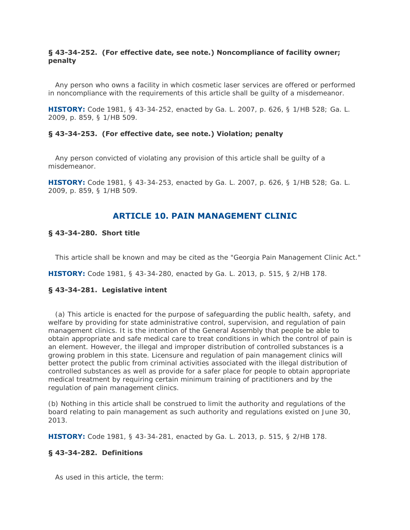# **§ 43-34-252. (For effective date, see note.) Noncompliance of facility owner; penalty**

 Any person who owns a facility in which cosmetic laser services are offered or performed in noncompliance with the requirements of this article shall be guilty of a misdemeanor.

**HISTORY:** Code 1981, § 43-34-252, enacted by Ga. L. 2007, p. 626, § 1/HB 528; Ga. L. 2009, p. 859, § 1/HB 509.

#### **§ 43-34-253. (For effective date, see note.) Violation; penalty**

 Any person convicted of violating any provision of this article shall be guilty of a misdemeanor.

**HISTORY:** Code 1981, § 43-34-253, enacted by Ga. L. 2007, p. 626, § 1/HB 528; Ga. L. 2009, p. 859, § 1/HB 509.

# **ARTICLE 10. PAIN MANAGEMENT CLINIC**

#### **§ 43-34-280. Short title**

This article shall be known and may be cited as the "Georgia Pain Management Clinic Act."

**HISTORY:** Code 1981, § 43-34-280, enacted by Ga. L. 2013, p. 515, § 2/HB 178.

### **§ 43-34-281. Legislative intent**

 (a) This article is enacted for the purpose of safeguarding the public health, safety, and welfare by providing for state administrative control, supervision, and regulation of pain management clinics. It is the intention of the General Assembly that people be able to obtain appropriate and safe medical care to treat conditions in which the control of pain is an element. However, the illegal and improper distribution of controlled substances is a growing problem in this state. Licensure and regulation of pain management clinics will better protect the public from criminal activities associated with the illegal distribution of controlled substances as well as provide for a safer place for people to obtain appropriate medical treatment by requiring certain minimum training of practitioners and by the regulation of pain management clinics.

(b) Nothing in this article shall be construed to limit the authority and regulations of the board relating to pain management as such authority and regulations existed on June 30, 2013.

**HISTORY:** Code 1981, § 43-34-281, enacted by Ga. L. 2013, p. 515, § 2/HB 178.

## **§ 43-34-282. Definitions**

As used in this article, the term: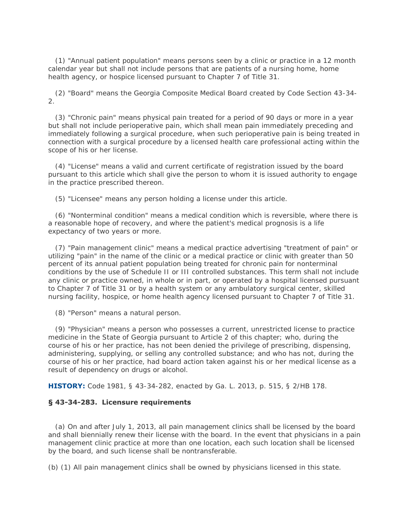(1) "Annual patient population" means persons seen by a clinic or practice in a 12 month calendar year but shall not include persons that are patients of a nursing home, home health agency, or hospice licensed pursuant to Chapter 7 of Title 31.

 (2) "Board" means the Georgia Composite Medical Board created by Code Section 43-34- 2.

 (3) "Chronic pain" means physical pain treated for a period of 90 days or more in a year but shall not include perioperative pain, which shall mean pain immediately preceding and immediately following a surgical procedure, when such perioperative pain is being treated in connection with a surgical procedure by a licensed health care professional acting within the scope of his or her license.

 (4) "License" means a valid and current certificate of registration issued by the board pursuant to this article which shall give the person to whom it is issued authority to engage in the practice prescribed thereon.

(5) "Licensee" means any person holding a license under this article.

 (6) "Nonterminal condition" means a medical condition which is reversible, where there is a reasonable hope of recovery, and where the patient's medical prognosis is a life expectancy of two years or more.

 (7) "Pain management clinic" means a medical practice advertising "treatment of pain" or utilizing "pain" in the name of the clinic or a medical practice or clinic with greater than 50 percent of its annual patient population being treated for chronic pain for nonterminal conditions by the use of Schedule II or III controlled substances. This term shall not include any clinic or practice owned, in whole or in part, or operated by a hospital licensed pursuant to Chapter 7 of Title 31 or by a health system or any ambulatory surgical center, skilled nursing facility, hospice, or home health agency licensed pursuant to Chapter 7 of Title 31.

(8) "Person" means a natural person.

 (9) "Physician" means a person who possesses a current, unrestricted license to practice medicine in the State of Georgia pursuant to Article 2 of this chapter; who, during the course of his or her practice, has not been denied the privilege of prescribing, dispensing, administering, supplying, or selling any controlled substance; and who has not, during the course of his or her practice, had board action taken against his or her medical license as a result of dependency on drugs or alcohol.

**HISTORY:** Code 1981, § 43-34-282, enacted by Ga. L. 2013, p. 515, § 2/HB 178.

### **§ 43-34-283. Licensure requirements**

 (a) On and after July 1, 2013, all pain management clinics shall be licensed by the board and shall biennially renew their license with the board. In the event that physicians in a pain management clinic practice at more than one location, each such location shall be licensed by the board, and such license shall be nontransferable.

(b) (1) All pain management clinics shall be owned by physicians licensed in this state.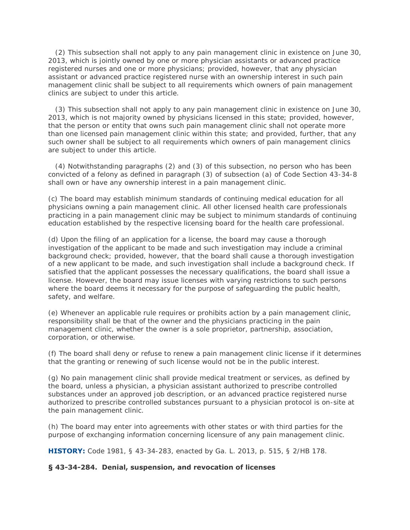(2) This subsection shall not apply to any pain management clinic in existence on June 30, 2013, which is jointly owned by one or more physician assistants or advanced practice registered nurses and one or more physicians; provided, however, that any physician assistant or advanced practice registered nurse with an ownership interest in such pain management clinic shall be subject to all requirements which owners of pain management clinics are subject to under this article.

 (3) This subsection shall not apply to any pain management clinic in existence on June 30, 2013, which is not majority owned by physicians licensed in this state; provided, however, that the person or entity that owns such pain management clinic shall not operate more than one licensed pain management clinic within this state; and provided, further, that any such owner shall be subject to all requirements which owners of pain management clinics are subject to under this article.

 (4) Notwithstanding paragraphs (2) and (3) of this subsection, no person who has been convicted of a felony as defined in paragraph (3) of subsection (a) of Code Section 43-34-8 shall own or have any ownership interest in a pain management clinic.

(c) The board may establish minimum standards of continuing medical education for all physicians owning a pain management clinic. All other licensed health care professionals practicing in a pain management clinic may be subject to minimum standards of continuing education established by the respective licensing board for the health care professional.

(d) Upon the filing of an application for a license, the board may cause a thorough investigation of the applicant to be made and such investigation may include a criminal background check; provided, however, that the board shall cause a thorough investigation of a new applicant to be made, and such investigation shall include a background check. If satisfied that the applicant possesses the necessary qualifications, the board shall issue a license. However, the board may issue licenses with varying restrictions to such persons where the board deems it necessary for the purpose of safeguarding the public health, safety, and welfare.

(e) Whenever an applicable rule requires or prohibits action by a pain management clinic, responsibility shall be that of the owner and the physicians practicing in the pain management clinic, whether the owner is a sole proprietor, partnership, association, corporation, or otherwise.

(f) The board shall deny or refuse to renew a pain management clinic license if it determines that the granting or renewing of such license would not be in the public interest.

(g) No pain management clinic shall provide medical treatment or services, as defined by the board, unless a physician, a physician assistant authorized to prescribe controlled substances under an approved job description, or an advanced practice registered nurse authorized to prescribe controlled substances pursuant to a physician protocol is on-site at the pain management clinic.

(h) The board may enter into agreements with other states or with third parties for the purpose of exchanging information concerning licensure of any pain management clinic.

**HISTORY:** Code 1981, § 43-34-283, enacted by Ga. L. 2013, p. 515, § 2/HB 178.

### **§ 43-34-284. Denial, suspension, and revocation of licenses**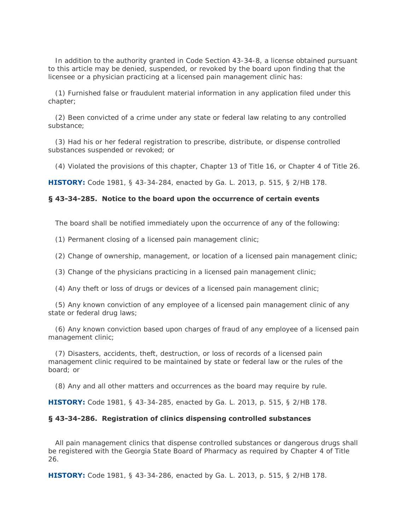In addition to the authority granted in Code Section 43-34-8, a license obtained pursuant to this article may be denied, suspended, or revoked by the board upon finding that the licensee or a physician practicing at a licensed pain management clinic has:

 (1) Furnished false or fraudulent material information in any application filed under this chapter;

 (2) Been convicted of a crime under any state or federal law relating to any controlled substance;

 (3) Had his or her federal registration to prescribe, distribute, or dispense controlled substances suspended or revoked; or

(4) Violated the provisions of this chapter, Chapter 13 of Title 16, or Chapter 4 of Title 26.

**HISTORY:** Code 1981, § 43-34-284, enacted by Ga. L. 2013, p. 515, § 2/HB 178.

## **§ 43-34-285. Notice to the board upon the occurrence of certain events**

The board shall be notified immediately upon the occurrence of any of the following:

(1) Permanent closing of a licensed pain management clinic;

(2) Change of ownership, management, or location of a licensed pain management clinic;

(3) Change of the physicians practicing in a licensed pain management clinic;

(4) Any theft or loss of drugs or devices of a licensed pain management clinic;

 (5) Any known conviction of any employee of a licensed pain management clinic of any state or federal drug laws;

 (6) Any known conviction based upon charges of fraud of any employee of a licensed pain management clinic;

 (7) Disasters, accidents, theft, destruction, or loss of records of a licensed pain management clinic required to be maintained by state or federal law or the rules of the board; or

(8) Any and all other matters and occurrences as the board may require by rule.

**HISTORY:** Code 1981, § 43-34-285, enacted by Ga. L. 2013, p. 515, § 2/HB 178.

#### **§ 43-34-286. Registration of clinics dispensing controlled substances**

 All pain management clinics that dispense controlled substances or dangerous drugs shall be registered with the Georgia State Board of Pharmacy as required by Chapter 4 of Title 26.

**HISTORY:** Code 1981, § 43-34-286, enacted by Ga. L. 2013, p. 515, § 2/HB 178.